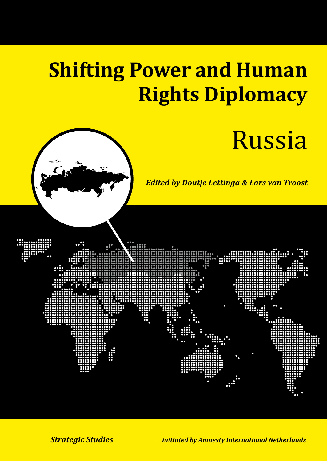## **Shifting Power and Human Rights Diplomacy**

# Russia

*Edited by Doutje Lettinga & Lars van Troost*



**Strategic Studies – initiated by Amnesty International Netherlands**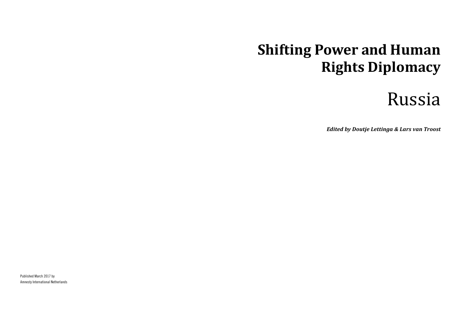## **Shifting Power and Human Rights Diplomacy**



*Edited by Doutje Lettinga & Lars van Troost*

Published March 2017 by Amnesty International Netherlands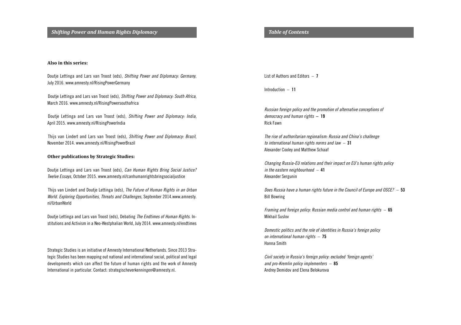### *Shifting Power and Human Rights Diplomacy*

#### **Also in this series:**

Doutje Lettinga and Lars van Troost (eds), *Shifting Power and Diplomacy: Germany*, July 2016. www.amnesty.nl/RisingPowerGermany

 Doutje Lettinga and Lars van Troost (eds), *Shifting Power and Diplomacy: South Africa*, March 2016. www.amnesty.nl/RisingPowersouthafrica

Doutje Lettinga and Lars van Troost (eds), *Shifting Power and Diplomacy: India*, April 2015. www.amnesty.nl/RisingPowerIndia

Thijs van Lindert and Lars van Troost (eds), *Shifting Power and Diplomacy: Brazil*, November 2014. www.amnesty.nl/RisingPowerBrazil

#### **Other publications by Strategic Studies:**

Doutje Lettinga and Lars van Troost (eds), *Can Human Rights Bring Social Justice? Twelve Essays*, October 2015. www.amnesty.nl/canhumanrightsbringsocialjustice

 Thijs van Lindert and Doutje Lettinga (eds), *The Future of Human Rights in an Urban World. Exploring Opportunities, Threats and Challenges*, September 2014.www.amnesty. nl/UrbanWorld

Doutje Lettinga and Lars van Troost (eds), Debating *The Endtimes of Human Rights*. Institutions and Activism in a Neo-Westphalian World, July 2014. www.amnesty.nl/endtimes

Strategic Studies is an initiative of Amnesty International Netherlands. Since 2013 Strategic Studies has been mapping out national and international social, political and legal developments which can affect the future of human rights and the work of Amnesty International in particular. Contact: strategischeverkenningen@amnesty.nl.

#### *Table of Contents*

List of Authors and Editors  $-7$ 

Introduction – 11

*Russian foreign policy and the promotion of alternative conceptions of democracy and human rights* – 19 Rick Fawn

*The rise of authoritarian regionalism: Russia and China's challenge to international human rights norms and law –* 31 Alexander Cooley and Matthew Schaaf

*Changing Russia-EU relations and their impact on EU's human rights policy in the eastern neighbourhood –* 41 Alexander Sergunin

*Does Russia have a human rights future in the Council of Europe and OSCE? –* 53 Bill Bowring

*Framing and foreign policy: Russian media control and human rights –* 65 Mikhail Suslov

*Domestic politics and the role of identities in Russia's foreign policy on international human rights –* 75 Hanna Smith

*Civil society in Russia's foreign policy: excluded 'foreign agents' and pro-Kremlin policy implementers –* 85 Andrey Demidov and Elena Belokurova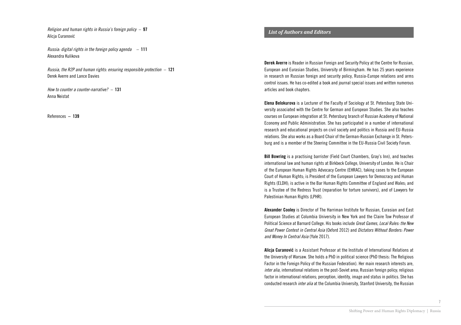*Religion and human rights in Russia's foreign policy –* 97 Alicja Curanović

*Russia: digital rights in the foreign policy agenda –* 111 Alexandra Kulikova

*Russia, the R2P and human rights: ensuring responsible protection –* 121 Derek Averre and Lance Davies

*How to counter a counter-narrative? –* 131 Anna Neistat

References – 139

## *List of Authors and Editors*

Derek Averre is Reader in Russian Foreign and Security Policy at the Centre for Russian, European and Eurasian Studies, University of Birmingham. He has 25 years experience in research on Russian foreign and security policy, Russia-Europe relations and arms control issues. He has co-edited a book and journal special issues and written numerous articles and book chapters.

Elena Belokurova is a Lecturer of the Faculty of Sociology at St. Petersburg State University associated with the Centre for German and European Studies. She also teaches courses on European integration at St. Petersburg branch of Russian Academy of National Economy and Public Administration. She has participated in a number of international research and educational projects on civil society and politics in Russia and EU-Russia relations. She also works as a Board Chair of the German-Russian Exchange in St. Petersburg and is a member of the Steering Committee in the EU-Russia Civil Society Forum.

Bill Bowring is a practising barrister (Field Court Chambers, Gray's Inn), and teaches international law and human rights at Birkbeck College, University of London. He is Chair of the European Human Rights Advocacy Centre (EHRAC), taking cases to the European Court of Human Rights; is President of the European Lawyers for Democracy and Human Rights (ELDH); is active in the Bar Human Rights Committee of England and Wales; and is a Trustee of the Redress Trust (reparation for torture survivors), and of Lawyers for Palestinian Human Rights (LPHR).

Alexander Cooley is Director of The Harriman Institute for Russian, Eurasian and East European Studies at Columbia University in New York and the Claire Tow Professor of Political Science at Barnard College. His books include *Great Games, Local Rules: the New Great Power Contest in Central Asia* (Oxford 2012) and *Dictators Without Borders: Power and Money In Central Asia* (Yale 2017).

Alicja Curanović is a Assistant Professor at the Institute of International Relations at the University of Warsaw. She holds a PhD in political science (PhD thesis: The Religious Factor in the Foreign Policy of the Russian Federation). Her main research interests are, *inter alia*, international relations in the post-Soviet area; Russian foreign policy; religious factor in international relations; perception, identity, image and status in politics. She has conducted research *inter alia* at the Columbia University, Stanford University, the Russian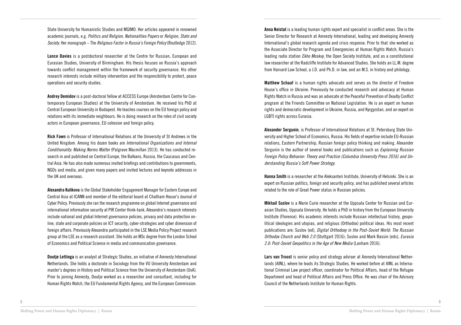State University for Humanistic Studies and MGIMO. Her articles appeared in renowned academic journals, e.g. *Politics and Religion, Nationalities Papers* or *Religion, State and Society*. Her monograph – The *Religious Factor in Russia's Foreign Policy* (Routledge 2012).

Lance Davies is a postdoctoral researcher at the Centre for Russian, European and Eurasian Studies, University of Birmingham. His thesis focuses on Russia's approach towards conflict management within the framework of security governance. His other research interests include military intervention and the responsibility to protect, peace operations and security studies.

Andrey Demidov is a post-doctoral fellow at ACCESS Europe (Amsterdam Centre for Contemporary European Studies) at the University of Amsterdam. He received his PhD at Central European University in Budapest. He teaches courses on the EU foreign policy and relations with its immediate neighbours. He is doing research on the roles of civil society actors in European governance, EU cohesion and foreign policy.

Rick Fawn is Professor of International Relations at the University of St Andrews in the United Kingdom. Among his dozen books are *International Organizations and Internal Conditionality: Making Norms Matter* (Palgrave Macmillan 2013). He has conducted research in and published on Central Europe, the Balkans, Russia, the Caucasus and Central Asia. He has also made numerous invited briefings and contributions to governments, NGOs and media, and given many papers and invited lectures and keynote addresses in the UK and overseas.

Alexandra Kulikova is the Global Stakeholder Engagement Manager for Eastern Europe and Central Asia at ICANN and member of the editorial board at Chatham House's Journal of Cyber Policy. Previously she ran the research programme on global Internet governance and international information security at PIR Center think-tank. Alexandra's research interests include national and global Internet governance policies, privacy and data protection online, state and corporate policies on ICT security, cyber-strategies and cyber dimension of foreign affairs. Previously Alexandra participated in the LSE Media Policy Project research group at the LSE as a research assistant. She holds an MSc degree from the London School of Economics and Political Science in media and communication governance.

Doutje Lettinga is an analyst at Strategic Studies, an initiative of Amnesty International Netherlands. She holds a doctorate in Sociology from the VU University Amsterdam and master's degrees in History and Political Science from the University of Amsterdam (UvA). Prior to joining Amnesty, Doutje worked as a researcher and consultant, including for Human Rights Watch, the EU Fundamental Rights Agency, and the European Commission.

Anna Neistat is a leading human rights expert and specialist in conflict areas. She is the Senior Director for Research at Amnesty International, leading and developing Amnesty International's global research agenda and crisis response. Prior to that she worked as the Associate Director for Program and Emergencies at Human Rights Watch, Russia's leading radio station *Ekho Moskvy*, the Open Society Institute, and as a constitutional law researcher at the Radcliffe Institute for Advanced Studies. She holds an LL.M. degree from Harvard Law School, a J.D. and Ph.D. in law, and an M.S. in history and philology.

Matthew Schaaf is a human rights advocate and serves as the director of Freedom House's office in Ukraine. Previously he conducted research and advocacy at Human Rights Watch in Russia and was an advocate at the Peaceful Prevention of Deadly Conflict program at the Friends Committee on National Legislation. He is an expert on human rights and democratic development in Ukraine, Russia, and Kyrgyzstan, and an expert on LGBTI rights across Eurasia.

Alexander Sergunin, is Professor of International Relations at St. Petersburg State University and Higher School of Economics, Russia. His fields of expertise include EU-Russian relations, Eastern Partnership, Russian foreign policy thinking and making. Alexander Sergunin is the author of several books and publications such as *Explaining Russian Foreign Policy Behavior: Theory and Practice (Columbia University Press 2016) and Understanding Russia's Soft Power Strategy*.

Hanna Smith is a researcher at the Aleksanteri Institute, University of Helsinki. She is an expert on Russian politics, foreign and security policy, and has published several articles related to the role of Great Power status in Russian policies.

Mikhail Suslov is a Marie Curie researcher at the Uppsala Center for Russian and Eurasian Studies, Uppsala University. He holds a PhD in history from the European University Institute (Florence). His academic interests include Russian intellectual history, geopolitical ideologies and utopias, and religious (Orthodox) political ideas. His most recent publications are: Suslov (ed), Digital Orthodoxy in the Post-Soviet World: The Russian *Orthodox Church and Web 2.0* (Stuttgart 2016); Suslov and Mark Bassin (eds), *Eurasia 2.0: Post-Soviet Geopolitics in the Age of New Media* (Lanham 2016).

Lars van Troost is senior policy and strategy adviser at Amnesty International Netherlands (AINL), where he leads its Strategic Studies. He worked before at AINL as International Criminal Law project officer, coordinator for Political Affairs, head of the Refugee Department and head of Political Affairs and Press Office. He was chair of the Advisory Council of the Netherlands Institute for Human Rights.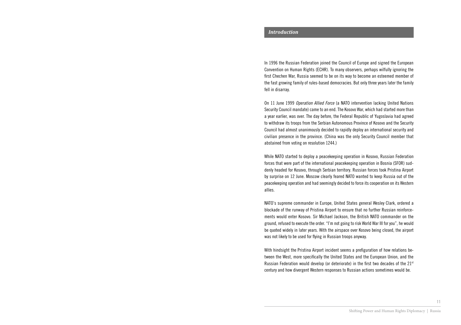#### *Introduction*

In 1996 the Russian Federation joined the Council of Europe and signed the European Convention on Human Rights (ECHR). To many observers, perhaps wilfully ignoring the first Chechen War, Russia seemed to be on its way to become an esteemed member of the fast growing family of rules-based democracies. But only three years later the family fell in disarray.

On 11 June 1999 *Operation Allied Force* (a NATO intervention lacking United Nations Security Council mandate) came to an end. The Kosovo War, which had started more than a year earlier, was over. The day before, the Federal Republic of Yugoslavia had agreed to withdraw its troops from the Serbian Autonomous Province of Kosovo and the Security Council had almost unanimously decided to rapidly deploy an international security and civilian presence in the province. (China was the only Security Council member that abstained from voting on resolution 1244.)

While NATO started to deploy a peacekeeping operation in Kosovo, Russian Federation forces that were part of the international peacekeeping operation in Bosnia (SFOR) suddenly headed for Kosovo, through Serbian territory. Russian forces took Pristina Airport by surprise on 12 June. Moscow clearly feared NATO wanted to keep Russia out of the peacekeeping operation and had seemingly decided to force its cooperation on its Western allies.

NATO's supreme commander in Europe, United States general Wesley Clark, ordered a blockade of the runway of Pristina Airport to ensure that no further Russian reinforcements would enter Kosovo. Sir Michael Jackson, the British NATO commander on the ground, refused to execute the order. "I'm not going to risk World War III for you", he would be quoted widely in later years. With the airspace over Kosovo being closed, the airport was not likely to be used for flying in Russian troops anyway.

With hindsight the Pristina Airport incident seems a prefiguration of how relations between the West, more specifically the United States and the European Union, and the Russian Federation would develop (or deteriorate) in the first two decades of the 21st century and how divergent Western responses to Russian actions sometimes would be.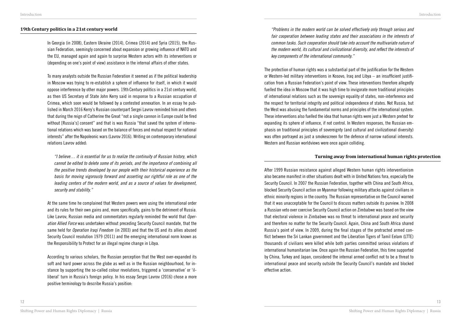#### **19th Century politics in a 21st century world**

In Georgia (in 2008), Eastern Ukraine (2014), Crimea (2014) and Syria (2015), the Russian Federation, seemingly concerned about expansion or growing influence of NATO and the EU, managed again and again to surprise Western actors with its interventions or (depending on one's point of view) assistance in the internal affairs of other states.

To many analysts outside the Russian Federation it seemed as if the political leadership in Moscow was trying to re-establish a sphere of influence for itself, in which it would oppose interference by other major powers. 19th Century politics in a 21st century world, as then US Secretary of State John Kerry said in response to a Russian occupation of Crimea, which soon would be followed by a contested annexation. In an essay he published in March 2016 Kerry's Russian counterpart Sergei Lavrov reminded him and others that during the reign of Catherine the Great "not a single cannon in Europe could be fired without [Russia's] consent" and that is was Russia "that saved the system of international relations which was based on the balance of forces and mutual respect for national interests" after the Napoleonic wars (Lavrov 2016). Writing on contemporary international relations Lavrov added:

*"I believe… it is essential for us to realize the continuity of Russian history, which cannot be edited to delete some of its periods, and the importance of combining all the positive trends developed by our people with their historical experience as the basis for moving vigorously forward and asserting our rightful role as one of the leading centers of the modern world, and as a source of values for development, security and stability."* 

At the same time he complained that Western powers were using the international order and its rules for their own gains and, more specifically, gains to the detriment of Russia. Like Lavrov, Russian media and commentators regularly reminded the world that *Operation Allied Force* was undertaken without preceding Security Council mandate, that the same held for *Operation Iraqi Freedom* (in 2003) and that the US and its allies abused Security Council resolution 1979 (2011) and the emerging international norm known as the Responsibility to Protect for an illegal regime change in Libya.

According to various scholars, the Russian perception that the West over-expanded its soft and hard power across the globe as well as in the Russian neighbourhood, for instance by supporting the so-called colour revolutions, triggered a 'conservative' or 'illiberal' turn in Russia's foreign policy. In his essay Sergei Lavrov (2016) chose a more positive terminology to describe Russia's position:

*"Problems in the modern world can be solved effectively only through serious and fair cooperation between leading states and their associations in the interests of common tasks. Such cooperation should take into account the multivariate nature of*  the modern world, its cultural and civilizational diversity, and reflect the interests of *key components of the international community."*

The protection of human rights was a substantial part of the justification for the Western or Western-led military interventions in Kosovo, Iraq and Libya – an insufficient justification from a Russian Federation's point of view. These interventions therefore allegedly fuelled the idea in Moscow that it was high time to invigorate more traditional principles of international relations such as the sovereign equality of states, non-interference and the respect for territorial integrity and political independence of states. Not Russia, but the West was abusing the fundamental norms and principles of the international system. These interventions also fuelled the idea that human rights were just a Western pretext for expanding its sphere of influence, if not control. In Western responses, the Russian emphasis on traditional principles of sovereignty (and cultural and civilizational diversity) was often portrayed as just a smokescreen for the defence of narrow national interests. Western and Russian worldviews were once again colliding.

#### **Turning away from international human rights protection**

After 1999 Russian resistance against alleged Western human rights interventionism also became manifest in other situations dealt with in United Nations fora, especially the Security Council. In 2007 the Russian Federation, together with China and South Africa, blocked Security Council action on Myanmar following military attacks against civilians in ethnic minority regions in the country. The Russian representative on the Council warned that it was unacceptable for the Council to discuss matters outside its purview. In 2008 a Russian veto over coercive Security Council action on Zimbabwe was based on the view that electoral violence in Zimbabwe was no threat to international peace and security and therefore no matter for the Security Council. Again, China and South Africa shared Russia's point of view. In 2009, during the final stages of the protracted armed conflict between the Sri Lankan government and the Liberation Tigers of Tamil Eelam (LTTE) thousands of civilians were killed while both parties committed serious violations of international humanitarian law. Once again the Russian Federation, this time supported by China, Turkey and Japan, considered the internal armed conflict not to be a threat to international peace and security outside the Security Council's mandate and blocked effective action.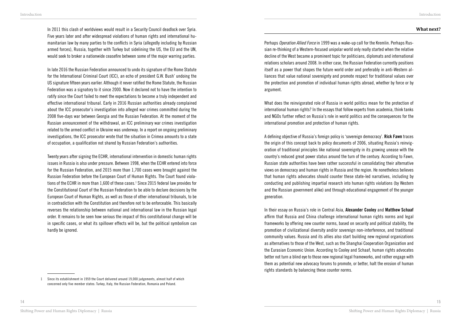**What next?** 

In 2011 this clash of worldviews would result in a Security Council deadlock over Syria. Five years later and after widespread violations of human rights and international humanitarian law by many parties to the conflicts in Syria (allegedly including by Russian armed forces), Russia, together with Turkey but sidelining the US, the EU and the UN, would seek to broker a nationwide ceasefire between some of the major warring parties.

In late 2016 the Russian Federation announced to undo its signature of the Rome Statute for the International Criminal Court (ICC), an echo of president G.W. Bush' undoing the US signature fifteen years earlier. Although it never ratified the Rome Statute, the Russian Federation was a signatory to it since 2000. Now it declared not to have the intention to ratify since the Court failed to meet the expectations to become a truly independent and effective international tribunal. Early in 2016 Russian authorities already complained about the ICC prosecutor's investigation into alleged war crimes committed during the 2008 five-days war between Georgia and the Russian Federation. At the moment of the Russian announcement of the withdrawal, an ICC preliminary war crimes investigation related to the armed conflict in Ukraine was underway. In a report on ongoing preliminary investigations, the ICC prosecutor wrote that the situation in Crimea amounts to a state of occupation, a qualification not shared by Russian Federation's authorities.

Twenty years after signing the ECHR, international intervention in domestic human rights issues in Russia is also under pressure. Between 1998, when the ECHR entered into force for the Russian Federation, and 2015 more than 1,700 cases were brought against the Russian Federation before the European Court of Human Rights. The Court found violations of the ECHR in more than 1,600 of these cases.<sup>1</sup> Since 2015 federal law provides for the Constitutional Court of the Russian Federation to be able to declare decisions by the European Court of Human Rights, as well as those of other international tribunals, to be in contradiction with the Constitution and therefore not to be enforceable. This basically reverses the relationship between national and international law in the Russian legal order. It remains to be seen how serious the impact of this constitutional change will be in specific cases, or what its spillover effects will be, but the political symbolism can hardly be ignored.

Perhaps *Operation Allied Force* in 1999 was a wake-up call for the Kremlin. Perhaps Russian re-thinking of a Western-focused unipolar world only really started when the relative decline of the West became a prominent topic for politicians, diplomats and international relations scholars around 2008. In either case, the Russian Federation currently positions itself as a power that shapes the future world order and preferably in anti-Western alliances that value national sovereignty and promote respect for traditional values over the protection and promotion of individual human rights abroad, whether by force or by argument.

What does the reinvigorated role of Russia in world politics mean for the protection of international human rights? In the essays that follow experts from academia, think tanks and NGOs further reflect on Russia's role in world politics and the consequences for the international promotion and protection of human rights.

A defining objective of Russia's foreign policy is 'sovereign democracy'. Rick Fawn traces the origin of this concept back to policy documents of 2006, situating Russia's reinvigoration of traditional principles like national sovereignty in its growing unease with the country's reduced great power status around the turn of the century. According to Fawn, Russian state authorities have been rather successful in consolidating their alternative views on democracy and human rights in Russia and the region. He nonetheless believes that human rights advocates should counter these state-led narratives, including by conducting and publishing impartial research into human rights violations (by Western and the Russian government alike) and through educational engagement of the younger generation.

In their essay on Russia's role in Central Asia, Alexander Cooley and Matthew Schaaf affirm that Russia and China challenge international human rights norms and legal frameworks by offering new counter norms, based on security and political stability, the promotion of civilizational diversity and/or sovereign non-interference, and traditional community values. Russia and its allies also start building new regional organizations as alternatives to those of the West, such as the Shanghai Cooperation Organization and the Eurasian Economic Union. According to Cooley and Schaaf, human rights advocates better not turn a blind eye to those new regional legal frameworks, and rather engage with them as potential new advocacy forums to promote, or better, halt the erosion of human rights standards by balancing these counter norms.

<sup>1</sup> Since its establishment in 1959 the Court delivered around 19,000 judgements, almost half of which concerned only five member states: Turkey, Italy, the Russian Federation, Romania and Poland.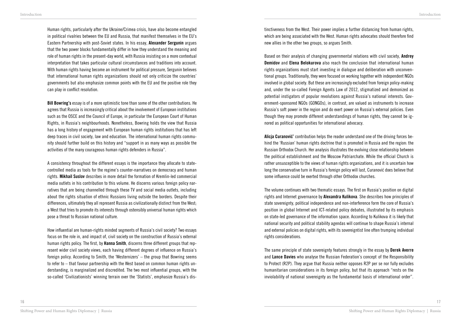Human rights, particularly after the Ukraine/Crimea crisis, have also become entangled in political rivalries between the EU and Russia, that manifest themselves in the EU's Eastern Partnership with post-Soviet states. In his essay, Alexander Sergunin argues that the two power blocks fundamentally differ in how they understand the meaning and role of human rights in the present-day world, with Russia insisting on a more contextual interpretation that takes particular cultural circumstances and traditions into account. With human rights having become an instrument for political pressure, Sergunin believes that international human rights organizations should not only criticize the countries' governments but also emphasize common points with the EU and the positive role they can play in conflict resolution.

Bill Bowring's essay is of a more optimistic tone than some of the other contributions. He agrees that Russia is increasingly critical about the involvement of European institutions such as the OSCE and the Council of Europe, in particular the European Court of Human Rights, in Russia's neighbourhoods. Nonetheless, Bowring holds the view that Russia has a long history of engagement with European human rights institutions that has left deep traces in civil society, law and education. The international human rights community should further build on this history and "support in as many ways as possible the activities of the many courageous human rights defenders in Russia".

A consistency throughout the different essays is the importance they allocate to statecontrolled media as tools for the regime's counter-narratives on democracy and human rights. Mikhail Suslov describes in more detail the formation of Kremlin-led commercial media outlets in his contribution to this volume. He discerns various foreign policy narratives that are being channelled through these TV and social media outlets, including about the rights situation of ethnic Russians living outside the borders. Despite their differences, ultimately they all represent Russia as civilizationally distinct from the West; a West that tries to promote its interests through ostensibly universal human rights which pose a threat to Russian national culture.

How influential are human-rights minded segments of Russia's civil society? Two essays focus on the role in, and impact of, civil society on the construction of Russia's external human rights policy. The first, by **Hanna Smith**, discerns three different groups that represent wider civil society views, each having different degrees of influence on Russia's foreign policy. According to Smith, the 'Westernizers' – the group that Bowring seems to refer to – that favour partnership with the West based on common human rights understanding, is marginalized and discredited. The two most influential groups, with the so-called 'Civilizationists' winning terrain over the 'Statists', emphasize Russia's distinctiveness from the West. Their power implies a further distancing from human rights, which are being associated with the West. Human rights advocates should therefore find new allies in the other two groups, so argues Smith.

Based on their analysis of changing governmental relations with civil society, Andrey Demidov and Elena Belokurova also reach the conclusion that international human rights organizations must start investing in dialogue and deliberation with unconventional groups. Traditionally, they were focused on working together with independent NGOs involved in global society. But these are increasingly excluded from foreign policy-making and, under the so-called Foreign Agents Law of 2012, stigmatized and demonized as potential instigators of popular revolutions against Russia's national interests. Government-sponsored NGOs (GONGOs), in contrast, are valued as instruments to increase Russia's soft power in the region and do exert power on Russia's external policies. Even though they may promote different understandings of human rights, they cannot be ignored as political opportunities for international advocacy.

Alicia Curanović' contribution helps the reader understand one of the driving forces behind the 'Russian' human rights doctrine that is promoted in Russia and the region: the Russian Orthodox Church. Her analysis illustrates the evolving close relationship between the political establishment and the Moscow Patriarchate. While the official Church is rather unsusceptible to the views of human rights organizations, and it is uncertain how long the conservative turn in Russia's foreign policy will last, Curanović does believe that some influence could be exerted through other Orthodox churches.

The volume continues with two thematic essays. The first on Russia's position on digital rights and Internet governance by Alexandra Kulikova. She describes how principles of state sovereignty, political independence and non-interference form the core of Russia's position in global Internet and ICT-related policy debates, illustrated by its emphasis on state-led governance of the information space. According to Kulikova it is likely that national security and political stability agendas will continue to shape Russia's internal and external policies on digital rights, with its sovereigntist line often trumping individual rights considerations.

The same principle of state sovereignty features strongly in the essay by Derek Averre and Lance Davies who analyse the Russian Federation's concept of the Responsibility to Protect (R2P). They argue that Russia neither opposes R2P per se nor fully excludes humanitarian considerations in its foreign policy, but that its approach "rests on the inviolability of national sovereignty as the fundamental basis of international order".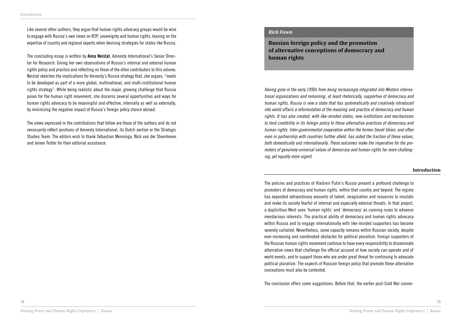Like several other authors, they argue that human rights advocacy groups would be wise to engage with Russia's own views on R2P, sovereignty and human rights, leaning on the expertise of country and regional experts when devising strategies for states like Russia.

The concluding essay is written by Anna Neistat, Amnesty International's Senior Director for Research. Giving her own observations of Russia's internal and external human rights policy and practice and reflecting on those of the other contributors to this volume, Neistat sketches the implications for Amnesty's Russia strategy that, she argues, "needs to be developed as part of a more global, multinational, and multi-institutional human rights strategy". While being realistic about the major, growing challenge that Russia poses for the human right movement, she discerns several opportunities and ways for human rights advocacy to be meaningful and effective, internally as well as externally, by minimizing the negative impact of Russia's foreign policy stance abroad.

The views expressed in the contributions that follow are those of the authors and do not necessarily reflect positions of Amnesty International, its Dutch section or the Strategic Studies Team. The editors wish to thank Sébastian Menninga, Nick van der Steenhoven and Jeroen Teitler for their editorial assistance.

#### *Rick Fawn*

**Russian foreign policy and the promotion of alternative conceptions of democracy and human rights**

*Having gone in the early 1990s from being increasingly integrated into Western international organizations and remaining, at least rhetorically, supportive of democracy and human rights, Russia is now a state that has systematically and creatively introduced into world affairs a reformulation of the meaning and practice of democracy and human rights. It has also created, with like-minded states, new institutions and mechanisms to lend credibility in its foreign policy to those alternative practices of democracy and human rights. Inter-governmental cooperation within the former Soviet Union, and often*  even in partnership with countries further afield, has aided the traction of these values, *both domestically and internationally. These outcomes make the imperative for the promoters of genuinely universal values of democracy and human rights far more challenging, yet equally more urgent.*

#### **Introduction**

The policies and practices of Vladimir Putin's Russia present a profound challenge to promoters of democracy and human rights, within that country and beyond. The regime has expended extraordinary amounts of talent, imagination and resources to insulate and make its society fearful of internal and especially external threats. In that project, a duplicitous West uses 'human rights' and 'democracy' as cunning ruses to advance mendacious interests. The practical ability of democracy and human rights advocacy within Russia and to engage internationally with like-minded supporters has become severely curtailed. Nevertheless, some capacity remains within Russian society, despite ever-increasing and coordinated obstacles for political pluralism. Foreign supporters of the Russian human rights movement continue to have every responsibility to disseminate alternative views that challenge the official account of how society can operate and of world events, and to support those who are under great threat for continuing to advocate political pluralism. The aspects of Russian foreign policy that promote these alternative conceptions must also be contested.

The conclusion offers some suggestions. Before that, the earlier post-Cold War conver-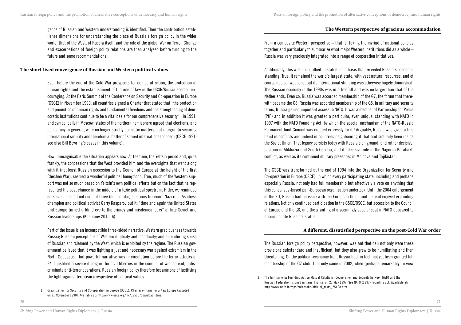gence of Russian and Western understanding is identified. Then the contribution establishes dimensions for understanding the place of Russia's foreign policy in the wider world: that of the West, of Russia itself, and the role of the global War on Terror. Change and exacerbations of foreign policy relations are then analysed before turning to the future and some recommendations.

#### **The short-lived convergence of Russian and Western political values**

Even before the end of the Cold War prospects for democratization, the protection of human rights and the establishment of the rule of law in the USSR/Russia seemed encouraging. At the Paris Summit of the Conference on Security and Co-operation in Europe (CSCE) in November 1990, all countries signed a Charter that stated that "the protection and promotion of human rights and fundamental freedoms and the strengthening of democratic institutions continue to be a vital basis for our comprehensive security".<sup>1</sup> In 1991, and symbolically in Moscow, states of the northern hemisphere agreed that elections, and democracy in general, were no longer strictly domestic matters, but integral to securing international security and therefore a matter of shared international concern (OSCE 1991; see also Bill Bowring's essay in this volume).

How unrecognisable the situation appears now. At the time, the Yeltsin period and, quite frankly, the concessions that the West provided him and the oversights that went along with it (not least Russian accession to the Council of Europe at the height of the first Chechen War), seemed a wonderful political honeymoon. True, much of the Western support was not so much based on Yeltsin's own political efforts but on the fact that he represented the best chance in the middle of a toxic political spectrum. Hitler, we reminded ourselves, needed not one but three (democratic) elections to secure Nazi rule. As chess champion and political activist Garry Kasparov put it, "time and again the United States and Europe turned a blind eye to the crimes and misdemeanours" of late Soviet and Russian leaderships (Kasparov 2015: 6).

Part of the issue is an incompatible three-sided narrative: Western graciousness towards Russia; Russian perceptions of Western duplicity and mendacity; and an enduring sense of Russian encirclement by the West, which is exploited by the regime. The Russian government believed that it was fighting a just and necessary war against extremism in the North Caucasus. That powerful narrative was in circulation before the terror attacks of 9/11 justified a severe disregard for civil liberties in the conduct of widespread, indiscriminate anti-terror operations. Russian foreign policy therefore became one of justifying the fight against terrorism irrespective of political values.

#### **The Western perspective of gracious accommodation**

From a composite Western perspective – that is, taking the myriad of national policies together and particularly to summarize what major Western institutions did as a whole – Russia was very graciously integrated into a range of cooperation initiatives.

Additionally, this was done, albeit unstated, on a basis that exceeded Russia's economic standing. True, it remained the world's largest state, with vast natural resources, and of course nuclear weapons, but its international standing was otherwise hugely diminished. The Russian economy in the 1990s was in a freefall and was no larger than that of the Netherlands. Even so, Russia was accorded membership of the G7, the forum that therewith became the G8. Russia was accorded membership of the G8. In military and security terms, Russia gained important access to NATO. It was a member of Partnership for Peace (PfP) and in addition it was granted a particular, even unique, standing with NATO in 1997 with the NATO Founding Act, by which the special mechanism of the NATO-Russia Permanent Joint Council was created expressly for it.<sup>2</sup> Arguably, Russia was given a free hand in conflicts and indeed in countries neighbouring it that had similarly been inside the Soviet Union. That legacy persists today with Russia's on ground, and rather decisive, position in Abkhazia and South Ossetia, and its decisive role in the Nagorno-Karabakh conflict, as well as its continued military presences in Moldova and Tajikistan.

The CSCE was transformed at the end of 1994 into the Organization for Security and Co-operation in Europe (OSCE), in which every participating state, including and perhaps especially Russia, not only had full membership but effectively a veto on anything that this consensus-based pan-European organization undertook. Until the 2004 enlargement of the EU, Russia had no issue with the European Union and instead enjoyed expanding relations. Not only continued participation in the CSCE/OSCE, but accession to the Council of Europe and the G8, and the granting of a seemingly special seat in NATO appeared to accommodate Russia's status.

#### **A different, dissatisfied perspective on the post-Cold War order**

The Russian foreign policy perspective, however, was antithetical: not only were these provisions substandard and insufficient, but they also grew to be humiliating and then threatening. On the political-economic front Russia had, in fact, not yet been granted full membership of the G7 club. That only came in 2002, when (perhaps remarkably, in view

<sup>1</sup> Organization for Security and Co-operation in Europe (OSCE), Charter of Paris for a New Europe (adopted on 21 November 1990). Available at: http://www.osce.org/mc/39516?download=true.

<sup>2</sup> The full name is: Founding Act on Mutual Relations, Cooperation and Security between NATO and the Russian Federation, signed in Paris, France, on 27 May 1997. See NATO (1997) Founding act. Available at: http://www.nato.int/cps/en/natohq/official\_texts\_25468.htm.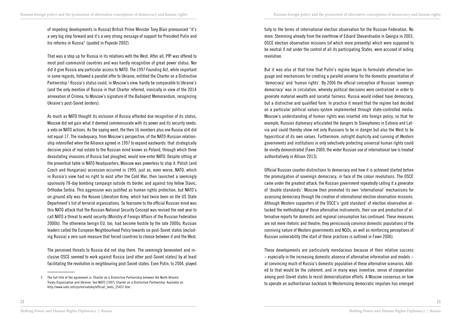Russian foreign policy and the promotion of alternative conceptions of democracy and human rights Russian foreign policy and the promotion of alternative conceptions of democracy and human rights

of impeding developments in Russia) British Prime Minister Tony Blair pronounced "it's a very big step forward and it's a very strong message of support for President Putin and his reforms in Russia" (quoted in Popeski 2002).

That was a step up for Russia in its relations with the West. After all, PfP was offered to most post-communist countries and was hardly recognition of great power status. Nor did it give Russia any particular access to NATO. The 1997 Founding Act, while important in some regards, followed a parallel offer to Ukraine, entitled the Charter on a Distinctive Partnership.<sup>3</sup> Russia's status could, in Moscow's view, hardly be comparable to Ukraine's (and the only mention of Russia in that Charter referred, ironically in view of the 2014 annexation of Crimea, to Moscow's signature of the Budapest Memorandum, recognizing Ukraine's post-Soviet borders).

As much as NATO thought its inclusion of Russia afforded due recognition of its status, Moscow did not gain what it deemed commensurate with its power and its security needs: a veto on NATO actions. As the saying went, the then 16 members plus one Russia still did not equal 17. The inadequacy, from Moscow's perspective, of the NATO-Russian relationship intensified when the Alliance agreed in 1997 to expand eastwards: that strategically decisive piece of real estate to the Russian mind known as Poland, through which three devastating invasions of Russia had ploughed, would now enter NATO. Despite sitting at the proverbial table in NATO Headquarters, Moscow was powerless to stop it. Polish (and Czech and Hungarian) accession occurred in 1999, just as, even worse, NATO, which in Russia's view had no right to exist after the Cold War, then launched a seemingly spuriously 78-day bombing campaign outside its border, and against tiny fellow Slavic, Orthodox Serbia. This aggression was justified as human rights protection, but NATO's on-ground ally was the Kosovo Liberation Army, which had twice been on the US State Department's list of terrorist organizations. So fearsome to the official Russian mind was this NATO attack that the Russian National Security Concept was revised the next year to call NATO a threat to world security (Ministry of Foreign Affairs of the Russian Federation 2000b). The otherwise benign EU, too, had become hostile by the late 2000s; Russian leaders called the European Neighbourhood Policy towards six post-Soviet states (excluding Russia) a zero-sum measure that forced countries to choose between it and the West.

The perceived threats to Russia did not stop there. The seemingly benevolent and inclusive OSCE seemed to work against Russia (and other post-Soviet states) by at least facilitating the revolution in neighbouring post-Soviet states. Even Putin, to 2004, played

fully to the terms of international election observation for the Russian Federation. No more. Stemming already from the overthrow of Edvard Shevardnadze in Georgia in 2003, OSCE election observation missions (of which more presently) which were supposed to be neutral if not under the control of all its participating States, were accused of aiding revolution.

But it was also at that time that Putin's regime began to formulate alternative language and mechanisms for creating a parallel universe for the domestic presentation of 'democracy' and 'human rights'. By 2006 the official conception of Russian 'sovereign democracy' was in circulation, whereby political decisions were centralized in order to generate material wealth and societal fairness. Russia would indeed have democracy, but a distinctive and qualified form. In practice it meant that the regime had decided on a particular political values-system implemented through state-controlled media. Moscow's understanding of human rights was inserted into foreign policy, so that for example, Russian diplomacy articulated the dangers to Slavophones in Estonia and Latvia and could thereby show not only Russians to be in danger but also the West to be hypocritical of its own values. Furthermore, outright duplicity and cunning of Western governments and institutions in only selectively protecting universal human rights could be vividly demonstrated (Fawn 2009; the wider Russian use of international law is treated authoritatively in Allison 2013).

Official Russian counter-distinctions to democracy and how it is achieved started before the promulgation of sovereign democracy, in face of the colour revolutions. The OSCE came under the greatest attack, the Russian government repeatedly calling it a generator of 'double standards'. Moscow then promoted its own 'international' mechanisms for assessing democracy through the creation of international election observation missions. Although Western supporters of the OSCE's 'gold standard' of election observation attacked the methodology of these alternative instruments, their use and production of alternative reports for domestic and regional consumption has continued. These measures are not mere rhetoric and theatre; they perniciously convince domestic populations of the conniving nature of Western governments and NGOs, as well as reinforcing perceptions of Russian vulnerability (the start of these practices is outlined in Fawn 2006).

These developments are particularly mendacious because of their relative success – especially in the increasing domestic absence of alternative information and models – at convincing much of Russia's domestic population of these alternative scenarios. Added to that would be the coherent, and in many ways inventive, sense of cooperation among post-Soviet states to resist democratization efforts. A Moscow consensus on how to operate an authoritarian backlash to Westernizing democratic impulses has emerged

<sup>3</sup> The full title of the agreement is: Charter on a Distinctive Partnership between the North Atlantic Treaty Organization and Ukraine. See NATO (1997) *Charter on a Distinctive Partnership*. Available at: http://www.nato.int/cps/en/natohq/official\_texts\_25457.htm.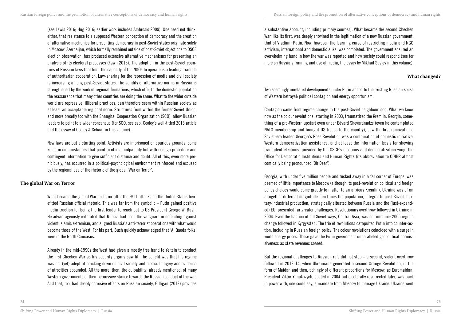(see Lewis 2016; Hug 2016; earlier work includes Ambrosio 2009). One need not think, either, that resistance to a supposed Western conception of democracy and the creation of alternative mechanics for presenting democracy in post-Soviet states originate solely in Moscow. Azerbaijan, which formally remained outside of post-Soviet objections to OSCE election observation, has produced extensive alternative mechanisms for presenting an analysis of its electoral processes (Fawn 2015). The adoption in the post-Soviet countries of Russian laws that limit the capacity of the NGOs to operate is a leading example of authoritarian cooperation. Law-sharing for the repression of media and civil society is increasing among post-Soviet states. The validity of alternative norms in Russia is strengthened by the work of regional formations, which offer to the domestic population the reassurance that many other countries are doing the same. What to the wider outside world are repressive, illiberal practices, can therefore seem within Russian society as at least an acceptable regional norm. Structures from within the former Soviet Union, and more broadly too with the Shanghai Cooperation Organization (SCO), allow Russian leaders to point to a wider consensus (for SCO, see esp. Cooley's well-titled 2013 article and the essay of Cooley & Schaaf in this volume).

New laws are but a starting point. Activists are imprisoned on spurious grounds, some killed in circumstances that point to official culpability but with enough procedure and contingent information to give sufficient distance and doubt. All of this, even more perniciously, has occurred in a political-psychological environment reinforced and excused by the regional use of the rhetoric of the global 'War on Terror'.

## **The global War on Terror**

What became the global War on Terror after the 9/11 attacks on the United States benefitted Russian official rhetoric. This was far from the symbolic – Putin gained positive media traction for being the first leader to reach out to US President George W. Bush. He advantageously reiterated that Russia had been the vanguard in defending against violent Islamic extremism, and aligned Russia's anti-terrorist operations with what would become those of the West. For his part, Bush quickly acknowledged that 'Al Qaeda folks' were in the North Caucasus.

Already in the mid-1990s the West had given a mostly free hand to Yeltsin to conduct the first Chechen War as his security organs saw fit. The benefit was that his regime was not (yet) adept at cracking down on civil society and media. Imagery and evidence of atrocities abounded. All the more, then, the culpability, already mentioned, of many Western governments of their permissive stance towards the Russian conduct of the war. And that, too, had deeply corrosive effects on Russian society, Gilligan (2013) provides

a substantive account, including primary sources). What became the second Chechen War, like its first, was deeply entwined in the legitimation of a new Russian government, that of Vladimir Putin. Now, however, the learning curve of restricting media and NGO activism, international and domestic alike, was completed. The government ensured an overwhelming hand in how the war was reported and how society could respond (see for more on Russia's framing and use of media, the essay by Mikhail Suslov in this volume).

#### **What changed?**

Two seemingly unrelated developments under Putin added to the existing Russian sense of Western betrayal: political contagion and energy opportunism.

Contagion came from regime change in the post-Soviet neighbourhood. What we know now as the colour revolutions, starting in 2003, traumatized the Kremlin. Georgia, something of a pro-Western upstart even under Edvard Shevardnadze (even he contemplated NATO membership and brought US troops to the country), saw the first removal of a Soviet-era leader. Georgia's Rose Revolution was a combination of domestic initiative, Western democratization assistance, and at least the information basis for showing fraudulent elections, provided by the OSCE's elections and democratization wing, the Office for Democratic Institutions and Human Rights (its abbreviation to ODIHR almost comically being pronounced 'Oh Dear').

Georgia, with under five million people and tucked away in a far corner of Europe, was deemed of little importance to Moscow (although its post-revolution political and foreign policy choices would come greatly to matter to an anxious Kremlin), Ukraine was of an altogether different magnitude. Ten times the population, integral to post-Soviet military-industrial production, strategically situated between Russia and the (just-expanded) EU, presented far greater challenges. Revolutionary overthrow followed in Ukraine in 2004. Even the bastion of old Soviet ways, Central Asia, was not immune: 2005 regime change followed in Kyrgyzstan. The trio of revolutions catapulted Putin into counter-action, including in Russian foreign policy. The colour revolutions coincided with a surge in world energy prices. Those gave the Putin government unparalleled geopolitical permissiveness as state revenues soared.

But the regional challenges to Russian rule did not stop  $-$  a second, violent overthrow followed in 2013-14, when Ukrainians generated a second Orange Revolution, in the form of Maidan and then, achingly of different proportions for Moscow, as Euromaidan. President Viktor Yanukovych, ousted in 2004 but electorally resurrected later, was back in power with, one could say, a mandate from Moscow to manage Ukraine. Ukraine went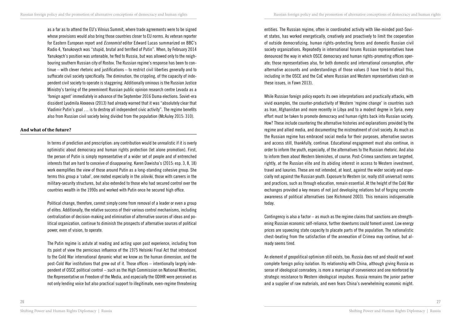as a far as to attend the EU's Vilnius Summit, where trade agreements were to be signed whose provisions would also bring those countries closer to EU norms. As veteran reporter for Eastern European report and *Economist* editor Edward Lucas summarized on BBC's Radio 4, Yanukovych was "stupid, brutal and terrified of Putin". When, by February 2014 Yanukoych's position was untenable, he fled to Russia, but was allowed only to the neighbouring southern Russian city of Rostov. The Russian regime's response has been to continue – with clever rhetoric and justifications – to restrict civil liberties generally and to suffocate civil society specifically. The diminution, the crippling, of the capacity of independent civil society to operate is staggering. Additionally ominous is the Russian Justice Ministry's tarring of the preeminent Russian public opinion research centre Levada as a 'foreign agent' immediately in advance of the September 2016 Duma elections. Soviet-era dissident Lyudmila Alexeeva (2013) had already warned that it was "absolutely clear that Vladimir Putin's goal … is to destroy all independent civic activity". The regime benefits also from Russian civil society being divided from the population (McAuley 2015: 310).

### **And what of the future?**

In terms of prediction and prescription: any contribution would be unrealistic if it is overly optimistic about democracy and human rights protection (let alone promotion). First, the person of Putin is simply representative of a wider set of people and of entrenched interests that are hard to conceive of disappearing. Karen Dawisha's (2015: esp. 3, 8, 18) work exemplifies the view of those around Putin as a long-standing cohesive group. She terms this group a 'cabal', one rooted especially in the *siloviki*, those with careers in the military-security structures, but also extended to those who had secured control over the countries wealth in the 1990s and worked with Putin once he secured high office.

Political change, therefore, cannot simply come from removal of a leader or even a group of elites. Additionally, the relative success of their various control mechanisms, including centralization of decision-making and elimination of alternative sources of ideas and political organization, continue to diminish the prospects of alternative sources of political power, even of vision, to operate.

The Putin regime is astute at reading and acting upon past experience, including from its point of view the pernicious influence of the 1975 Helsinki Final Act that introduced to the Cold War international dynamic what we know as the human dimension, and the post-Cold War institutions that grew out of it. Those offices – intentionally largely independent of OSCE political control – such as the High Commission on National Minorities, the Representative on Freedom of the Media, and especially the ODIHR were perceived as not only lending voice but also practical support to illegitimate, even-regime threatening

entities. The Russian regime, often in coordinated activity with like-minded post-Soviet states, has worked energetically, creatively and proactively to limit the cooperation of outside democratizing, human rights-protecting forces and domestic Russian civil society organizations. Repeatedly in international forums Russian representatives have denounced the way in which OSCE democracy and human rights-promoting offices operate; those representatives also, for both domestic and international consumption, offer alternative accounts and understandings of those values (I have tried to detail this, including in the OSCE and the CoE where Russian and Western representatives clash on these issues, in Fawn 2013).

While Russian foreign policy exports its own interpretations and practically attacks, with vivid examples, the counter-productivity of Western 'regime change' in countries such as Iran, Afghanistan and more recently in Libya and to a modest degree in Syria, every effort must be taken to promote democracy and human rights back into Russian society. How? These include countering the alternative histories and explanations provided by the regime and allied media, and documenting the mistreatment of civil society. As much as the Russian regime has embraced social media for their purposes, alternative sources and access still, thankfully, continue. Educational engagement must also continue, in order to inform the youth, especially, of the alternatives to the Russian rhetoric. And also to inform them about Western blemishes, of course. Post-Crimea sanctions are targeted, rightly, at the Russian elite and its abiding interest in access to Western investment, travel and luxuries. These are not intended, at least, against the wider society and especially not against the Russian youth. Exposure to Western (or, really still universal) norms and practices, such as through education, remain essential. At the height of the Cold War exchanges provided a key means of not just developing relations but of forging concrete awareness of political alternatives (see Richmond 2003). This remains indispensable today.

Contingency is also a factor – as much as the regime claims that sanctions are strengthening Russian economic self-reliance, further downturns could foment unrest. Low energy prices are squeezing state capacity to placate parts of the population. The nationalistic chest-beating from the satisfaction of the annexation of Crimea may continue, but already seems tired.

An element of geopolitical optimism still exists, too. Russia does not and should not want complete foreign policy isolation. Its relationship with China, although giving Russia as sense of ideological comradery, is more a marriage of convenience and one reinforced by strategic resistance to Western ideological impulses. Russia remains the junior partner and a supplier of raw materials, and even fears China's overwhelming economic might.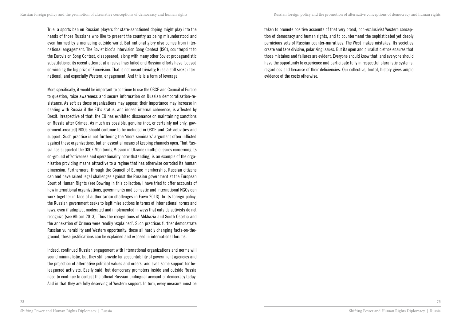True, a sports ban on Russian players for state-sanctioned doping might play into the hands of those Russians who like to present the country as being misunderstood and even harmed by a menacing outside world. But national glory also comes from international engagement. The Soviet bloc's Intervision Song Contest (ISC), counterpoint to the Eurovision Song Contest, disappeared, along with many other Soviet propagandistic substitutions; its recent attempt at a revival has failed and Russian efforts have focused on winning the big prize of Eurovision. That is not meant trivially; Russia still seeks international, and especially Western, engagement. And this is a form of leverage.

More specifically, it would be important to continue to use the OSCE and Council of Europe to question, raise awareness and secure information on Russian democratization-resistance. As soft as these organizations may appear, their importance may increase in dealing with Russia if the EU's status, and indeed internal coherence, is affected by Brexit. Irrespective of that, the EU has exhibited dissonance on maintaining sanctions on Russia after Crimea. As much as possible, genuine (not, or certainly not only, government-created) NGOs should continue to be included in OSCE and CoE activities and support. Such practice is not furthering the 'more seminars' argument often inflicted against these organizations, but an essential means of keeping channels open. That Russia has supported the OSCE Monitoring Mission in Ukraine (multiple issues concerning its on-ground effectiveness and operationality notwithstanding) is an example of the organization providing means attractive to a regime that has otherwise corroded its human dimension. Furthermore, through the Council of Europe membership, Russian citizens can and have raised legal challenges against the Russian government at the European Court of Human Rights (see Bowring in this collection; I have tried to offer accounts of how international organizations, governments and domestic and international NGOs can work together in face of authoritarian challenges in Fawn 2013). In its foreign policy, the Russian government seeks to legitimize actions in terms of international norms and laws, even if adapted, moderated and implemented in ways that outside activists do not recognize (see Allison 2013). Thus the recognitions of Abkhazia and South Ossetia and the annexation of Crimea were readily 'explained'. Such practices further demonstrate Russian vulnerability and Western opportunity: these all hardly changing facts-on-theground, these justifications can be explained and exposed in international forums.

Indeed, continued Russian engagement with international organizations and norms will sound minimalistic, but they still provide for accountability of government agencies and the projection of alternative political values and orders, and even some support for beleaguered activists. Easily said, but democracy promoters inside and outside Russia need to continue to contest the official Russian unilingual account of democracy today. And in that they are fully deserving of Western support. In turn, every measure must be

taken to promote positive accounts of that very broad, non-exclusivist Western conception of democracy and human rights, and to countermand the sophisticated yet deeply pernicious sets of Russian counter-narratives. The West makes mistakes. Its societies create and face divisive, polarizing issues. But its open and pluralistic ethos ensures that those mistakes and failures are evident. Everyone should know that, and everyone should have the opportunity to experience and participate fully in respectful pluralistic systems, regardless and because of their deficiencies. Our collective, brutal, history gives ample evidence of the costs otherwise.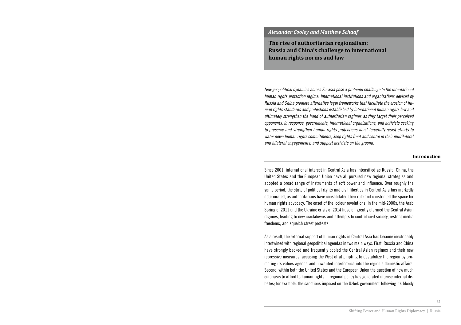#### *Alexander Cooley and Matthew Schaaf*

**The rise of authoritarian regionalism: Russia and China's challenge to international human rights norms and law**

*New geopolitical dynamics across Eurasia pose a profound challenge to the international human rights protection regime. International institutions and organizations devised by Russia and China promote alternative legal frameworks that facilitate the erosion of human rights standards and protections established by international human rights law and ultimately strengthen the hand of authoritarian regimes as they target their perceived opponents. In response, governments, international organizations, and activists seeking to preserve and strengthen human rights protections must forcefully resist efforts to water down human rights commitments, keep rights front and centre in their multilateral and bilateral engagements, and support activists on the ground.*

#### **Introduction**

Since 2001, international interest in Central Asia has intensified as Russia, China, the United States and the European Union have all pursued new regional strategies and adopted a broad range of instruments of soft power and influence. Over roughly the same period, the state of political rights and civil liberties in Central Asia has markedly deteriorated, as authoritarians have consolidated their rule and constricted the space for human rights advocacy. The onset of the 'colour revolutions' in the mid-2000s, the Arab Spring of 2011 and the Ukraine crisis of 2014 have all greatly alarmed the Central Asian regimes, leading to new crackdowns and attempts to control civil society, restrict media freedoms, and squelch street protests.

As a result, the external support of human rights in Central Asia has become inextricably intertwined with regional geopolitical agendas in two main ways. First, Russia and China have strongly backed and frequently copied the Central Asian regimes and their new repressive measures, accusing the West of attempting to destabilize the region by promoting its values agenda and unwanted interference into the region's domestic affairs. Second, within both the United States and the European Union the question of how much emphasis to afford to human rights in regional policy has generated intense internal debates; for example, the sanctions imposed on the Uzbek government following its bloody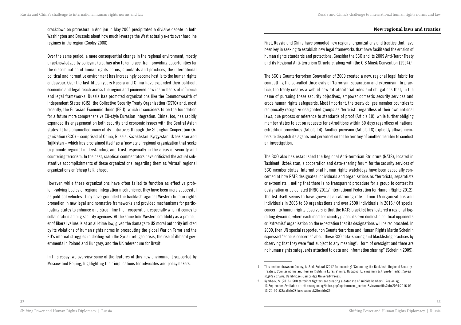crackdown on protestors in Andijan in May 2005 precipitated a divisive debate in both Washington and Brussels about how much leverage the West actually exerts over hardline regimes in the region (Cooley 2008).

Over the same period, a more consequential change in the regional environment, mostly unacknowledged by policymakers, has also taken place: from providing opportunities for the dissemination of human rights norms, standards and practices, the international political and normative environment has increasingly become hostile to the human rights endeavour. Over the last fifteen years Russia and China have expanded their political, economic and legal reach across the region and pioneered new instruments of influence and legal frameworks. Russia has promoted organizations like the Commonwealth of Independent States (CIS), the Collective Security Treaty Organization (CSTO) and, most recently, the Eurasian Economic Union (EEU), which it considers to be the foundation for a future more comprehensive EU-style Eurasian integration. China, too, has rapidly expanded its engagement on both security and economic issues with the Central Asian states. It has channelled many of its initiatives through the Shanghai Cooperation Organization (SCO) – comprised of China, Russia, Kazakhstan, Kyrgyzstan, Uzbekistan and Tajikistan – which has proclaimed itself as a 'new style' regional organization that seeks to promote regional understanding and trust, especially in the areas of security and countering terrorism. In the past, sceptical commentators have criticized the actual substantive accomplishments of these organizations, regarding them as 'virtual' regional organizations or 'cheap talk' shops.

However, while these organizations have often failed to function as effective problem-solving bodies or regional integration mechanisms, they have been more successful as political vehicles. They have grounded the backlash against Western human rights promotion in new legal and normative frameworks and provided mechanisms for participating states to enhance and streamline their cooperation, especially when it comes to collaboration among security agencies. At the same time Western credibility as a promoter of liberal values is at an all-time low, given the damage to US moral authority inflicted by its violations of human rights norms in prosecuting the global War on Terror and the EU's internal struggles in dealing with the Syrian refugee crisis, the rise of illiberal governments in Poland and Hungary, and the UK referendum for Brexit.

In this essay, we overview some of the features of this new environment supported by Moscow and Beijing, highlighting their implications for advocates and policymakers.

#### **New regional laws and treaties**

First, Russia and China have promoted new regional organizations and treaties that have been key in seeking to establish new legal frameworks that have facilitated the erosion of human rights standards and protections. Consider the SCO and its 2009 Anti-Terror Treaty and its Regional Anti-terrorism Structure, along with the CIS Minsk Convention (1994).<sup>1</sup>

The SCO's Counterterrorism Convention of 2009 created a new, regional legal fabric for combatting the so-called three evils of 'terrorism, separatism and extremism'. In practice, the treaty creates a web of new extraterritorial rules and obligations that, in the name of pursuing these security objectives, empower domestic security services and erode human rights safeguards. Most important, the treaty obliges member countries to reciprocally recognize designated groups as 'terrorist', regardless of their own national laws, due process or reference to standards of proof (Article 10), while further obliging member states to act on requests for extraditions within 30 days regardless of national extradition procedures (Article 14). Another provision (Article 18) explicitly allows members to dispatch its agents and personnel on to the territory of another member to conduct an investigation.

The SCO also has established the Regional Anti-terrorism Structure (RATS), located in Tashkent, Uzbekistan, a cooperation and data-sharing forum for the security services of SCO member states. International human rights watchdogs have been especially concerned at how RATS designates individuals and organizations as "terrorists, separatists or extremists", noting that there is no transparent procedure for a group to contest its designation or be delisted (HRIC 2011/ International Federation for Human Rights 2012). The list itself seems to have grown at an alarming rate – from 15 organizations and individuals in 2006 to 69 organizations and over 2500 individuals in 2016.<sup>2</sup> Of special concern to human rights observers is that the RATS blacklist has fostered a regional logrolling dynamic, where each member country places its own domestic political opponents or 'extremist' organization on the expectation that its designations will be reciprocated. In 2009, then UN special rapporteur on Counterterrorism and Human Rights Martin Scheinin expressed "serious concerns" about these SCO data-sharing and blacklisting practices by observing that they were "not subject to any meaningful form of oversight and there are no human rights safeguards attached to data and information sharing" (Scheinin 2009).

<sup>1</sup> This section draws on Cooley, A. & M. Schaaf (2017 forthcoming) 'Grounding the Backlash: Regional Security Treaties, Counter norms and Human Rights in Eurasia' in: S. Hopgood, L. Vinjamuri & J. Snyder (eds) *Human Rights Futures*, Cambridge: Cambridge University Press.

<sup>2</sup> Rymbaev, S. (2016) 'SCO terrorism fighters are creating a database of suicide bombers', Region.kg, 13 September. Available at: http://region.kg/index.php?option=com\_content&view=artile&id=2059:2016-09- 13-20-20-53&catid=28:bezopasnost&Itemid=35.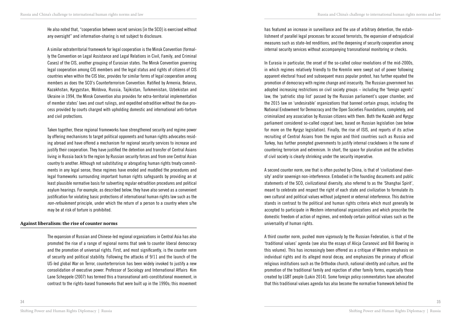He also noted that, "cooperation between secret services [in the SCO] is exercised without any oversight" and information-sharing is not subject to disclosure.

A similar extraterritorial framework for legal cooperation is the Minsk Convention (formally the Convention on Legal Assistance and Legal Relations in Civil, Family, and Criminal Cases) of the CIS, another grouping of Eurasian states. The Minsk Convention governing legal cooperation among CIS members and the legal status and rights of citizens of CIS countries when within the CIS bloc, provides for similar forms of legal cooperation among members as does the SCO's Counterterrorism Convention. Ratified by Armenia, Belarus, Kazakhstan, Kyrgyzstan, Moldova, Russia, Tajikistan, Turkmenistan, Uzbekistan and Ukraine in 1994, the Minsk Convention also provides for extra-territorial implementation of member states' laws and court rulings, and expedited extradition without the due process provided by courts charged with upholding domestic and international anti-torture and civil protections.

Taken together, these regional frameworks have strengthened security and regime power by offering mechanisms to target political opponents and human rights advocates residing abroad and have offered a mechanism for regional security services to increase and justify their cooperation. They have justified the detention and transfer of Central Asians living in Russia back to the region by Russian security forces and from one Central Asian country to another. Although not substituting or abrogating human rights treaty commitments in any legal sense, these regimes have eroded and muddled the procedures and legal frameworks surrounding important human rights safeguards by providing an at least plausible normative basis for subverting regular extradition procedures and political asylum hearings. For example, as described below, they have also served as a convenient justification for violating basic protections of international human rights law such as the *non-refoulement* principle, under which the return of a person to a country where s/he may be at risk of torture is prohibited.

## **Against liberalism: the rise of counter norms**

The expansion of Russian and Chinese-led regional organizations in Central Asia has also promoted the rise of a range of regional norms that seek to counter liberal democracy and the promotion of universal rights. First, and most significantly, is the counter norm of security and political stability. Following the attacks of 9/11 and the launch of the US-led global War on Terror, counterterrorism has been widely invoked to justify a new consolidation of executive power. Professor of Sociology and International Affairs Kim Lane Scheppele (2007) has termed this a transnational anti-constitutional movement, in contrast to the rights-based frameworks that were built up in the 1990s; this movement

has featured an increase in surveillance and the use of arbitrary detention, the establishment of parallel legal processes for accused terrorists, the expansion of extrajudicial measures such as state-led renditions, and the deepening of security cooperation among internal security services without accompanying transnational monitoring or checks.

In Eurasia in particular, the onset of the so-called colour revolutions of the mid-2000s, in which regimes relatively friendly to the Kremlin were swept out of power following apparent electoral fraud and subsequent mass popular protest, has further equated the promotion of democracy with regime change and insecurity. The Russian government has adopted increasing restrictions on civil society groups – including the 'foreign agents' law, the 'patriotic stop list' passed by the Russian parliament's upper chamber, and the 2015 law on 'undesirable' organizations that banned certain groups, including the National Endowment for Democracy and the Open Societies Foundations, completely, and criminalized any association by Russian citizens with them. Both the Kazakh and Kyrgyz parliament considered so-called copycat laws, based on Russian legislation (see below for more on the Kyrgyz legislation). Finally, the rise of ISIS, and reports of its active recruiting of Central Asians from the region and third countries such as Russia and Turkey, has further prompted governments to justify internal crackdowns in the name of countering terrorism and extremism. In short, the space for pluralism and the activities of civil society is clearly shrinking under the security imperative.

A second counter norm, one that is often pushed by China, is that of 'civilizational diversity' and/or sovereign non-interference. Embodied in the founding documents and public statements of the SCO, civilizational diversity, also referred to as the 'Shanghai Spirit', meant to celebrate and respect the right of each state and civilization to formulate its own cultural and political values without judgment or external interference. This doctrine stands in contrast to the political and human rights criteria which must generally be accepted to participate in Western international organizations and which proscribe the domestic freedom of action of regimes, and embody certain political values such as the universality of human rights.

A third counter norm, pushed more vigorously by the Russian Federation, is that of the 'traditional values' agenda (see also the essays of Alicja Curanović and Bill Bowring in this volume). This has increasingly been offered as a critique of Western emphasis on individual rights and its alleged moral decay, and emphasizes the primacy of official religious institutions such as the Orthodox church, national identity and culture, and the promotion of the traditional family and rejection of other family forms, especially those created by LGBT people (Lukin 2014). Some foreign policy commentators have advocated that this traditional values agenda has also become the normative framework behind the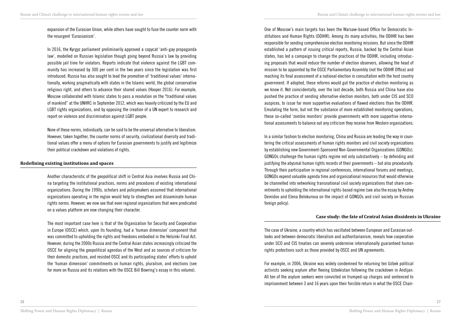expansion of the Eurasian Union, while others have sought to fuse the counter norm with the resurgent 'Eurasianism'.

In 2016, the Kyrgyz parliament preliminarily approved a copycat 'anti-gay propaganda law', modelled on Russian legislation though going beyond Russia's law by providing possible jail time for violators. Reports indicate that violence against the LGBT community has increased by 300 per cent in the two years since the legislation was first introduced. Russia has also sought to lead the promotion of 'traditional values' internationally, working pragmatically with states in the Islamic world, the global conservative religious right, and others to advance their shared values (Hooper 2016). For example, Moscow collaborated with Islamic states to pass a resolution on the "traditional values of mankind" at the UNHRC in September 2012, which was heavily criticized by the EU and LGBT rights organizations, and by opposing the creation of a UN expert to research and report on violence and discrimination against LGBT people.

None of these norms, individually, can be said to be the universal alternative to liberalism. However, taken together, the counter norms of security, civilizational diversity and traditional values offer a menu of options for Eurasian governments to justify and legitimize their political crackdown and violations of rights.

## **Redefining existing institutions and spaces**

Another characteristic of the geopolitical shift in Central Asia involves Russia and China targeting the institutional practices, norms and procedures of existing international organizations. During the 1990s, scholars and policymakers assumed that international organizations operating in the region would help to strengthen and disseminate human rights norms. However, we now see that even regional organizations that were predicated on a values platform are now changing their character.

The most important case here is that of the Organization for Security and Cooperation in Europe (OSCE) which, upon its founding, had a 'human dimension' component that was committed to upholding the rights and freedoms embodied in the Helsinki Final Act. However, during the 2000s Russia and the Central Asian states increasingly criticized the OSCE for aligning the geopolitical agendas of the West and as sources of criticism for their domestic practices, and resisted OSCE and its participating states' efforts to uphold the 'human dimension' commitments on human rights, pluralism, and elections (see for more on Russia and its relations with the OSCE Bill Bowring's essay in this volume).

One of Moscow's main targets has been the Warsaw-based Office for Democratic Institutions and Human Rights (ODIHR). Among its many activities, the ODIHR has been responsible for sending comprehensive election monitoring missions. But since the ODIHR established a pattern of issuing critical reports, Russia, backed by the Central Asian states, has led a campaign to change the practices of the ODIHR, including introducing proposals that would reduce the number of election observers, allowing the head of mission to be appointed by the OSCE Parliamentary Assembly (not the ODIHR Office) and reaching its final assessment of a national election in consultation with the host country government. If adopted, these reforms would gut the practice of election monitoring as we know it. Not coincidentally, over the last decade, both Russia and China have also pushed the practice of sending alternative election monitors, both under CIS and SCO auspices, to issue far more supportive evaluations of flawed elections than the ODIHR. Emulating the form, but not the substance of more established monitoring operations, these so-called 'zombie monitors' provide governments with more supportive international assessments to balance out any criticism they receive from Western organizations.

In a similar fashion to election monitoring, China and Russia are leading the way in countering the critical assessments of human rights monitors and civil society organizations by establishing new Government-Sponsored Non-Governmental Organizations (GONGOs). GONGOs challenge the human rights regime not only substantively – by defending and justifying the abysmal human rights records of their governments – but also procedurally. Through their participation in regional conferences, international forums and meetings, GONGOs expend valuable agenda time and organizational resources that would otherwise be channelled into networking transnational civil society organizations that share commitments to upholding the international rights-based regime (see also the essay by Andrey Demidov and Elena Belokurova on the impact of GONGOs and civil society on Russian foreign policy).

## **Case study: the fate of Central Asian dissidents in Ukraine**

The case of Ukraine, a country which has vacillated between European and Eurasian outlooks and between democratic liberalism and authoritarianism, reveals how cooperation under SCO and CIS treaties can severely undermine internationally guaranteed human rights protections such as those provided by OSCE and UN agreements.

For example, in 2006, Ukraine was widely condemned for returning ten Uzbek political activists seeking asylum after fleeing Uzbekistan following the crackdown in Andijan. All ten of the asylum seekers were convicted on trumped-up charges and sentenced to imprisonment between 3 and 16 years upon their forcible return in what the OSCE Chair-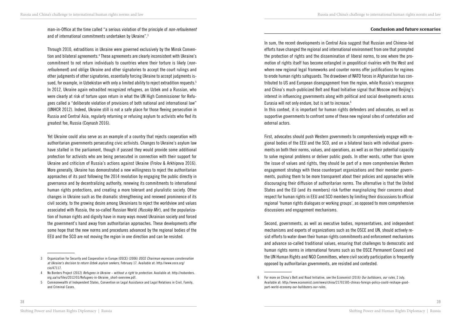**Conclusion and future scenarios**

man-in-Office at the time called "a serious violation of the principle of *non-refoulement* and of international commitments undertaken by Ukraine".3

Through 2010, extraditions in Ukraine were governed exclusively by the Minsk Convention and bilateral agreements.<sup>4</sup> These agreements are clearly inconsistent with Ukraine's commitment to not return individuals to countries where their torture is likely (*nonrefoulement*) and oblige Ukraine and other signatories to accept the court rulings and other judgments of other signatories, essentially forcing Ukraine to accept judgments issued, for example, in Uzbekistan with only a limited ability to reject extradition requests.<sup>5</sup> In 2012, Ukraine again extradited recognized refugees, an Uzbek and a Russian, who were clearly at risk of torture upon return in what the UN High Commissioner for Refugees called a "deliberate violation of provisions of both national and international law" (UNHCR 2012). Indeed, Ukraine still is not a safe place for those fleeing persecution in Russia and Central Asia, regularly returning or refusing asylum to activists who fled its greatest foe, Russia (Coynash 2016).

Yet Ukraine could also serve as an example of a country that rejects cooperation with authoritarian governments persecuting civic activists. Changes to Ukraine's asylum law have stalled in the parliament, though if passed they would provide some additional protection for activists who are being persecuted in connection with their support for Ukraine and criticism of Russia's actions against Ukraine (Frolov & Arkhipova 2016). More generally, Ukraine has demonstrated a new willingness to reject the authoritarian approaches of its past following the 2014 revolution by engaging the public directly in governance and by decentralizing authority, renewing its commitments to international human rights protections, and creating a more tolerant and pluralistic society. Other changes in Ukraine such as the dramatic strengthening and renewed prominence of its civil society, to the growing desire among Ukrainians to reject the worldview and values associated with Russia, the so-called Russian World *(Russkiy Mir*), and the popularization of human rights and dignity have in many ways moved Ukrainian society and forced the government's hand away from authoritarian approaches. These developments offer some hope that the new norms and procedures advanced by the regional bodies of the EEU and the SCO are not moving the region in one direction and can be resisted.

In sum, the recent developments in Central Asia suggest that Russian and Chinese-led efforts have changed the regional and international environment from one that prompted the protection of rights and the dissemination of liberal norms, to one where the promotion of rights itself has become entangled in geopolitical rivalries with the West and where new regional legal frameworks and counter norms offer justifications for regimes to erode human rights safeguards. The drawdown of NATO forces in Afghanistan has contributed to US and European disengagement from the region, while Russia's resurgence and China's much-publicized Belt and Road Initiative signal that Moscow and Beijing's interest in influencing governments along with political and social developments across Eurasia will not only endure, but is set to increase.6

In this context, it is important for human rights defenders and advocates, as well as supportive governments to confront some of these new regional sites of contestation and external actors.

First, advocates should push Western governments to comprehensively engage with regional bodies of the EEU and the SCO, and on a bilateral basis with individual governments on both their norms, values, and operations, as well as on their potential capacity to solve regional problems or deliver public goods. In other words, rather than ignore the issue of values and rights, they should be part of a more comprehensive Western engagement strategy with these counterpart organizations and their member governments, pushing them to be more transparent about their policies and approaches while discouraging their diffusion of authoritarian norms. The alternative is that the United States and the EU (and its members) risk further marginalizing their concerns about respect for human rights in EEU and SCO members by limiting their discussions to official regional 'human rights dialogues or working groups', as opposed to more comprehensive discussions and engagement mechanisms.

Second, governments, as well as executive bodies, representatives, and independent mechanisms and experts of organizations such as the OSCE and UN, should actively resist efforts to water down their human rights commitments and enforcement mechanisms and advance so-called traditional values, ensuring that challenges to democratic and human rights norms in international forums such as the OSCE Permanent Council and the UN Human Rights and NGO Committees, where civil society participation is frequently opposed by authoritarian governments, are resisted and contested.

<sup>3</sup> Organization for Security and Cooperation in Europe (OSCE) (2006) *OSCE Chairman expresses consternation at Ukraine's decision to return Uzbek asylum seekers*, February 17. Available at: http://www.osce.org/ cio/47117.

<sup>4</sup> No Borders Project (2012) *Refugees in Ukraine – without a right to protection*. Available at: http://noborders. org.ua/ru/files/2012/01/Refugees-in-Ukraine\_short-overview.pdf.

<sup>5</sup> Commonwealth of Independent States, Convention on Legal Assistance and Legal Relations in Civil, Family, and Criminal Cases.

<sup>6</sup> For more on China's Belt and Road Initiative, see the Economist (2016) *Our bulldozers, our rules*, 2 July. Available at: http://www.economist.com/news/china/21701505-chinas-foreign-policy-could-reshape-goodpart-world-economy-our-bulldozers-our-rules.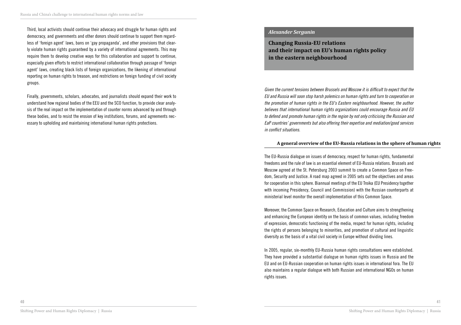Third, local activists should continue their advocacy and struggle for human rights and democracy, and governments and other donors should continue to support them regardless of 'foreign agent' laws, bans on 'gay propaganda', and other provisions that clearly violate human rights guaranteed by a variety of international agreements. This may require them to develop creative ways for this collaboration and support to continue, especially given efforts to restrict international collaboration through passage of 'foreign agent' laws, creating black lists of foreign organizations, the likening of international reporting on human rights to treason, and restrictions on foreign funding of civil society groups.

Finally, governments, scholars, advocates, and journalists should expand their work to understand how regional bodies of the EEU and the SCO function, to provide clear analysis of the real impact on the implementation of counter norms advanced by and through these bodies, and to resist the erosion of key institutions, forums, and agreements necessary to upholding and maintaining international human rights protections.

### *Alexander Sergunin*

**Changing Russia-EU relations and their impact on EU's human rights policy in the eastern neighbourhood**

Given the current tensions between Brussels and Moscow it is difficult to expect that the *EU and Russia will soon stop harsh polemics on human rights and turn to cooperation on the promotion of human rights in the EU's Eastern neighbourhood. However, the author believes that international human rights organizations could encourage Russia and EU to defend and promote human rights in the region by not only criticising the Russian and EaP countries' governments but also offering their expertise and mediation/good services*  in conflict situations.

#### **A general overview of the EU-Russia relations in the sphere of human rights**

The EU-Russia dialogue on issues of democracy, respect for human rights, fundamental freedoms and the rule of law is an essential element of EU-Russia relations. Brussels and Moscow agreed at the St. Petersburg 2003 summit to create a Common Space on Freedom, Security and Justice. A road map agreed in 2005 sets out the objectives and areas for cooperation in this sphere. Biannual meetings of the EU Troika (EU Presidency together with incoming Presidency, Council and Commission) with the Russian counterparts at ministerial level monitor the overall implementation of this Common Space.

Moreover, the Common Space on Research, Education and Culture aims to strengthening and enhancing the European identity on the basis of common values, including freedom of expression, democratic functioning of the media, respect for human rights, including the rights of persons belonging to minorities, and promotion of cultural and linguistic diversity as the basis of a vital civil society in Europe without dividing lines.

In 2005, regular, six-monthly EU-Russia human rights consultations were established. They have provided a substantial dialogue on human rights issues in Russia and the EU and on EU-Russian cooperation on human rights issues in international fora. The EU also maintains a regular dialogue with both Russian and international NGOs on human rights issues.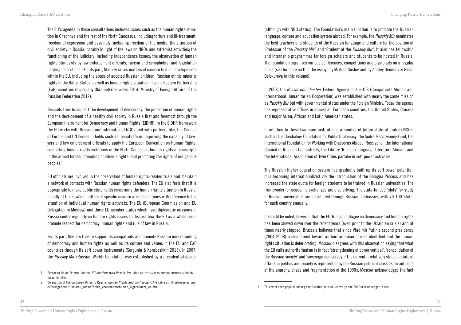The EU's agenda in these consultations includes issues such as the human rights situation in Chechnya and the rest of the North Caucasus, including torture and ill-treatment; freedom of expression and assembly, including freedom of the media; the situation of civil society in Russia, notably in light of the laws on NGOs and extremist activities; the functioning of the judiciary, including independence issues; the observation of human rights standards by law enforcement officials; racism and xenophobia; and legislation relating to elections.<sup>1</sup> For its part, Moscow raises matters of concern to it on developments within the EU, including the abuse of adopted Russian children, Russian ethnic minority rights in the Baltic States, as well as human rights situation in some Eastern Partnership (EaP) countries (especially Ukraine)(Yakovenko 2014; Ministry of Foreign Affairs of the Russian Federation 2012).

Brussels tries to support the development of democracy, the protection of human rights and the development of a healthy civil society in Russia first and foremost through the European Instrument for Democracy and Human Rights (EIDHR). In the EIDHR framework the EU works with Russian and international NGOs and with partners like, the Council of Europe and UN bodies in fields such as: penal reform; improving the capacity of lawyers and law enforcement officials to apply the European Convention on Human Rights; combating human rights violations in the North Caucasus; human rights of conscripts in the armed forces; promoting children's rights; and promoting the rights of indigenous peoples.2

EU officials are involved in the observation of human rights-related trials and maintain a network of contacts with Russian human rights defenders. The EU also feels that it is appropriate to make public statements concerning the human rights situation in Russia, usually at times when matters of specific concern arise, sometimes with reference to the situation of individual human rights activists. The EU (European Commission and EU Delegation in Moscow) and those EU member states which have diplomatic missions in Russia confer regularly on human rights issues to discuss how the EU as a whole could promote respect for democracy, human rights and rule of law in Russia.

For its part, Moscow tries to support its compatriots and promote Russian understanding of democracy and human rights as well as its culture and values in the EU and EaP countries through its soft power instruments (Sergunin & Karabeshkin 2015). In 2007, the *Russkiy Mir* (Russian World) foundation was established by a presidential decree

(although with NGO status). The Foundation's main function is to promote the Russian language, culture and education system abroad. For example, the *Russkiy Mir* nominates the best teachers and students of the Russian language and culture for the position of 'Professor of the *Russkiy Mir* ' and 'Student of the *Russkiy Mir* '. It also has fellowship and internship programmes for foreign scholars and students to be hosted in Russia. The foundation organizes various conferences, competitions and olympiads on a regular basis (see for more on this the essays by Mikhail Suslov and by Andrey Demidov & Elena Belokurova in this volume).

In 2008, the *Rossotrudnichestvo*, Federal Agency for the CIS (Compatriots Abroad and International Humanitarian Cooperation) was established with nearly the same mission as *Russkiy Mir* but with governmental status under the Foreign Ministry. Today the agency has representative offices in almost all European countries, the United States, Canada and major Asian, African and Latin American states.

In addition to these two main institutions, a number of (often state-affiliated) NGOs, such as the Gorchakov Foundation for Public Diplomacy, the Andrei Pervozvanny Fund, the International Foundation for Working with Diasporas Abroad 'Rossiyane', the International Council of Russian Compatriots, the Library 'Russian-language Literature Abroad' and the International Association of Twin Cities partake in soft power activities.

The Russian higher education system has gradually built up its soft power potential. It is becoming internationalized *via* the introduction of the Bologna Process and has increased the state quota for foreign students to be trained in Russian universities. The frameworks for academic exchanges are diversifying. The state-funded 'slots' for study in Russian universities are distributed through Russian embassies, with 70-100 'slots' for each country annually.

It should be noted, however, that the EU-Russia dialogue on democracy and human rights has been slowed down over the recent years (even prior to the Ukrainian crisis) and at times nearly stopped. Brussels believes that since Vladimir Putin's second presidency (2004-2008) a clear trend toward authoritarianism can be identified and the human rights situation is deteriorating. Moscow disagrees with this observation saying that what the EU calls authoritarianism is in fact 'strengthening of power vertical', 'consolidation of the Russian society' and 'sovereign democracy'.3 The current – relatively stable – state of affairs in politics and society is represented by the Russian political class as an antipode of the anarchy, chaos and fragmentation of the 1990s. Moscow acknowledges the fact

<sup>1</sup> European Union External Action. *EU relations with Russia*. Available at: http://eeas.europa.eu/russia/about/ index\_en.htm.

<sup>2</sup> Delegation of the European Union to Russia. *Human Rights and Civil Society*. Available at: http://eeas.europa. eu/delegations/russia/eu\_russia/fields\_cooperation/human\_rights/index\_en.htm.

<sup>3</sup> This term once popular among the Russian political elites (in the 2000s) is no longer in use.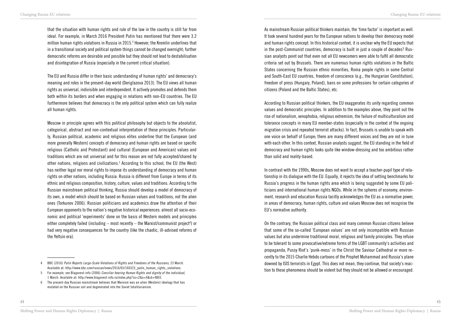that the situation with human rights and rule of the law in the country is still far from ideal. For example, in March 2016 President Putin has mentioned that there were 3.2 million human rights violations in Russia in 2015.4 However, the Kremlin underlines that in a transitional society and political system things cannot be changed overnight; further democratic reforms are desirable and possible but they should not lead to destabilisation and disintegration of Russia (especially in the current critical situation).

The EU and Russia differ in their basic understanding of human rights' and democracy's meaning and roles in the present-day world (Deriglazova 2013). The EU views all human rights as universal, indivisible and interdependent. It actively promotes and defends them both within its borders and when engaging in relations with non-EU countries. The EU furthermore believes that democracy is the only political system which can fully realize all human rights.

Moscow in principle agrees with this political philosophy but objects to the absolutist, categorical, abstract and non-contextual interpretation of these principles. Particularly, Russian political, academic and religious elites underline that the European (and more generally Western) concepts of democracy and human rights are based on specific religious (Catholic and Protestant) and cultural (European and American) values and traditions which are not universal and for this reason are not fully accepted/shared by other nations, religions and civilizations.<sup>5</sup> According to this school, the EU (the West) has neither legal nor moral rights to impose its understanding of democracy and human rights on other nations, including Russia. Russia is different from Europe in terms of its ethnic and religious composition, history, culture, values and traditions. According to the Russian mainstream political thinking, Russia should develop a model of democracy of its own, a model which should be based on Russian values and traditions, not the alien ones (Torkunov 2006). Russian politicians and academics draw the attention of their European opponents to the nation's negative historical experiences: almost all socio-economic and political 'experiments' done on the basis of Western models and principles either completely failed (including – most recently – the Marxist/communist project<sup>6</sup>) or had very negative consequences for the country (like the chaotic, ill-advised reforms of the Yeltsin era).

As mainstream Russian political thinkers maintain, the 'time factor' is important as well. It took several hundred years for the European nations to develop their democracy model and human rights concept. In this historical context, it is unclear why the EU expects that in the post-Communist countries, democracy is built in just a couple of decades? Russian analysts point out that even not all EU newcomers were able to fulfil all democratic criteria set out by Brussels. There are numerous human rights violations in the Baltic States concerning the Russian ethnic minorities, Roma people rights in some Central and South-East EU countries, freedom of conscience (e.g., the Hungarian Constitution), freedom of press (Hungary, Poland), bans on some professions for certain categories of citizens (Poland and the Baltic States), etc.

According to Russian political thinkers, the EU exaggerates its unity regarding common values and democratic principles. In addition to the examples above, they point out the rise of nationalism, xenophobia, religious extremism, the failure of multiculturalism and tolerance concepts in many EU member-states (especially in the context of the ongoing migration crisis and repeated terrorist attacks). In fact, Brussels is unable to speak with one voice on behalf of Europe; there are many different voices and they are not in tune with each other. In this context, Russian analysts suggest, the EU standing in the field of democracy and human rights looks quite like window-dressing and too ambitious rather than solid and reality-based.

In contrast with the 1990s, Moscow does not want to accept a teacher-pupil type of relationship in its dialogue with the EU. Equally, it rejects the idea of setting benchmarks for Russia's progress in the human rights area which is being suggested by some EU politicians and international human rights NGOs. While in the spheres of economy, environment, research and education Russia tacitly acknowledges the EU as a normative power, in areas of democracy, human rights, culture and values Moscow does not recognise the EU's normative authority.

On the contrary, the Russian political class and many common Russian citizens believe that some of the so-called 'European values' are not only incompatible with Russian values but also undermine traditional moral, religious and family principles. They refuse to be tolerant to some provocative/extreme forms of the LGBT community's activities and propaganda, Pussy Riot's 'punk-mess' in the Christ the Saviour Cathedral or more recently to the 2015 Charlie Hebdo cartoons of the Prophet Muhammad and Russia's plane downed by ISIS terrorists in Egypt. This does not mean, they continue, that society's reaction to these phenomena should be violent but they should not be allowed or encouraged.

<sup>4</sup> BBC (2016) *Putin Reports Large-Scale Violations of Rights and Freedoms of the Russians*, 23 March. Available at: http://www.bbc.com/russian/news/2016/03/160323\_putin\_human\_rights\_violations.

<sup>5</sup> For example, see Blagovest-info (2006) *Conciliar hearing Human Rights and dignity of the individual*, 1 March. Available at: http://www.blagovest-info.ru/index.php?ss=2&s=4&id=4803.

<sup>6</sup> The present-day Russian mainstream believes that Marxism was an alien (Western) ideology that has mutated on the Russian soil and degenerated into the Soviet totalitarianism.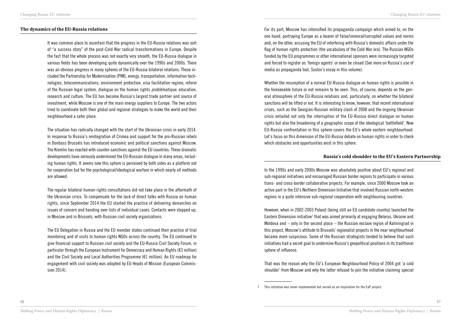#### **The dynamics of the EU-Russia relations**

It was common place to ascertain that the progress in the EU-Russia relations was sort of "a success story" of the post-Cold War radical transformations in Europe. Despite the fact that the whole process was not exactly very smooth, the EU-Russia dialogue in various fields has been developing quite dynamically over the 1990s and 2000s. There was an obvious progress in many spheres of the EU-Russia bilateral relations. These included the Partnership for Modernization (PfM), energy, transportation, information technologies, telecommunications, environment protection, visa facilitation regime, reform of the Russian legal system, dialogue on the human rights *problématique*, education, research and culture. The EU has become Russia's largest trade partner and source of investment, while Moscow is one of the main energy suppliers to Europe. The two actors tried to coordinate both their global and regional strategies to make the world and their neighbourhood a safer place.

The situation has radically changed with the start of the Ukrainian crisis in early 2014. In response to Russia's reintegration of Crimea and support for the pro-Russian rebels in Donbass Brussels has introduced economic and political sanctions against Moscow. The Kremlin has reacted with counter-sanctions against the EU countries. These dramatic developments have seriously undermined the EU-Russian dialogue in many areas, including human rights. It seems now this sphere is perceived by both sides as a platform not for cooperation but for the psychological/ideological warfare in which nearly all methods are allowed.

The regular bilateral human rights consultations did not take place in the aftermath of the Ukrainian crisis. To compensate for the lack of direct talks with Russia on human rights, since September 2014 the EU started the practice of delivering demarches on issues of concern and handing over lists of individual cases. Contacts were stepped up, in Moscow and in Brussels, with Russian civil society organizations.

The EU Delegation in Russia and the EU member states continued their practice of trial monitoring and of visits to human rights NGOs across the country. The EU continued to give financial support to Russian civil society and the EU-Russia Civil Society Forum, in particular through the European Instrument for Democracy and Human Rights (€3 million) and the Civil Society and Local Authorities Programme (€1 million). An EU roadmap for engagement with civil society was adopted by EU Heads of Mission (European Commission 2014).

For its part, Moscow has intensified its propaganda campaign which aimed to, on the one hand, portraying Europe as a bearer of false/immoral/corrupted values and norms and, on the other, accusing the EU of interfering with Russia's domestic affairs under the flag of human rights protection (the vocabulary of the Cold War era). The Russian NGOs funded by the EU programmes or other international sponsors were increasingly targeted and forced to register as 'foreign agents' or even be closed (See more on Russia's use of media as propaganda tool, Suslov's essay in this volume).

Whether the resumption of a normal EU-Russia dialogue on human rights is possible in the foreseeable future or not remains to be seen. This, of course, depends on the general atmosphere of the EU-Russia relations and, particularly, on whether the bilateral sanctions will be lifted or not. It is interesting to know, however, that recent international crises, such as the Georgian-Russian military clash of 2008 and the ongoing Ukrainian crisis entailed not only the interruption of the EU-Russia direct dialogue on human rights but also the broadening of a geographic scope of the ideological 'battlefield'. Now EU-Russia confrontation in this sphere covers the EU's whole eastern neighbourhood. Let's focus on this dimension of the EU-Russia debate on human rights in order to check which obstacles and opportunities exist in this sphere.

#### **Russia's cold shoulder to the EU's Eastern Partnership**

In the 1990s and early 2000s Moscow was absolutely positive about EU's regional and sub-regional initiatives and encouraged Russian border regions to participate in various trans- and cross-border collaborative projects. For example, since 2000 Moscow took an active part in the EU's Northern Dimension Initiative that involved Russian north-western regions in a quite intensive sub-regional cooperation with neighbouring countries.

However, when in 2002-2003 Poland (being still an EU candidate country) launched the Eastern Dimension initiative<sup>7</sup> that was aimed primarily at engaging Belarus, Ukraine and Moldova and – only in the second place – the Russian exclave region of Kaliningrad in this project, Moscow's attitude to Brussels' regionalist projects in the near neighbourhood became more suspicious. Some of the Russian strategists tended to believe that such initiatives had a secret goal to undermine Russia's geopolitical positions in its traditional sphere of influence.

That was the reason why the EU's European Neighbourhood Policy of 2004 got 'a cold shoulder' from Moscow and why the latter refused to join the initiative claiming special

<sup>7</sup> This initiative was never implemented but served as an inspiration for the EaP project.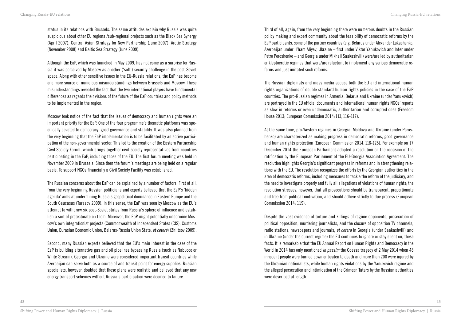status in its relations with Brussels. The same attitudes explain why Russia was quite suspicious about other EU regional/sub-regional projects such as the Black Sea Synergy (April 2007), Central Asian Strategy for New Partnership (June 2007), Arctic Strategy (November 2008) and Baltic Sea Strategy (June 2009).

Although the EaP, which was launched in May 2009, has not come as a surprise for Russia it was perceived by Moscow as another ('soft') security challenge in the post-Soviet space. Along with other sensitive issues in the EU-Russia relations, the EaP has become one more source of numerous misunderstandings between Brussels and Moscow. These misunderstandings revealed the fact that the two international players have fundamental differences as regards their visions of the future of the EaP countries and policy methods to be implemented in the region.

Moscow took notice of the fact that the issues of democracy and human rights were an important priority for the EaP. One of the four programme's thematic platforms was specifically devoted to democracy, good governance and stability. It was also planned from the very beginning that the EaP implementation is to be facilitated by an active participation of the non-governmental sector. This led to the creation of the Eastern Partnership Civil Society Forum, which brings together civil society representatives from countries participating in the EaP, including those of the EU. The first forum meeting was held in November 2009 in Brussels. Since then the forum's meetings are being held on a regular basis. To support NGOs financially a Civil Society Facility was established.

The Russian concerns about the EaP can be explained by a number of factors. First of all, from the very beginning Russian politicians and experts believed that the EaP's 'hidden agenda' aims at undermining Russia's geopolitical dominance in Eastern Europe and the South Caucasus (Tarasov 2009). In this sense, the EaP was seen by Moscow as the EU's attempt to withdraw six post-Soviet states from Russia's sphere of influence and establish a sort of protectorate on them. Moreover, the EaP might potentially undermine Moscow's own integrationist projects (Commonwealth of Independent States (CIS), Customs Union, Eurasian Economic Union, Belarus-Russia Union State, *et cetera*) (Zhiltsov 2009).

Second, many Russian experts believed that the EU's main interest in the case of the EaP is building alternative gas and oil pipelines bypassing Russia (such as Nabucco or White Stream). Georgia and Ukraine were considered important transit countries while Azerbaijan can serve both as a source of and transit point for energy supplies. Russian specialists, however, doubted that these plans were realistic and believed that any new energy transport schemes without Russia's participation were doomed to failure.

Third of all, again, from the very beginning there were numerous doubts in the Russian policy making and expert community about the feasibility of democratic reforms by the EaP participants: some of the partner countries (e.g. Belarus under Alexander Lukashenko, Azerbaijan under Il'ham Aliyev, Ukraine – first under Viktor Yanukovich and later under Petro Poroshenko – and Georgia under Mikhail Saakashvili) were/are led by authoritarian or kleptocratic regimes that were/are reluctant to implement any serious democratic reforms and just imitated such reforms.

The Russian diplomats and mass media accuse both the EU and international human rights organizations of double standard human rights policies in the case of the EaP countries. The pro-Russian regimes in Armenia, Belarus and Ukraine (under Yanukovich) are portrayed in the EU official documents and international human rights NGOs' reports as slow in reforms or even undemocratic, authoritarian and corrupted ones (Freedom House 2013; European Commission 2014: 113, 116-117).

At the same time, pro-Western regimes in Georgia, Moldova and Ukraine (under Poroshenko) are characterized as making progress in democratic reforms, good governance and human rights protection (European Commission 2014: 118-125). For example on 17 December 2014 the European Parliament adopted a resolution on the occasion of the ratification by the European Parliament of the EU-Georgia Association Agreement. The resolution highlights Georgia's significant progress in reforms and in strengthening relations with the EU. The resolution recognizes the efforts by the Georgian authorities in the area of democratic reforms, including measures to tackle the reform of the judiciary, and the need to investigate properly and fully all allegations of violations of human rights; the resolution stresses, however, that all prosecutions should be transparent, proportionate and free from political motivation, and should adhere strictly to due process (European Commission 2014: 119).

Despite the vast evidence of torture and killings of regime opponents, prosecution of political opposition, murdering journalists, and the closure of opposition TV channels, radio stations, newspapers and journals, *et cetera* in Georgia (under Saakashvili) and in Ukraine (under the current regime) the EU continues to ignore or stay silent on, these facts. It is remarkable that the EU Annual Report on Human Rights and Democracy in the World in 2014 has only mentioned *in passim* the Odessa tragedy of 2 May 2014 when 48 innocent people were burned down or beaten to death and more than 200 were injured by the Ukrainian nationalists, while human rights violations by the Yanukovich regime and the alleged persecution and intimidation of the Crimean Tatars by the Russian authorities were described at length.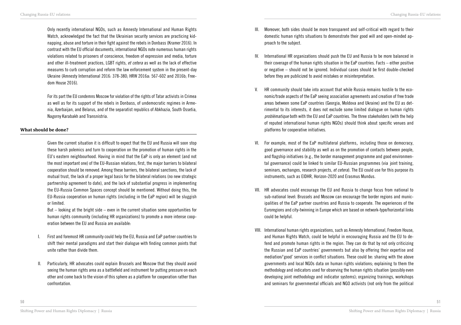Only recently international NGOs, such as Amnesty International and Human Rights Watch, acknowledged the fact that the Ukrainian security services are practicing kidnapping, abuse and torture in their fight against the rebels in Donbass (Kramer 2016). In contrast with the EU official documents, international NGOs note numerous human rights violations related to prisoners of conscience, freedom of expression and media, torture and other ill-treatment practices, LGBT rights, *et cetera* as well as the lack of effective measures to curb corruption and reform the law enforcement system in the present-day Ukraine (Amnesty International 2016: 378-380; HRW 2016a: 567-602 and 2016b; Freedom House 2016).

For its part the EU condemns Moscow for violation of the rights of Tatar activists in Crimea as well as for its support of the rebels in Donbass, of undemocratic regimes in Armenia, Azerbaijan, and Belarus, and of the separatist republics of Abkhazia, South Ossetia, Nagorny Karabakh and Transnistria.

#### **What should be done?**

Given the current situation it is difficult to expect that the EU and Russia will soon stop these harsh polemics and turn to cooperation on the promotion of human rights in the EU's eastern neighbourhood. Having in mind that the EaP is only an element (and not the most important one) of the EU-Russian relations, first, the major barriers to bilateral cooperation should be removed. Among these barriers, the bilateral sanctions, the lack of mutual trust, the lack of a proper legal basis for the bilateral relations (no new strategic partnership agreement to date), and the lack of substantial progress in implementing the EU-Russia Common Spaces concept should be mentioned. Without doing this, the EU-Russia cooperation on human rights (including in the EaP region) will be sluggish or limited.

But – looking at the bright side – even in the current situation some opportunities for human rights community (including HR organizations) to promote a more intense cooperation between the EU and Russia are available:

- I. First and foremost HR community could help the EU, Russia and EaP partner countries to shift their mental paradigms and start their dialogue with finding common points that unite rather than divide them.
- II. Particularly, HR advocates could explain Brussels and Moscow that they should avoid seeing the human rights area as a battlefield and instrument for putting pressure on each other and come back to the vision of this sphere as a platform for cooperation rather than confrontation.
- III. Moreover, both sides should be more transparent and self-critical with regard to their domestic human rights situations to demonstrate their good will and open-minded approach to the subject.
- IV. International HR organizations should push the EU and Russia to be more balanced in their coverage of the human rights situation in the EaP countries. Facts – either positive or negative – should not be ignored. Individual cases should be first double-checked before they are publicized to avoid mistakes or misinterpretation.
- V. HR community should take into account that while Russia remains hostile to the economic/trade aspects of the EaP seeing association agreements and creation of free trade areas between some EaP countries (Georgia, Moldova and Ukraine) and the EU as detrimental to its interests, it does not exclude some limited dialogue on human rights *problématique* both with the EU and EaP countries. The three stakeholders (with the help of reputed international human rights NGOs) should think about specific venues and platforms for cooperative initiatives.
- VI. For example, most of the EaP multilateral platforms*,* including those on democracy, good governance and stability as well as on the promotion of contacts between people, and flagship initiatives (e.g., the border management programme and good environmental governance) could be linked to similar EU-Russian programmes (via joint training, seminars, exchanges, research projects, *et cetera*). The EU could use for this purpose its instruments, such as EIDHR, Horizon-2020 and Erasmus Mundus.
- VII. HR advocates could encourage the EU and Russia to change focus from national to sub-national level: Brussels and Moscow can encourage the border regions and municipalities of the EaP partner countries and Russia to cooperate. The experiences of the Euroregions and city-twinning in Europe which are based on network-type/horizontal links could be helpful.
- VIII. International human rights organizations, such as Amnesty International, Freedom House, and Human Rights Watch, could be helpful in encouraging Russia and the EU to defend and promote human rights in the region. They can do that by not only criticizing the Russian and EaP countries' governments but also by offering their expertise and mediation/'good' services in conflict situations. These could be: sharing with the above governments and local NGOs data on human rights violations; explaining to them the methodology and indicators used for observing the human rights situation (possibly even developing joint methodology and indicator systems); organizing trainings, workshops and seminars for governmental officials and NGO activists (not only from the political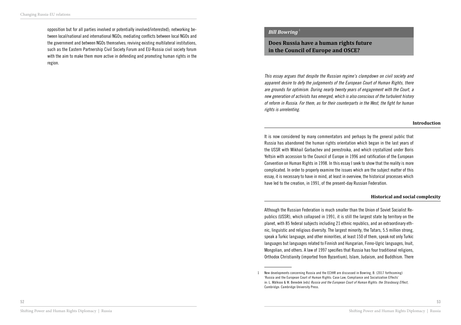opposition but for all parties involved or potentially involved/interested); networking between local/national and international NGOs; mediating conflicts between local NGOs and the government and between NGOs themselves; reviving existing multilateral institutions, such as the Eastern Partnership Civil Society Forum and EU-Russia civil society forum with the aim to make them more active in defending and promoting human rights in the region.

#### *Bill Bowring*

## **Does Russia have a human rights future in the Council of Europe and OSCE?**

*This essay argues that despite the Russian regime's clampdown on civil society and apparent desire to defy the judgements of the European Court of Human Rights, there are grounds for optimism. During nearly twenty years of engagement with the Court, a new generation of activists has emerged, which is also conscious of the turbulent history*  of reform in Russia. For them, as for their counterparts in the West, the fight for human *rights is unrelenting.*

#### **Introduction**

It is now considered by many commentators and perhaps by the general public that Russia has abandoned the human rights orientation which began in the last years of the USSR with Mikhail Gorbachev and perestroika, and which crystallized under Boris Yeltsin with accession to the Council of Europe in 1996 and ratification of the European Convention on Human Rights in 1998. In this essay I seek to show that the reality is more complicated. In order to properly examine the issues which are the subject matter of this essay, it is necessary to have in mind, at least in overview, the historical processes which have led to the creation, in 1991, of the present-day Russian Federation.

#### **Historical and social complexity**

Although the Russian Federation is much smaller than the Union of Soviet Socialist Republics (USSR), which collapsed in 1991, it is still the largest state by territory on the planet, with 85 federal subjects including 21 ethnic republics, and an extraordinary ethnic, linguistic and religious diversity. The largest minority, the Tatars, 5.5 million strong, speak a Turkic language, and other minorities, at least 150 of them, speak not only Turkic languages but languages related to Finnish and Hungarian, Finno-Ugric languages, Inuit, Mongolian, and others. A law of 1997 specifies that Russia has four traditional religions, Orthodox Christianity (imported from Byzantium), Islam, Judaism, and Buddhism. There

<sup>1</sup> New developments concerning Russia and the ECtHR are discussed in Bowring, B. (2017 forthcoming) 'Russia and the European Court of Human Rights: Case Law, Compliance and Socialization Effects' in: L. Mälksoo & W. Benedek (eds) *Russia and the European Court of Human Rights: the Strasbourg Effect,* Cambridge: Cambridge University Press.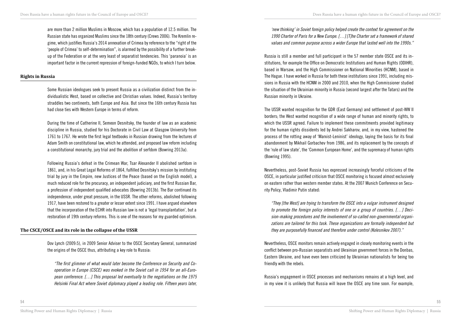are more than 2 million Muslims in Moscow, which has a population of 12.5 million. The Russian state has organized Muslims since the 18th century (Crews 2006). The Kremlin regime, which justifies Russia's 2014 annexation of Crimea by reference to the "right of the 'people of Crimea' to self-determination", is alarmed by the possibility of a further breakup of the Federation or at the very least of separatist tendencies. This 'paranoia' is an important factor in the current repression of foreign-funded NGOs, to which I turn below.

### **Rights in Russia**

Some Russian ideologues seek to present Russia as a civilization distinct from the individualistic West, based on collective and Christian values. Indeed, Russia's territory straddles two continents, both Europe and Asia. But since the 16th century Russia has had close ties with Western Europe in terms of reform.

During the time of Catherine II, Semeon Desnitsky, the founder of law as an academic discipline in Russia, studied for his Doctorate in Civil Law at Glasgow University from 1761 to 1767. He wrote the first legal textbooks in Russian drawing from the lectures of Adam Smith on constitutional law, which he attended, and proposed law reform including a constitutional monarchy, jury trial and the abolition of serfdom (Bowring 2013a).

Following Russia's defeat in the Crimean War, Tsar Alexander II abolished serfdom in 1861, and, in his Great Legal Reforms of 1864, fulfilled Desnitsky's mission by instituting trial by jury in the Empire, new Justices of the Peace (based on the English model), a much reduced role for the procuracy, an independent judiciary, and the first Russian Bar, a profession of independent qualified advocates (Bowring 2013b). The Bar continued its independence, under great pressure, in the USSR. The other reforms, abolished following 1917, have been restored to a greater or lesser extent since 1991. I have argued elsewhere that the incorporation of the ECHR into Russian law is not a 'legal transplantation', but a restoration of 19th century reforms. This is one of the reasons for my guarded optimism.

## **The CSCE/OSCE and its role in the collapse of the USSR**

Dov Lynch (2009:5), in 2009 Senior Adviser to the OSCE Secretary General, summarized the origins of the OSCE thus, attributing a key role to Russia:

"The first glimmer of what would later become the Conference on Security and Co*operation in Europe (CSCE) was evoked in the Soviet call in 1954 for an all-European conference. […] This proposal led eventually to the negotiations on the 1975 Helsinki Final Act where Soviet diplomacy played a leading role. Fifteen years later,* 

*'new thinking' in Soviet foreign policy helped create the context for agreement on the 1990 Charter of Paris for a New Europe. […] [T]he Charter set a framework of shared values and common purpose across a wider Europe that lasted well into the 1990s."* 

Russia is still a member and full participant in the 57 member state OSCE and its institutions, for example the Office on Democratic Institutions and Human Rights (ODIHR), based in Warsaw, and the High Commissioner on National Minorities (HCNM), based in The Hague. I have worked in Russia for both these institutions since 1991, including missions in Russia with the HCNM in 2000 and 2010, when the High Commissioner studied the situation of the Ukrainian minority in Russia (second largest after the Tatars) and the Russian minority in Ukraine.

The USSR wanted recognition for the GDR (East Germany) and settlement of post-WW II borders; the West wanted recognition of a wide range of human and minority rights, to which the USSR agreed. Failure to implement these commitments provided legitimacy for the human rights dissidents led by Andrei Sakharov, and, in my view, hastened the process of the rotting away of 'Marxist-Leninist' ideology, laying the basis for its final abandonment by Mikhail Gorbachev from 1986, and its replacement by the concepts of the 'rule of law state', the 'Common European Home', and the supremacy of human rights (Bowring 1995).

Nevertheless, post-Soviet Russia has expressed increasingly forceful criticisms of the OSCE, in particular justified criticism that OSCE monitoring is focused almost exclusively on eastern rather than western member states. At the 2007 Munich Conference on Security Policy, Vladimir Putin stated:

*"They [the West] are trying to transform the OSCE into a vulgar instrument designed to promote the foreign policy interests of one or a group of countries. […] Decision-making procedures and the involvement of so-called non-governmental organizations are tailored for this task. These organizations are formally independent but*  they are purposefully financed and therefore under control (Kolesnikov 2007)."

Nevertheless, OSCE monitors remain actively engaged in closely monitoring events in the conflict between pro-Russian separatists and Ukrainian government forces in the Donbas, Eastern Ukraine, and have even been criticized by Ukrainian nationalists for being too friendly with the rebels.

Russia's engagement in OSCE processes and mechanisms remains at a high level, and in my view it is unlikely that Russia will leave the OSCE any time soon. For example,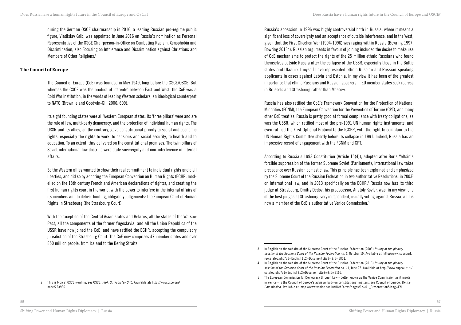during the German OSCE chairmanship in 2016, a leading Russian pro-regime public figure, Vladislav Grib, was appointed in June 2016 on Russia's nomination as Personal Representative of the OSCE Chairperson-in-Office on Combating Racism, Xenophobia and Discrimination, also Focusing on Intolerance and Discrimination against Christians and Members of Other Religions.<sup>2</sup>

#### **The Council of Europe**

The Council of Europe (CoE) was founded in May 1949, long before the CSCE/OSCE. But whereas the CSCE was the product of 'détente' between East and West, the CoE was a Cold War institution, in the words of leading Western scholars, an ideological counterpart to NATO (Brownlie and Goodwin-Gill 2006: 609).

Its eight founding states were all Western European states. Its 'three pillars' were and are the rule of law, multi-party democracy, and the protection of individual human rights. The USSR and its allies, on the contrary, gave constitutional priority to social and economic rights, especially the rights to work, to pensions and social security, to health and to education. To an extent, they delivered on the constitutional promises. The twin pillars of Soviet international law doctrine were state sovereignty and non-interference in internal affairs.

So the Western allies wanted to show their real commitment to individual rights and civil liberties, and did so by adopting the European Convention on Human Rights (ECHR, modelled on the 18th century French and American declarations of rights), and creating the first human rights court in the world, with the power to interfere in the internal affairs of its members and to deliver binding, obligatory judgements: the European Court of Human Rights in Strasbourg (the Strasbourg Court).

With the exception of the Central Asian states and Belarus, all the states of the Warsaw Pact, all the components of the former Yugoslavia, and all the Union Republics of the USSR have now joined the CoE, and have ratified the ECHR, accepting the compulsory jurisdiction of the Strasbourg Court. The CoE now comprises 47 member states and over 850 million people, from Iceland to the Bering Straits.

Russia's accession in 1996 was highly controversial both in Russia, where it meant a significant loss of sovereignty and an acceptance of outside interference, and in the West, given that the First Chechen War (1994-1996) was raging within Russia (Bowring 1997; Bowring 2013c). Russian arguments in favour of joining included the desire to make use of CoE mechanisms to protect the rights of the 25 million ethnic Russians who found themselves outside Russia after the collapse of the USSR, especially those in the Baltic states and Ukraine. I myself have represented ethnic Russian and Russian-speaking applicants in cases against Latvia and Estonia. In my view it has been of the greatest importance that ethnic Russians and Russian speakers in EU member states seek redress in Brussels and Strasbourg rather than Moscow.

Russia has also ratified the CoE's Framework Convention for the Protection of National Minorities (FCNM), the European Convention for the Prevention of Torture (CPT), and many other CoE treaties. Russia is pretty good at formal compliance with treaty obligations, as was the USSR, which ratified most of the pre-1991 UN human rights instruments, and even ratified the First Optional Protocol to the ICCPR, with the right to complain to the UN Human Rights Committee shortly before its collapse in 1991. Indeed, Russia has an impressive record of engagement with the FCNM and CPT.

According to Russia's 1993 Constitution (Article 15(4)), adopted after Boris Yeltsin's forcible suppression of the former Supreme Soviet (Parliament), international law takes precedence over Russian domestic law. This principle has been explained and emphasized by the Supreme Court of the Russian Federation in two authoritative Resolutions, in 20033 on international law, and in 2013 specifically on the ECHR.<sup>4</sup> Russia now has its third judge at Strasbourg, Dmitry Dedov; his predecessor, Anatoly Kovler, was, in my view, one of the best judges at Strasbourg, very independent, usually voting against Russia, and is now a member of the CoE's authoritative Venice Commission.<sup>5</sup>

<sup>2</sup> This is typical OSCE wording, see OSCE. *Prof. Dr. Vadislav Grib*. Available at: http://www.osce.org/ node/223936.

<sup>3</sup> In English on the website of the Supreme Court of the Russian Federation (2003) *Ruling of the plenary session of the Supreme Court of the Russian Federation no. 5*, October 10. Available at: http://www.supcourt. ru/catalog.php?c1=English&c2=Documents&c3=&id=6801.

<sup>4</sup> In English on the website of the Supreme Court of the Russian Federation (2013) *Ruling of the plenary session of the Supreme Court of the Russian Federation no. 21*, June 27. Available at:http://www.supcourt.ru/ catalog.php?c1=English&c2=Documents&c3=&id=9155.

<sup>5</sup> The European Commission for Democracy through Law - better known as the Venice Commission as it meets in Venice - is the Council of Europe's advisory body on constitutional matters, see Council of Europe. *Venice Commission*. Available at: http://www.venice.coe.int/WebForms/pages/?p=01\_Presentation&lang=EN.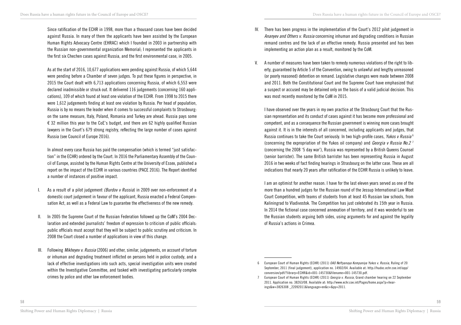Since ratification of the ECHR in 1998, more than a thousand cases have been decided against Russia. In many of them the applicants have been assisted by the European Human Rights Advocacy Centre (EHRAC) which I founded in 2003 in partnership with the Russian non-governmental organization Memorial; I represented the applicants in the first six Chechen cases against Russia, and the first environmental case, in 2005.

As at the start of 2016, 10,677 applications were pending against Russia, of which 5,644 were pending before a Chamber of seven judges. To put these figures in perspective, in 2015 the Court dealt with 6,713 applications concerning Russia, of which 6,553 were declared inadmissible or struck out. It delivered 116 judgements (concerning 160 applications), 109 of which found at least one violation of the ECHR. From 1998 to 2015 there were 1,612 judgements finding at least one violation by Russia. Per head of population, Russia is by no means the leader when it comes to successful complaints to Strasbourg: on the same measure, Italy, Poland, Romania and Turkey are ahead. Russia pays some  $\epsilon$  32 million this year to the CoE's budget, and there are 62 highly qualified Russian lawyers in the Court's 679 strong registry, reflecting the large number of cases against Russia (see Council of Europe 2016).

In almost every case Russia has paid the compensation (which is termed "just satisfaction" in the ECHR) ordered by the Court. In 2016 the Parliamentary Assembly of the Council of Europe, assisted by the Human Rights Centre at the University of Essex, published a report on the impact of the ECHR in various countries (PACE 2016). The Report identified a number of instances of positive impact.

- I. As a result of a pilot judgement *(Burdov v Russia*) in 2009 over non-enforcement of a domestic court judgement in favour of the applicant, Russia enacted a Federal Compensation Act, as well as a Federal Law to guarantee the effectiveness of the new remedy.
- In 2005 the Supreme Court of the Russian Federation followed up the CoM's 2004 Declaration and extended journalists' freedom of expression to criticism of public officials: public officials must accept that they will be subject to public scrutiny and criticism. In 2008 the Court closed a number of applications in view of this change.
- III. Following *Mikheyev v. Russia* (2006) and other, similar, judgements, on account of torture or inhuman and degrading treatment inflicted on persons held in police custody, and a lack of effective investigations into such acts, special investigation units were created within the Investigative Committee, and tasked with investigating particularly complex crimes by police and other law enforcement bodies.
- IV. There has been progress in the implementation of the Court's 2012 pilot judgement in *Ananyev and Others v. Russia* concerning inhuman and degrading conditions in Russian remand centres and the lack of an effective remedy. Russia presented and has been implementing an action plan as a result, monitored by the CoM.
- V. A number of measures have been taken to remedy numerous violations of the right to liberty, guaranteed by Article 5 of the Convention, owing to unlawful and lengthy unreasoned (or poorly reasoned) detention on remand. Legislative changes were made between 2008 and 2011. Both the Constitutional Court and the Supreme Court have emphasized that a suspect or accused may be detained only on the basis of a valid judicial decision. This was most recently monitored by the CoM in 2015.

I have observed over the years in my own practice at the Strasbourg Court that the Russian representation and its conduct of cases against it has become more professional and competent, and as a consequence the Russian government is winning more cases brought against it. It is in the interests of all concerned, including applicants and judges, that Russia continues to take the Court seriously. In two high-profile cases, *Yukos v Russia* <sup>6</sup> (concerning the expropriation of the Yukos oil company) and *Georgia v Russia No.2* <sup>7</sup> (concerning the 2008 '5 day war'), Russia was represented by a British Queens Counsel (senior barrister). The same British barrister has been representing Russia in August 2016 in two weeks of fact finding hearings in Strasbourg on the latter case. These are all indications that nearly 20 years after ratification of the ECHR Russia is unlikely to leave.

I am an optimist for another reason. I have for the last eleven years served as one of the more than a hundred judges for the Russian round of the Jessup International Law Moot Court Competition, with teams of students from at least 45 Russian law schools, from Kaliningrad to Vladivostok. The Competition has just celebrated its 15th year in Russia. In 2014 the fictional case concerned annexation of territory, and it was wonderful to see the Russian students arguing both sides, using arguments for and against the legality of Russia's actions in Crimea.

<sup>6</sup> European Court of Human Rights (ECHR) (2011) *OAO Neftyanaya Kompaniya Yukos v. Russia,* Ruling of 20 September, 2011 (final judgement), application no. 14902/04. Available at: http://hudoc.echr.coe.int/app/ conversion/pdf/?library=ECHR&id=001-145730&filename=001-145730.pdf.

<sup>7</sup> European Court of Human Rights (ECHR) (2011) *Georgia v. Russia*, Grand chamber hearing on 22 September 2011. Application no. 38263/08. Available at: http://www.echr.coe.int/Pages/home.aspx?p=hearings&w=3826308 \_22092011&language=en&c=&py=2011.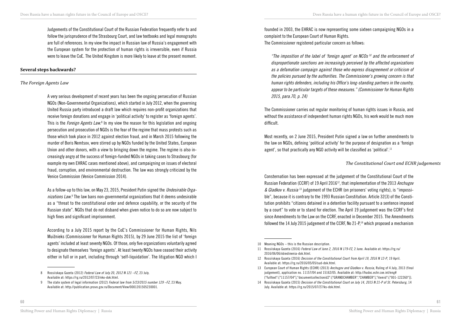Judgements of the Constitutional Court of the Russian Federation frequently refer to and follow the jurisprudence of the Strasbourg Court, and law textbooks and legal monographs are full of references. In my view the impact in Russian law of Russia's engagement with the European system for the protection of human rights is irreversible, even if Russia were to leave the CoE. The United Kingdom is more likely to leave at the present moment.

## **Several steps backwards?**

## *The Foreign Agents Law*

A very serious development of recent years has been the ongoing persecution of Russian NGOs (Non-Governmental Organizations), which started in July 2012, when the governing United Russia party introduced a draft law which requires non-profit organizations that receive foreign donations and engage in 'political activity' to register as 'foreign agents'. This is the *Foreign Agents Law*.<sup>8</sup> In my view the reason for this legislation and ongoing persecution and prosecution of NGOs is the fear of the regime that mass protests such as those which took place in 2012 against election fraud, and in March 2015 following the murder of Boris Nemtsov, were stirred up by NGOs funded by the United States, European Union and other donors, with a view to bringing down the regime. The regime is also increasingly angry at the success of foreign-funded NGOs in taking cases to Strasbourg (for example my own EHRAC cases mentioned above), and campaigning on issues of electoral fraud, corruption, and environmental destruction. The law was strongly criticized by the Venice Commission (Venice Commission 2014).

As a follow-up to this law, on May 23, 2015, President Putin signed the *Undesirable Orga*nizations Law.<sup>9</sup> The law bans non-governmental organizations that it deems undesirable as a "threat to the constitutional order and defence capability, or the security of the Russian state". NGOs that do not disband when given notice to do so are now subject to high fines and significant imprisonment.

According to a July 2015 report by the CoE's Commissioner for Human Rights, Nils Muižnieks (Commissioner for Human Rights 2015), by 29 June 2015 the list of 'foreign agents' included at least seventy NGOs. Of those, only five organizations voluntarily agreed to designate themselves 'foreign agents'. At least twenty NGOs have ceased their activity either in full or in part, including through 'self-liquidation'. The litigation NGO which I

founded in 2003, the EHRAC is now representing some sixteen campaigning NGOs in a complaint to the European Court of Human Rights. The Commissioner registered particular concern as follows:

*"The imposition of the label of 'foreign agent' on NCOs 10 and the enforcement of disproportionate sanctions are increasingly perceived by the affected organizations as a defamation campaign against those who express disagreement or criticism of the policies pursued by the authorities. The Commissioner's growing concern is that*  human rights defenders, including his Office's long-standing partners in the country, *appear to be particular targets of these measures." (Commissioner for Human Rights 2015, para.70, p. 24)*

The Commissioner carries out regular monitoring of human rights issues in Russia, and without the assistance of independent human rights NGOs, his work would be much more difficult.

Most recently, on 2 June 2015, President Putin signed a law on further amendments to the law on NGOs, defining 'political activity' for the purpose of designation as a 'foreign agent', so that practically any NGO activity will be classified as 'political'.<sup>11</sup>

## *The Constitutional Court and ECHR judgements*

Consternation has been expressed at the judgement of the Constitutional Court of the Russian Federation (CCRF) of 19 April 201612, that implementation of the 2013 *Anchugov & Gladkov v. Russia* 13 judgement of the ECHR (on prisoners' voting rights), is "impossible", because it is contrary to the 1993 Russian Constitution. Article 32(3) of the Constitution prohibits "citizens detained in a detention facility pursuant to a sentence imposed by a court" to vote or to stand for election. The April 19 judgement was the CCRF's first since Amendments to the Law on the CCRF, enacted in December 2015. The Amendments followed the 14 July 2015 judgement of the CCRF, No  $21-P$ ,<sup>14</sup> which proposed a mechanism

<sup>8</sup> Rossiiskaya Gazeta (2012) *Federal Law of July 20, 2012 N 121 –FZ,* 23 July. Available at: https://rg.ru/2012/07/23/nko-dok.html.

<sup>9</sup> The state system of legal information (2012) *Federal law from 5/23/2015 number 129 –FZ*, 23 May. Available at: http://publication.pravo.gov.ru/Document/View/0001201505230001.

<sup>10</sup> Meaning NGOs – this is the Russian description.

<sup>11</sup> Rossiiskaya Gazeta (2016) *Federal Law of June 2, 2016 N 179-FZ*, 2 June. Available at: https://rg.ru/ 2016/06/06/obiedinenia-dok.html.

<sup>12</sup> Rossiiskaya Gazeta (2016) *Decision of the Constitutional Court from April 19, 2016 N 12-P*, 19 April. Available at: https://rg.ru/2016/05/05/sud-dok.html.

<sup>13</sup> European Court of Human Rights (ECHR) (2013) *Anchugov and Gladkov v. Russia*, Ruling of 4 July, 2013 (final judgement), application no. 11157/04 and 15162/05. Available at: http://hudoc.echr.coe.int/eng# {"fulltext":["11157/04"],"documentcollectionid2":["GRANDCHAMBER","CHAMBER"],"itemid":["001-122260"]}.

<sup>14</sup> Rossiiskaya Gazeta (2015) *Decision of the Constitutional Court on July 14, 2015 N 21-P of St. Petersburg*, 14 July. Available at: https://rg.ru/2015/07/27/ks-dok.html.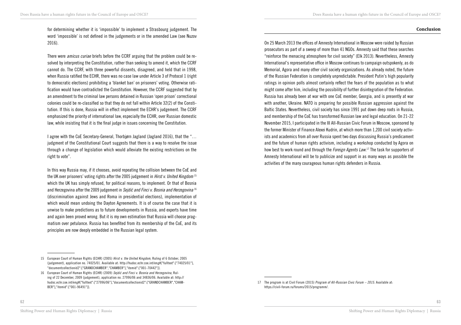**Conclusion**

for determining whether it is 'impossible' to implement a Strasbourg judgement. The word 'impossible' is not defined in the judgements or in the amended Law (see Nuzov 2016).

There were *amicus curiae* briefs before the CCRF arguing that the problem could be resolved by interpreting the Constitution, rather than seeking to amend it, which the CCRF cannot do. The CCRF, with three powerful dissents, disagreed, and held that in 1998, when Russia ratified the ECHR, there was no case law under Article 3 of Protocol 1 (right to democratic elections) prohibiting a 'blanket ban' on prisoners' voting. Otherwise ratification would have contradicted the Constitution. However, the CCRF suggested that by an amendment to the criminal law persons detained in Russian 'open prison' correctional colonies could be re-classified so that they do not fall within Article 32(2) of the Constitution. If this is done, Russia will in effect implement the ECHR's judgement. The CCRF emphasized the priority of international law, especially the ECHR, over Russian domestic law, while insisting that it is the final judge in issues concerning the Constitution.

I agree with the CoE Secretary-General, Thorbjørn Jagland (Jagland 2016), that the "… judgment of the Constitutional Court suggests that there is a way to resolve the issue through a change of legislation which would alleviate the existing restrictions on the right to vote".

In this way Russia may, if it chooses, avoid repeating the collision between the CoE and the UK over prisoners' voting rights after the 2005 judgement in *Hirst v. United Kingdom* <sup>15</sup> which the UK has simply refused, for political reasons, to implement. Or that of Bosnia and Herzegovina after the 2009 judgement in Sejdić and Finci v. Bosnia and Herzegovina 16 (discrimination against Jews and Roma in presidential elections), implementation of which would mean undoing the Dayton Agreements. It is of course the case that it is unwise to make predictions as to future developments in Russia, and experts have time and again been proved wrong. But it is my own estimation that Russia will choose pragmatism over petulance. Russia has benefited from its membership of the CoE, and its principles are now deeply embedded in the Russian legal system.

62

Shifting Power and Human Rights Diplomacy | Russia

On 25 March 2013 the offices of Amnesty International in Moscow were raided by Russian prosecutors as part of a sweep of more than 41 NGOs. Amnesty said that these searches "reinforce the menacing atmosphere for civil society" (Elk 2013). Nevertheless, Amnesty International's representative office in Moscow continues to campaign outspokenly, as do Memorial, Agora and many other civil society organizations. As already noted, the future of the Russian Federation is completely unpredictable. President Putin's high popularity ratings in opinion polls almost certainly reflect the fears of the population as to what might come after him, including the possibility of further disintegration of the Federation. Russia has already been at war with one CoE member, Georgia, and is presently at war with another, Ukraine. NATO is preparing for possible Russian aggression against the Baltic States. Nevertheless, civil society has since 1991 put down deep roots in Russia, and membership of the CoE has transformed Russian law and legal education. On 21-22 November 2015, I participated in the III All-Russian Civic Forum in Moscow, sponsored by the former Minister of Finance Alexei Kudrin, at which more than 1,200 civil society activists and academics from all over Russia spent two days discussing Russia's predicament and the future of human rights activism, including a workshop conducted by Agora on how best to work round and through the *Foreign Agents Law*. 17 The task for supporters of Amnesty International will be to publicize and support in as many ways as possible the activities of the many courageous human rights defenders in Russia.

<sup>15</sup> European Court of Human Rights (ECHR) (2005) *Hirst v. the United Kingdom*, Ruling of 6 October, 2005 (judgement), application no. 74025/01. Available at: http://hudoc.echr.coe.int/eng#{"fulltext":["74025/01"], "documentcollectionid2":["GRANDCHAMBER","CHAMBER"],"itemid":["001-70442"]}.

<sup>16</sup> European Court of Human Rights (ECHR) (2009) Sejdić and Finci v. Bosnia and Herzegovina, Ruling of 22 December, 2009 (judgement), application no. 27996/06 and 34836/06. Available at: http:// hudoc.echr.coe.int/eng#{"fulltext":["27996/06"],"documentcollectionid2":["GRANDCHAMBER","CHAM-BER"],"itemid":["001-96491"]}.

<sup>17</sup> The program is at Civil Forum (2015) *Program of All-Russian Civic Forum – 2015*. Available at: https://civil-forum.ru/forums/2015/programm/.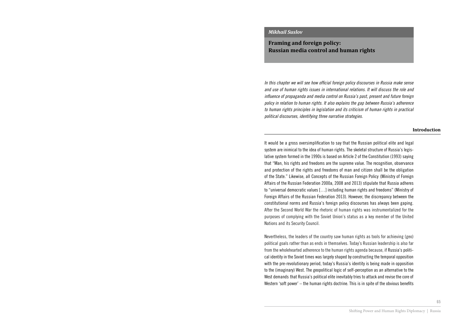#### *Mikhail Suslov*

**Framing and foreign policy: Russian media control and human rights** 

In this chapter we will see how official foreign policy discourses in Russia make sense *and use of human rights issues in international relations. It will discuss the role and*  influence of propaganda and media control on Russia's past, present and future foreign *policy in relation to human rights. It also explains the gap between Russia's adherence to human rights principles in legislation and its criticism of human rights in practical political discourses, identifying three narrative strategies.* 

#### **Introduction**

It would be a gross oversimplification to say that the Russian political elite and legal system are inimical to the idea of human rights. The skeletal structure of Russia's legislative system formed in the 1990s is based on Article 2 of the Constitution (1993) saying that "Man, his rights and freedoms are the supreme value. The recognition, observance and protection of the rights and freedoms of man and citizen shall be the obligation of the State." Likewise, all Concepts of the Russian Foreign Policy (Ministry of Foreign Affairs of the Russian Federation 2000a, 2008 and 2013) stipulate that Russia adheres to "universal democratic values […] including human rights and freedoms" (Ministry of Foreign Affairs of the Russian Federation 2013). However, the discrepancy between the constitutional norms and Russia's foreign policy discourses has always been gaping. After the Second World War the rhetoric of human rights was instrumentalized for the purposes of complying with the Soviet Union's status as a key member of the United Nations and its Security Council.

Nevertheless, the leaders of the country saw human rights as tools for achieving (geo) political goals rather than as ends in themselves. Today's Russian leadership is also far from the wholehearted adherence to the human rights agenda because, if Russia's political identity in the Soviet times was largely shaped by constructing the temporal opposition with the pre-revolutionary period, today's Russia's identity is being made in opposition to the (imaginary) West. The geopolitical logic of self-perception as an alternative to the West demands that Russia's political elite inevitably tries to attack and revise the core of Western 'soft power' – the human rights doctrine. This is in spite of the obvious benefits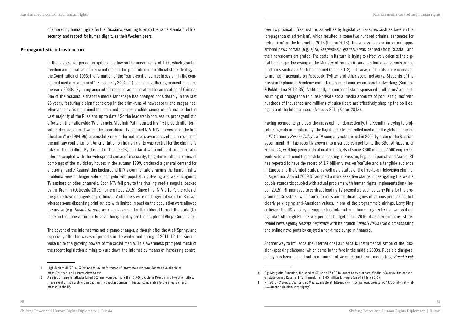of embracing human rights for the Russians, wanting to enjoy the same standard of life, security, and respect for human dignity as their Western peers.

#### **Propagandistic infrastructure**

In the post-Soviet period, in spite of the law on the mass media of 1991 which granted freedom and pluralism of media outlets and the prohibition of an official state ideology in the Constitution of 1993, the formation of the "state-controlled media system in the commercial media environment" (Zassoursky 2004: 21) has been gathering momentum since the early 2000s. By many accounts it reached an acme after the annexation of Crimea. One of the reasons is that the media landscape has changed considerably in the last 25 years, featuring a significant drop in the print-runs of newspapers and magazines, whereas television remained the main and the most credible source of information for the vast majority of the Russians up to date. $^{\rm 1}$  So the leadership focuses its propagandistic efforts on the nationwide TV channels. Vladimir Putin started his first presidential term with a decisive crackdown on the oppositional TV channel NTV. NTV's coverage of the first Chechen War (1994-96) successfully raised the audience's awareness of the atrocities of the military confrontation. An orientation on human rights was central for the channel's take on the conflict. By the end of the 1990s, popular disappointment in democratic reforms coupled with the widespread sense of insecurity, heightened after a series of bombings of the multistory houses in the autumn 1999, produced a general demand for a 'strong hand'.<sup>2</sup> Against this background NTV's commentators raising the human rights problems were no longer able to compete with populist, right-wing and war-mongering TV anchors on other channels. Soon NTV fell prey to the rivaling media moguls, backed by the Kremlin (Ostrovsky 2015; Pomerantsev 2015). Since this 'NTV affair', the rules of the game have changed: oppositional TV channels were no longer tolerated in Russia, whereas some dissenting print outlets with limited impact on the population were allowed to survive (e.g. *Novaia Gazeta*) as a smokescreen for the illiberal turn of the state (for more on the illiberal turn in Russian foreign policy see the chapter of Alicja Curanović).

The advent of the Internet was not a game-changer, although after the Arab Spring, and especially after the waves of protests in the winter and spring of 2011-12, the Kremlin woke up to the growing powers of the social media. This awareness prompted much of the recent legislation aiming to curb down the Internet by means of increasing control

over its physical infrastructure, as well as by legislative measures such as laws on the 'propaganda of extremism', which resulted in some two hundred criminal sentences for 'extremism' on the Internet in 2015 (Iudina 2016). The access to some important oppositional news portals (e.g. *ej.ru, kasparov.ru, grani.ru*) was banned (from Russia), and their newsrooms emigrated. The state in its turn is trying to effectively colonize the digital landscape. For example, the Ministry of Foreign Affairs has launched various online platforms such as a YouTube channel (since 2012). Likewise, diplomats are encouraged to maintain accounts on Facebook, Twitter and other social networks. Students of the Russian Diplomatic Academy can attend special courses on social networking (Smirnov & Kokhtiulina 2012: 35). Additionally, a number of state-sponsored 'troll farms' and outsourcing of propaganda to quasi-private social media accounts of popular figures<sup>3</sup> with hundreds of thousands and millions of subscribers are effectively shaping the political agenda of the Internet users (Morozov 2011; Oates 2013).

Having secured its grip over the mass opinion domestically, the Kremlin is trying to project its agenda internationally. The flagship state-controlled media for the global audience is *RT* (formerly *Russia Today*), a TV company established in 2005 by order of the Russian government. RT has recently grown into a serious competitor to the BBC, Al Jazeera, or France 24, wielding generously allocated budgets of some \$ 300 million, 2,500 employees worldwide, and round the clock broadcasting in Russian, English, Spanish and Arabic. RT has reported to have the record of 1.7 billion views on YouTube and a tangible audience in Europe and the United States, as well as a status of the free-to-air television channel in Argentina. Around 2009 RT adopted a more assertive stance in castigating the West's double standards coupled with actual problems with human rights implementation (Herpen 2015). RT managed to contract leading TV presenters such as Larry King for the programme 'Crosstalk', which aired experts and political figures of various persuasion, but clearly privileging anti-American values. In one of the programme's airings, Larry King criticized the US's policy of supplanting international human rights by its own political agenda.4 Although RT has a 9 per cent budget cut in 2016, its sister company, stateowned news agency *Rossiya Segodnya* with its branch *Sputnik News* (radio broadcasting and online news portals) enjoyed a ten-times surge in finances.

Another way to influence the international audience is instrumentalization of the Russian-speaking diaspora, which came to the fore in the middle 2000s. Russia's diasporal policy has been fleshed out in a number of websites and print media (e.g. *Russkii vek*

<sup>1</sup> High-Tech mail (2014) *Television is the main source of information for most Russians*. Available at: https://hi-tech.mail.ru/news/levada-tv/.

<sup>2</sup> A series of terrorist attacks killed 307 and wounded more than 1,700 people in Moscow and two other cities. These events made a strong impact on the popular opinion in Russia, comparable to the effects of 9/11 attacks in the US.

<sup>3</sup> E.g. Margarita Simonian, the head of RT, has 417.000 followers on twitter.com; Vladimir Solov'ev, the anchor on state-owned Rossiya-1 TV channel, has 1,45 million followers (as of 28 July 2016).

<sup>4</sup> RT (2016) *Universal Justice?*, 20 May. Available at: https://www.rt.com/shows/crosstalk/343730-internationallaw-americanization-sovereignty/.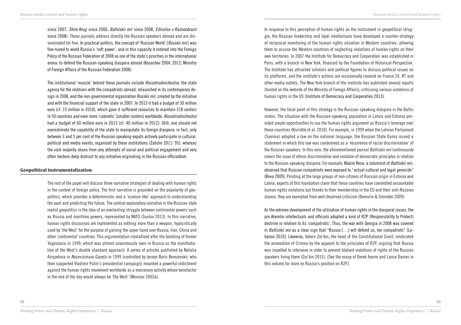since 2007, *Shire Krug* since 2006, *Baltiiskii mir* since 2008, *Edinstvo v Raznoobrazii* since 2008). These journals address directly the Russian speakers abroad and are disseminated for free. In practical politics, the concept of 'Russian World' [*Russkii mir*] was fine-tuned to wield Russia's 'soft power', and in this capacity it entered into the Foreign Policy of the Russian Federation of 2008 as one of the state's priorities in the international arena: to defend the Russian-speaking diaspora abroad (Kosachev 2004; 2012; Ministry of Foreign Affairs of the Russian Federation 2008).

The institutional 'muscle' behind these journals include *Rossotrudnichestvo*, the state agency for the relations with the compatriots abroad, relaunched in its contemporary design in 2008, and the non-governmental organization *Russkii mir*, created by the initiative and with the financial support of the state in 2007. In 2013 it had a budget of 30 million euro (cf. 15 million in 2010), which gave it sufficient resources to maintain 218 centers in 50 countries and even more 'cabinets' (smaller centers) worldwide. *Rossotrudnichestvo* had a budget of 60 million euro in 2013 (cf. 40 million in 2012). Still, one should not overestimate the capability of the state to manipulate its foreign diaspora; in fact, only between 3 and 5 per cent of the Russian speaking expats actively participate in cultural, political and media events, organized by these institutions (Zatulin 2011: 95), whereas the vast majority shuns from any attempts of social and political engagement and very often harbors deep distrust to any initiative originating in the Russian officialdom.

#### **Geopolitical instrumentalization**

The rest of the paper will discuss three narrative strategies of dealing with human rights in the context of foreign policy. The first narrative is grounded on the popularity of geopolitics, which provides a deterministic and a 'science-like' approach to understanding the past and predicting the future. The central explanatory narrative in the Russian-style realist geopolitics is the idea of an everlasting struggle between continental powers such as Russia and maritime powers, represented by NATO (Suslov 2013). In this narrative, human rights discourses are represented as nothing more than a weapon, hypocritically used by 'the West' for the purpose of gaining the upper hand over Russia, Iran, China and other 'continental' countries. This argumentation crystallized after the bombing of former Yugoslavia in 1999, which was almost unanimously seen in Russia as the manifestation of the West's double standard approach. A series of articles published by Natalia Airapetova in *Nezavisimaia Gazeta* in 1999 (controlled by tycoon Boris Berezovskii, who then supported Vladimir Putin's presidential campaign) mounted a powerful indictment against the human rights movement worldwide as a mercenary activity whose benefactor in the end of the day would always be 'the West' (Morozov 2002a).

In response to this perception of human rights as the instrument in geopolitical struggle, the Russian leadership and loyal intellectuals have developed a counter-strategy of reciprocal monitoring of the human rights situation in Western countries, allowing them to accuse the Western countries of neglecting violations of human rights on their own territories. In 2007 the Institute for Democracy and Cooperation was established in Paris, with a branch in New York, financed by the Foundation of Historical Perspective. The Institute has attracted scholars and political figures to discuss political issues on its platforms, and the institute's actions are occasionally covered on France 24, RT and other media outlets. The New York branch of the institute has published several reports (hosted on the website of the Ministry of Foreign Affairs), criticizing various violations of human rights in the US (Institute of Democracy and Cooperation 2013).

However, the focal point of this strategy is the Russian-speaking diaspora in the Baltic states. The situation with the Russian-speaking population in Latvia and Estonia provided ample opportunities to use the human rights argument as Russia's leverage over these countries (Kivirähk et al. 2010). For example, in 1999 when the Latvian Parliament (Saeima) adopted a law on the national language, the Russian State Duma issued a statement in which this law was condemned as a 'recurrence of racial discrimination' of the Russian speakers. In this vein, the aforementioned journal *Baltiiskii mir* continuously covers the issue of ethnic discrimination and violation of democratic principles in relation to the Russian-speaking diaspora. For example, Maxim Reva, a columnist of *Baltiiskii mir,*  observed that Russian compatriots were exposed to "actual cultural and legal genocide" (Reva 2009). Pointing at the large groups of non-citizens of Russian origin in Estonia and Latvia, experts of this foundation claim that these countries have committed uncountable human rights violations but thanks to their membership in the EU and their anti-Russian stance, they are exempted from well-deserved criticism (Demurin & Simindei 2009).

As the extreme development of the utilization of human rights in the diasporal issues, the pro-Kremlin intellectuals and officials adopted a kind of R2P (Responsibility to Protect) doctrine in relation to its 'compatriots'. Thus, the war with Georgia in 2008 was covered in *Baltiiskii mir* as a clear sign that "Russia […] will defend us, her compatriots" (Lobanov 2010). Likewise, Valerii Zor'kin, the head of the Constitutional Court, vindicated the annexation of Crimea by the appeals to the principles of R2P, arguing that Russia was impelled to intervene in order to prevent blatant violations of rights of the Russian speakers living there (Zor'kin 2015). (See the essay of Derek Averre and Lance Davies in this volume for more on Russia's position on R2P.)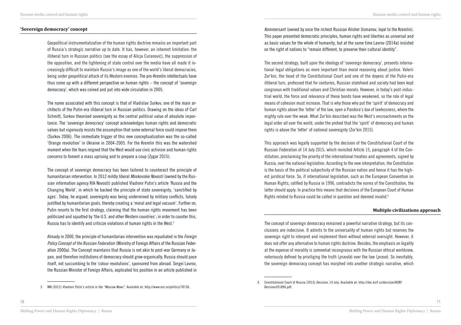#### **'Sovereign democracy' concept**

Geopolitical instrumentalization of the human rights doctrine remains an important part of Russia's strategic narrative up to date. It has, however, an inherent limitation: the illiberal turn in Russian politics (see the essay of Alicja Curanović), the suppression of the opposition, and the tightening of state control over the media have all made it increasingly difficult to maintain Russia's image as one of the world's liberal democracies, being under geopolitical attack of its Western enemies. The pro-Kremlin intellectuals have thus come up with a different perspective on human rights – the concept of 'sovereign democracy', which was coined and put into wide circulation in 2005.

The name associated with this concept is that of Vladislav Surkov, one of the main architects of the Putin-era illiberal turn in Russian politics. Drawing on the ideas of Carl Schmitt, Surkov theorized sovereignty as the central political value of absolute importance. The 'sovereign democracy' concept acknowledges human rights and democratic values but vigorously resists the assumption that some external force could impose them (Surkov 2006). The immediate trigger of this new conceptualization was the so-called 'Orange revolution' in Ukraine in 2004-2005. For the Kremlin this was the watershed moment when the fears reigned that the West would use civic activism and human rights concerns to foment a mass uprising and to prepare a coup (Zygar 2015).

The concept of sovereign democracy has been tailored to counteract the principle of humanitarian intervention. In 2012 mildly liberal *Moskovskie Novosti* (owned by the Russian information agency RIA Novosti) published Vladimir Putin's article 'Russia and the Changing World', in which he backed the principle of state sovereignty, 'sanctified by ages'. Today, he argued, sovereignty was being undermined by military conflicts, falsely justified by humanitarian goals, thereby creating a 'moral and legal vacuum'. Further on, Putin resorts to the first strategy, claiming that the human rights movement has been politicized and squatted by 'the U.S. and other Western countries'; in order to counter this, Russia has to identify and criticize violations of human rights in the West.5

Already in 2000, the principle of humanitarian intervention was repudiated in the *Foreign Policy Concept of the Russian Federation* (Ministry of Foreign Affairs of the Russian Federation 2000a). The Concept maintains that Russia is not akin to post-war Germany or Japan, and therefore institutions of democracy should grow organically; Russia should pace itself, not succumbing to the 'colour revolutions', sponsored from abroad. Sergei Lavrov, the Russian Minister of Foreign Affairs, explicated his position in an article published in *Kommersant* (owned by once the richest Russian Alisher Usmanov, loyal to the Kremlin). This paper presented democratic principles, human rights and liberties as universal and as basic values for the whole of humanity, but at the same time Lavrov (2014a) insisted on the right of nations to "remain different, to preserve their cultural identity".

The second strategy, built upon the ideology of 'sovereign democracy', presents international legal obligations as more important than moral reasoning about justice. Valerii Zor'kin, the head of the Constitutional Court and one of the doyens of the Putin-era illiberal turn, professed that for centuries, Russian statehood and society had been kept congruous with traditional values and Christian morals. However, in today's post-industrial world, the force and relevance of these bonds have weakened, so the role of legal means of cohesion must increase. That is why those who put the 'spirit' of democracy and human rights above the 'letter' of the law, open a Pandora's box of lawlessness, where the mighty rule over the weak. What Zor'kin described was the West's encroachments on the legal order all over the world, under the pretext that the 'spirit' of democracy and human rights is above the 'letter' of national sovereignty (Zor'kin 2015).

This approach was legally supported by the decision of the Constitutional Court of the Russian Federation of 14 July 2015, which revisited Article 15, paragraph 4 of the Constitution, proclaiming the priority of the international treaties and agreements, signed by Russia, over the national legislation. According to the new interpretation, the Constitution is the basis of the political subjectivity of the Russian nation and hence it has the highest juridical force. So, if international legislation, such as the European Convention on Human Rights, ratified by Russia in 1996, contradicts the norms of the Constitution, the latter should apply. In practice this means that decisions of the European Court of Human Rights related to Russia could be called in question and deemed invalid.<sup>6</sup>

#### **Multiple civilizations approach**

The concept of sovereign democracy remained a powerful narrative strategy, but its conclusions are indecisive. It admits to the universality of human rights but reserves the sovereign right to interpret and implement them without external oversight. However, it does not offer any alternative to human rights doctrine. Besides, the emphasis on legality at the expense of morality is somewhat incongruous with the Russian ethical worldview, notoriously defined by priviliging the truth (*pravda*) over the law (*pravo*). So inevitably, the sovereign democracy concept has morphed into another strategic narrative, which

<sup>5</sup> MN (2012) *Vladimir Putin's article in the "Moscow News"*. Available at: http://www.mn.ru/politics/78738.

<sup>6</sup> Constitutional Court of Russia (2015) *Decision*, 14 July. Available at: http://doc.ksrf.ru/decision/KSRF Decision201896.pdf.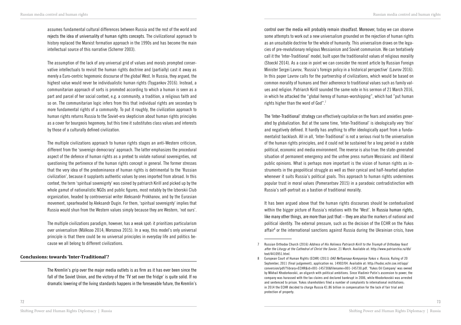assumes fundamental cultural differences between Russia and the rest of the world and rejects the idea of universality of human rights concepts. The civilizational approach to history replaced the Marxist formation approach in the 1990s and has become the main intellectual source of this narrative (Scherrer 2003).

The assumption of the lack of any universal grid of values and morals prompted conservative intellectuals to revisit the human rights doctrine and (partially) cast it away as merely a Euro-centric hegemonic discourse of the global West. In Russia, they argued, the highest value would never be individualistic human rights (Tsygankov 2016). Instead, a communitarian approach of sorts is promoted according to which a human is seen as a part and parcel of her social context, e.g. a community, a tradition, a religious faith and so on. The communitarian logic infers from this that individual rights are secondary to more fundamental rights of a community. To put it roughly, the civilization approach to human rights returns Russia to the Soviet-era skepticism about human rights principles as a cover for bourgeois hegemony, but this time it substitutes class values and interests by those of a culturally defined civilization.

The multiple civilizations approach to human rights stages an anti-Western criticism, different from the 'sovereign democracy' approach. The latter emphasizes the procedural aspect of the defence of human rights as a pretext to violate national sovereignties, not questioning the pertinence of the human rights concept in general. The former stresses that the very idea of the predominance of human rights is detrimental to the 'Russian civilization', because it supplants authentic values by ones imported from abroad. In this context, the term 'spiritual sovereignty' was coined by patriarch Kirill and picked up by the whole gamut of nationalistic NGOs and public figures, most notably by the Izborskii Club organization, headed by controversial writer Aleksandr Prokhanov, and by the Eurasian movement, spearheaded by Aleksandr Dugin. For them, 'spiritual sovereignty' implies that Russia would shun from the Western values simply because they are Western, 'not ours'.

The multiple civilizations paradigm, however, has a weak spot: it prioritizes particularism over universalism (Mälksoo 2014; Morozova 2015). In a way, this model's only universal principle is that there could be no universal principles in everyday life and politics because we all belong to different civilizations.

# **Conclusions: towards 'Inter-Traditional'?**

The Kremlin's grip over the major media outlets is as firm as it has ever been since the fall of the Soviet Union, and the victory of the 'TV set over the fridge' is quite solid. If no dramatic lowering of the living standards happens in the foreseeable future, the Kremlin's

control over the media will probably remain steadfast. Moreover, today we can observe some attempts to work out a new universalism grounded on the rejection of human rights as an unsuitable doctrine for the whole of humanity. This universalism draws on the legacies of pre-revolutionary religious Messianism and Soviet communism. We can tentatively call it the 'Inter-Traditional' model, built upon the traditionalist values of religious morality (Stoeckl 2014). As a case in point we can consider the recent article by Russian Foreign Minister Sergei Lavrov, 'Russia's foreign policy in a historical perspective' (Lavrov 2016). In this paper Lavrov calls for the partnership of civilizations, which would be based on common morality of humans and their adherence to traditional values such as family values and religion. Patriarch Kirill sounded the same note in his sermon of 21 March 2016, in which he attacked the "global heresy of human-worshipping", which had "put human rights higher than the word of God".7

The 'Inter-Traditional' strategy can effectively capitalize on the fears and anxieties generated by globalization. But at the same time, 'Inter-Traditional' is ideologically very 'thin' and negatively defined. It hardly has anything to offer ideologically apart from a fundamentalist backlash. All in all, 'Inter-Traditional' is not a serious rival to the universalism of the human rights principles, and it could not be sustained for a long period in a stable political, economic and media environment. The reverse is also true: the state-generated situation of permanent emergency and the unfree press nurture Messianic and illiberal public opinions. What is perhaps more important is the vision of human rights as instruments in the geopolitical struggle as well as their cynical and half-hearted adoption whenever it suits Russia's political goals. This approach to human rights undermines popular trust in moral values (Pomerantsev 2015) in a paradoxic contradistinction with Russia's self-portrait as a bastion of traditional morality.

It has been argued above that the human rights discourses should be contextualized within the bigger picture of Russia's relations with the 'West'. In Russia human rights, like many other things, are more than just that – they are also the markers of national and political identity. The external pressure, such as the decision of the ECHR on the Yukos affair<sup>8</sup> or the international sanctions against Russia during the Ukrainian crisis, have

<sup>7</sup> Russian Orthodox Church (2016) *Address of His Holiness Patriarch Kirill to the Triumph of Orthodoxy feast after the Liturgy at the Cathedral of Christ the Savior*, 21 March. Available at: http://www.patriarchia.ru/db/ text/4410951.html.

<sup>8</sup> European Court of Human Rights (ECHR) (2011) *OAO Neftyanaya Kompaniya Yukos v. Russia*, Ruling of 20 September, 2011 (final judgement), application no. 14902/04. Available at: http://hudoc.echr.coe.int/app/ conversion/pdf/?library=ECHR&id=001-145730&filename=001-145730.pdf. 'Yukos Oil Company' was owned by Mikhail Khodorkovskii, an oligarch with political ambitions. Since Vladimir Putin's ascension to power, the company was harassed with the tax claims and declared bankrupt in 2006, while Khodorkovskii was arrested and sentenced to prison. Yukos shareholders filed a number of complaints to international institutions; in 2014 the ECHR decided to charge Russia €1.86 billion in compensation for the lack of fair trial and protection of property.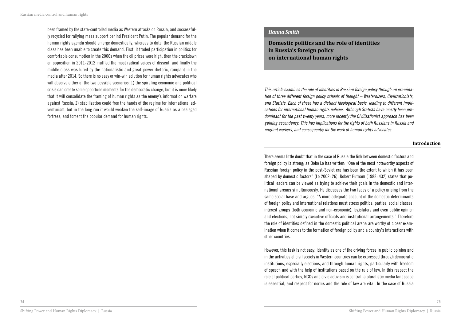been framed by the state-controlled media as Western attacks on Russia, and successfully recycled for rallying mass support behind President Putin. The popular demand for the human rights agenda should emerge domestically, whereas to date, the Russian middle class has been unable to create this demand. First, it traded participation in politics for comfortable consumption in the 2000s when the oil prices were high, then the crackdown on opposition in 2011-2012 muffled the most radical voices of dissent, and finally the middle class was lured by the nationalistic and great-power rhetoric, rampant in the media after 2014. So there is no easy or win-win solution for human rights advocates who will observe either of the two possible scenarios: 1) the spiraling economic and political crisis can create some opportune moments for the democratic change, but it is more likely that it will consolidate the framing of human rights as the enemy's information warfare against Russia; 2) stabilization could free the hands of the regime for international adventurism, but in the long run it would weaken the self-image of Russia as a besieged fortress, and foment the popular demand for human rights.

### *Hanna Smith*

**Domestic politics and the role of identities in Russia's foreign policy on international human rights** 

*This article examines the role of identities in Russian foreign policy through an examination of three different foreign policy schools of thought – Westernizers, Civilizationists, and Statists. Each of these has a distinct ideological basis, leading to different implications for international human rights policies. Although Statists have mostly been predominant for the past twenty years, more recently the Civilizationist approach has been gaining ascendancy. This has implications for the rights of both Russians in Russia and migrant workers, and consequently for the work of human rights advocates.* 

#### **Introduction**

There seems little doubt that in the case of Russia the link between domestic factors and foreign policy is strong; as Bobo Lo has written: "One of the most noteworthy aspects of Russian foreign policy in the post-Soviet era has been the extent to which it has been shaped by domestic factors" (Lo 2002: 26). Robert Putnam (1988: 432) states that political leaders can be viewed as trying to achieve their goals in the domestic and international arenas simultaneously. He discusses the two faces of a policy arising from the same social base and argues: "A more adequate account of the domestic determinants of foreign policy and international relations must stress politics: parties, social classes, interest groups (both economic and non-economic), legislators and even public opinion and elections, not simply executive officials and institutional arrangements." Therefore the role of identities defined in the domestic political arena are worthy of closer examination when it comes to the formation of foreign policy and a country's interactions with other countries.

However, this task is not easy. Identity as one of the driving forces in public opinion and in the activities of civil society in Western countries can be expressed through democratic institutions, especially elections, and through human rights, particularly with freedom of speech and with the help of institutions based on the rule of law. In this respect the role of political parties, NGOs and civic activism is central, a pluralistic media landscape is essential, and respect for norms and the rule of law are vital. In the case of Russia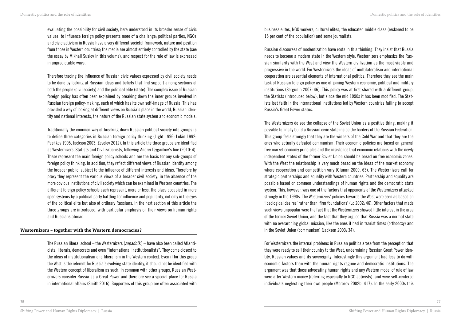evaluating the possibility for civil society, here understood in its broader sense of civic values, to influence foreign policy presents more of a challenge; political parties, NGOs and civic activism in Russia have a very different societal framework, nature and position from those in Western countries; the media are almost entirely controlled by the state (see the essay by Mikhail Suslov in this volume), and respect for the rule of law is expressed in unpredictable ways.

Therefore tracing the influence of Russian civic values expressed by civil society needs to be done by looking at Russian ideas and beliefs that find support among sections of both the people (civil society) and the political elite (state). The complex issue of Russian foreign policy has often been explained by breaking down the inner groups involved in Russian foreign policy-making, each of which has its own self-image of Russia. This has provided a way of looking at different views on Russia's place in the world, Russian identity and national interests, the nature of the Russian state system and economic models.

Traditionally the common way of breaking down Russian political society into groups is to define three categories in Russian foreign policy thinking (Light 1996; Lukin 1992; Pushkov 1995; Jackson 2003; Zevelev 2012). In this article the three groups are identified as Westernizers, Statists and Civilizationists, following Andrei Tsygankov's line (2010: 4). These represent the main foreign policy schools and are the basis for any sub-groups of foreign policy thinking. In addition, they reflect different views of Russian identity among the broader public, subject to the influence of different interests and ideas. Therefore by proxy they represent the various views of a broader civil society, in the absence of the more obvious institutions of civil society which can be examined in Western countries. The different foreign policy schools each represent, more or less, the place occupied in more open systems by a political party battling for influence and popularity, not only in the eyes of the political elite but also of ordinary Russians. In the next section of this article the three groups are introduced, with particular emphasis on their views on human rights and Russians abroad.

# **Westernizers – together with the Western democracies?**

The Russian liberal school – the Westernizers (*zapadniki*) – have also been called Atlanticists, liberals, democrats and even "international institutionalists". They come closest to the ideas of institutionalism and liberalism in the Western context. Even if for this group the West is the referent for Russia's evolving state identity, it should not be identified with the Western concept of liberalism as such. In common with other groups, Russian Westernizers consider Russia as a Great Power and therefore see a special place for Russia in international affairs (Smith 2016). Supporters of this group are often associated with

business elites, NGO workers, cultural elites, the educated middle class (reckoned to be 15 per cent of the population) and some journalists.

Russian discourses of modernization have roots in this thinking. They insist that Russia needs to become a modern state in the Western style. Westernizers emphasize the Russian similarity with the West and view the Western civilization as the most viable and progressive in the world. For Westernizers the ideas of multilateralism and international cooperation are essential elements of international politics. Therefore they see the main task of Russian foreign policy as one of joining Western economic, political and military institutions (Sergunin 2007: 46). This policy was at first shared with a different group, the Statists (introduced below), but since the mid 1990s it has been modified. The Statists lost faith in the international institutions led by Western countries failing to accept Russia's Great Power status.

The Westernizers do see the collapse of the Soviet Union as a positive thing, making it possible to finally build a Russian civic state inside the borders of the Russian Federation. This group feels strongly that they are the winners of the Cold War and that they are the ones who actually defeated communism. Their economic policies are based on general free market economy principles and the insistence that economic relations with the newly independent states of the former Soviet Union should be based on free economic zones. With the West the relationship is very much based on the ideas of the market economy where cooperation and competition vary (Clunan 2009: 63). The Westernizers call for strategic partnerships and equality with Western countries. Partnership and equality are possible based on common understandings of human rights and the democratic state system. This, however, was one of the factors that opponents of the Westernizers attacked strongly in the 1990s. The Westernizers' policies towards the West were seen as based on 'ideological desires' rather than 'firm foundations' (Lo 2002: 46). Other factors that made such views unpopular were the fact that the Westernizers showed little interest in the area of the former Soviet Union, and the fact that they argued that Russia was a normal state with no overarching global mission, like the ones it had in tsarist times (orthodoxy) and in the Soviet Union (communism) (Jackson 2003: 34).

For Westernizers the internal problems in Russian politics arose from the perception that they were ready to sell their country to the West, undermining Russian Great Power identity, Russian values and its sovereignty. Interestingly this argument had less to do with economic factors than with the human rights regime and democratic institutions. The argument was that those advocating human rights and any Western model of rule of law were after Western money (referring especially to NGO activists), and were self-centered individuals neglecting their own people (Morozov 2002b: 417). In the early 2000s this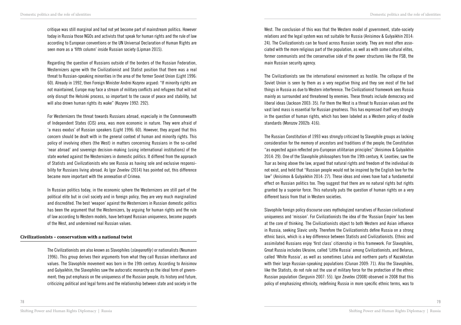critique was still marginal and had not yet become part of mainstream politics. However today in Russia those NGOs and activists that speak for human rights and the rule of law according to European conventions or the UN Universal Declaration of Human Rights are seen more as a 'fifth column' inside Russian society (Lipman 2015).

Regarding the question of Russians outside of the borders of the Russian Federation, Westernizers agree with the Civilizationist and Statist position that there was a real threat to Russian-speaking minorities in the area of the former Soviet Union (Light 1996: 60). Already in 1992, then Foreign Minister Andrei Kozyrev argued: "If minority rights are not maintained, Europe may face a stream of military conflicts and refugees that will not only disrupt the Helsinki process, so important to the cause of peace and stability, but will also drown human rights its wake" (Kozyrev 1992: 292).

For Westernizers the threat towards Russians abroad, especially in the Commonwealth of Independent States (CIS) area, was more economic in nature. They were afraid of 'a mass exodus' of Russian speakers (Light 1996: 60). However, they argued that this concern should be dealt with in the general context of human and minority rights. This policy of involving others (the West) in matters concerning Russians in the so-called 'near abroad' and sovereign decision-making (using international institutions) of the state worked against the Westernizers in domestic politics. It differed from the approach of Statists and Civilizationists who see Russia as having sole and exclusive responsibility for Russians living abroad. As Igor Zevelev (2014) has pointed out, this difference became more important with the annexation of Crimea.

In Russian politics today, in the economic sphere the Westernizers are still part of the political elite but in civil society and in foreign policy, they are very much marginalized and discredited. The best 'weapon' against the Westernizers in Russian domestic politics has been the argument that the Westernizers, by arguing for human rights and the rule of law according to Western models, have betrayed Russian uniqueness, become puppets of the West, and undermined real Russian values.

## **Civilizationists – conservatism with a national twist**

The Civilizationists are also known as Slavophiles (slavyanofily) or nationalists (Neumann 1996)*.* This group derives their arguments from what they call Russian inheritance and values. The Slavophile movement was born in the 19th century. According to Anisimov and Gulyaikhin, the Slavophiles saw the autocratic monarchy as the ideal form of government; they put emphasis on the uniqueness of the Russian people, its history and future, criticizing political and legal forms and the relationship between state and society in the West. The conclusion of this was that the Western model of government, state-society relations and the legal system was not suitable for Russia (Anisimov & Gulyaikhin 2014: 24). The Civilizationists can be found across Russian society. They are most often associated with the more religious part of the population, as well as with some cultural elites, former communists and the conservative side of the power structures like the FSB, the main Russian security agency.

The Civilizationists see the international environment as hostile. The collapse of the Soviet Union is seen by them as a very negative thing and they see most of the bad things in Russia as due to Western interference. The Civilizationist framework sees Russia mainly as surrounded and threatened by enemies. These threats include democracy and liberal ideas (Jackson 2003: 35). For them the West is a threat to Russian values and the vast land mass is essential for Russian greatness. This has expressed itself very strongly in the question of human rights, which has been labeled as a Western policy of double standards (Morozov 2002b: 416).

The Russian Constitution of 1993 was strongly criticized by Slavophile groups as lacking consideration for the memory of ancestors and traditions of the people; the Constitution "as expected again reflected pro-European utilitarian principles" (Anisimov & Gulyaikhin 2014: 29). One of the Slavophile philosophers from the 19th century, K. Leontiev, saw the Tsar as being above the law, argued that natural rights and freedom of the individual do not exist, and held that "Russian people would not be inspired by the English love for the law" (Anisimov & Gulyaikhin 2014: 27). These ideas and views have had a fundamental effect on Russian politics too. They suggest that there are no natural rights but rights granted by a superior force. This naturally puts the question of human rights on a very different basis from that in Western societies.

Slavophile foreign policy discourse uses mythologized narratives of Russian civilizational uniqueness and 'mission'. For Civilizationists the idea of the 'Russian Empire' has been at the core of thinking. The Civilizationists object to both Western and Asian influence in Russia, seeking Slavic unity. Therefore the Civilizationists define Russia on a strong ethnic basis, which is a key difference between Statists and Civilizationists. Ethnic and assimilated Russians enjoy 'first class' citizenship in this framework. For Slavophiles, Great Russia includes Ukraine, called 'Little Russia' among Civilizationists, and Belarus, called 'White Russia', as well as sometimes Latvia and northern parts of Kazakhstan with their large Russian-speaking populations (Clunan 2009: 71). Also the Slavophiles, like the Statists, do not rule out the use of military force for the protection of the ethnic Russian population (Sergunin 2007: 55). Igor Zevelev (2008) observed in 2008 that this policy of emphasizing ethnicity, redefining Russia in more specific ethnic terms, was to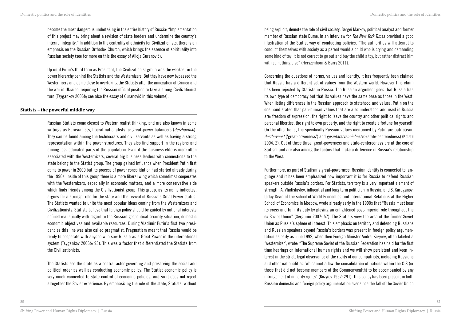become the most dangerous undertaking in the entire history of Russia: "Implementation of this project may bring about a revision of state borders and undermine the country's internal integrity." In addition to the centrality of ethnicity for Civilizationists, there is an emphasis on the Russian Orthodox Church, which brings the essence of spirituality into Russian society (see for more on this the essay of Alicja Curanović).

Up until Putin's third term as President, the Civilizationist group was the weakest in the power hierarchy behind the Statists and the Westernizers. But they have now bypassed the Westernizers and came close to overtaking the Statists after the annexation of Crimea and the war in Ukraine, requiring the Russian official position to take a strong Civilizationist turn (Tsygankov 2006b; see also the essay of Curanović in this volume).

## **Statists – the powerful middle way**

Russian Statists come closest to Western realist thinking, and are also known in some writings as Eurasianists, liberal nationalists, or great-power balancers (*derzhavniki*). They can be found among the technocrats and civil servants as well as having a strong representation within the power structures. They also find support in the regions and among less educated parts of the population. Even if the business elite is more often associated with the Westernizers, several big business leaders with connections to the state belong to the Statist group. The group gained influence when President Putin first came to power in 2000 but its process of power consolidation had started already during the 1990s. Inside of this group there is a more liberal wing which sometimes cooperates with the Westernizers, especially in economic matters, and a more conservative side which finds friends among the Civilizationist group. This group, as its name indicates, argues for a stronger role for the state and the revival of Russia's Great Power status. The Statists wanted to unite the most popular ideas coming from the Westernizers and Civilizationists. Statists believe that foreign policy should be guided by national interests defined realistically with regard to the Russian geopolitical security situation, domestic economic objectives and available resources. During Vladimir Putin's first two presidencies this line was also called pragmatist. Pragmatism meant that Russia would be ready to cooperate with anyone who saw Russia as a Great Power in the international system (Tsygankov 2006b: 93). This was a factor that differentiated the Statists from the Civilizationists.

The Statists see the state as a central actor governing and preserving the social and political order as well as conducting economic policy. The Statist economic policy is very much connected to state control of economic policies, and so it does not reject altogether the Soviet experience. By emphasizing the role of the state, Statists, without

being explicit, demote the role of civil society. Sergei Markov, political analyst and former member of Russian state Dume, in an interview for *The New York Times* provided a good illustration of the Statist way of conducting policies: "The authorities will attempt to conduct themselves with society as a parent would a child who is crying and demanding some kind of toy. It is not correct to go out and buy the child a toy, but rather distract him with something else" (Herszenhorn & Barry 2011).

Concerning the questions of norms, values and identity, it has frequently been claimed that Russia has a different set of values from the Western world. However this claim has been rejected by Statists in Russia. The Russian argument goes that Russia has its own type of democracy but that its values have the same base as those in the West. When listing differences in the Russian approach to statehood and values, Putin on the one hand stated that pan-human values that are also understood and used in Russia are: freedom of expression, the right to leave the country and other political rights and personal liberties, the right to own property, and the right to create a fortune for yourself. On the other hand, the specifically Russian values mentioned by Putin are patriotism, *derzhavnost* ('great-powerness') and *gosudarstvennichestvo* (state-centeredness) (Kolstø 2004: 2). Out of these three, great-powerness and state-centeredness are at the core of Statism and are also among the factors that make a difference in Russia's relationship to the West.

Furthermore, as part of Statism's great-powerness, Russian identity is connected to language and it has been emphasized how important it is for Russia to defend Russian speakers outside Russia's borders. For Statists, territory is a very important element of strength. A. Vladislavlev, influential and long term politician in Russia, and S. Karaganov, today Dean of the school of World Economics and International Relations at the Higher School of Economics in Moscow, wrote already early in the 1990s that "Russia must bear its cross and fulfil its duty by playing an enlightened post-imperial role throughout the ex-Soviet Union" (Sergunin 2007: 57). The Statists view the area of the former Soviet Union as Russia's sphere of interest. This emphasis on territory and defending Russians and Russian speakers beyond Russia's borders was present in foreign policy argumentation as early as June 1992, when then Foreign Minister Andrei Kozyrev, often labeled a 'Westernizer', wrote: "The Supreme Soviet of the Russian Federation has held for the first time hearings on international human rights and we will show persistent and keen interest in the strict, legal observance of the rights of our compatriots, including Russians and other nationalities. We cannot allow the consolidation of nations within the CIS (or those that did not become members of the Commonwealth) to be accompanied by any infringement of minority rights" (Kozyrev 1992: 291). This policy has been present in both Russian domestic and foreign policy argumentation ever since the fall of the Soviet Union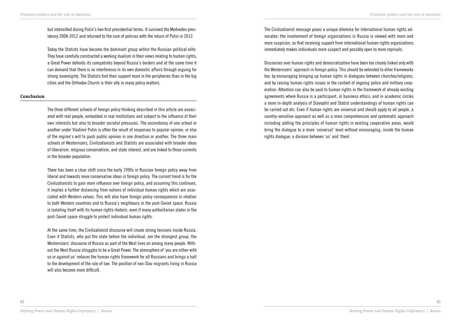but intensified during Putin's two first presidential terms. It survived the Medvedev presidency 2008-2012 and returned to the core of policies with the return of Putin in 2012.

Today the Statists have become the dominant group within the Russian political elite. They have carefully constructed a working dualism in their views relating to human rights; a Great Power defends its compatriots beyond Russia's borders and at the same time it can demand that there is no interference in its own domestic affairs through arguing for strong sovereignty. The Statists find their support more in the peripheries than in the big cities and the Orthodox Church is their ally in many policy matters.

### **Conclusion**

The three different schools of foreign policy thinking described in this article are associated with real people, embedded in real institutions and subject to the influence of their own interests but also to broader societal pressures. The ascendancy of one school or another under Vladimir Putin is often the result of responses to popular opinion, or else of the regime's will to push public opinion in one direction or another. The three main schools of Westernizers, Civilizationists and Statists are associated with broader ideas of liberalism, religious conservatism, and state interest, and are linked to those currents in the broader population.

There has been a clear shift since the early 1990s in Russian foreign policy away from liberal and towards more conservative ideas in foreign policy. The current trend is for the Civilizationists to gain more influence over foreign policy, and assuming this continues, it implies a further distancing from notions of individual human rights which are associated with Western values. This will also have foreign policy consequences in relation to both Western countries and to Russia's neighbours in the post-Soviet space. Russia is isolating itself with its human rights rhetoric, even if many authoritarian states in the post-Soviet space struggle to protect individual human rights.

At the same time, the Civilizationist discourse will create strong tensions inside Russia. Even if Statists, who put the state before the individual, are the strongest group, the Westernizers' discourse of Russia as part of the West lives on among many people. Without the West Russia struggles to be a Great Power. The atmosphere of 'you are either with us or against us' reduces the human rights framework for all Russians and brings a halt to the development of the rule of law. The position of non-Slav migrants living in Russia will also become more difficult.

The Civilizationist message poses a unique dilemma for international human rights advocates: the involvement of foreign organizations in Russia is viewed with more and more suspicion, so that receiving support from international human rights organizations immediately makes individuals more suspect and possibly open to more reprisals.

Discourses over human rights and democratization have been too closely linked only with the Westernizers' approach in foreign policy. This should be extended to other frameworks too; by encouraging bringing up human rights in dialogues between churches/religions, and by raising human rights issues in the context of ongoing police and military cooperation. Attention can also be paid to human rights in the framework of already existing agreements where Russia is a participant, in business ethics, and in academic circles a more in-depth analysis of Slavophil and Statist understandings of human rights can be carried out etc. Even if human rights are universal and should apply to all people, a country-sensitive approach as well as a more comprehensive and systematic approach including adding the principles of human rights in existing cooperation areas, would bring the dialogue to a more 'universal' level without encouraging, inside the human rights dialogue, a division between 'us' and 'them'.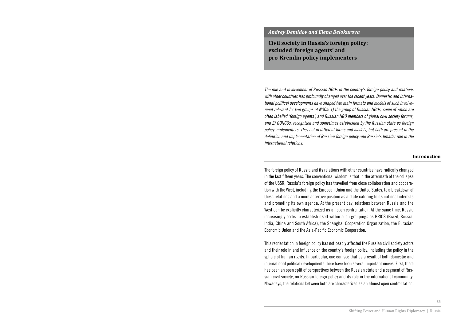*Andrey Demidov and Elena Belokurova*

**Civil society in Russia's foreign policy: excluded 'foreign agents' and pro-Kremlin policy implementers**

*The role and involvement of Russian NGOs in the country's foreign policy and relations with other countries has profoundly changed over the recent years. Domestic and international political developments have shaped two main formats and models of such involvement relevant for two groups of NGOs: 1) the group of Russian NGOs, some of which are often labelled 'foreign agents', and Russian NGO members of global civil society forums, and 2) GONGOs, recognized and sometimes established by the Russian state as foreign policy implementers. They act in different forms and models, but both are present in the*  definition and implementation of Russian foreign policy and Russia's broader role in the *international relations.*

#### **Introduction**

The foreign policy of Russia and its relations with other countries have radically changed in the last fifteen years. The conventional wisdom is that in the aftermath of the collapse of the USSR, Russia's foreign policy has travelled from close collaboration and cooperation with the West, including the European Union and the United States, to a breakdown of these relations and a more assertive position as a state catering to its national interests and promoting its own agenda. At the present day, relations between Russia and the West can be explicitly characterized as an open confrontation. At the same time, Russia increasingly seeks to establish itself within such groupings as BRICS (Brazil, Russia, India, China and South Africa), the Shanghai Cooperation Organization, the Eurasian Economic Union and the Asia-Pacific Economic Cooperation.

This reorientation in foreign policy has noticeably affected the Russian civil society actors and their role in and influence on the country's foreign policy, including the policy in the sphere of human rights. In particular, one can see that as a result of both domestic and international political developments there have been several important moves. First, there has been an open split of perspectives between the Russian state and a segment of Russian civil society, on Russian foreign policy and its role in the international community. Nowadays, the relations between both are characterized as an almost open confrontation.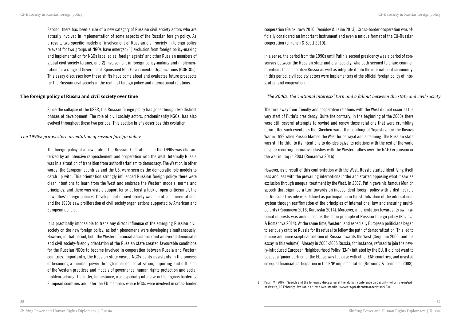Second, there has been a rise of a new category of Russian civil society actors who are actually involved in implementation of some aspects of the Russian foreign policy. As a result, two specific models of involvement of Russian civil society in foreign policy relevant for two groups of NGOs have emerged: 1) exclusion from foreign policy-making and implementation for NGOs labelled as 'foreign agents' and other Russian members of global civil society forums, and 2) involvement in foreign policy-making and implementation for a range of Government-Sponsored Non-Governmental Organizations (GONGOs). This essay discusses how these shifts have come about and evaluates future prospects for the Russian civil society in the realm of foreign policy and international relations.

## **The foreign policy of Russia and civil society over time**

Since the collapse of the USSR, the Russian foreign policy has gone through two distinct phases of development. The role of civil society actors, predominantly NGOs, has also evolved throughout these two periods. This section briefly describes this evolution.

### *The 1990s: pro-western orientation of russian foreign policy*

The foreign policy of a new state – the Russian Federation – in the 1990s was characterized by an intensive rapprochement and cooperation with the West. Internally Russia was in a situation of transition from authoritarianism to democracy. The West or, in other words, the European countries and the US, were seen as the democratic role models to catch up with. This orientation strongly influenced Russian foreign policy: there were clear intentions to learn from the West and embrace the Western models, norms and principles, and there was visible support for or at least a lack of open criticism of, the new allies' foreign policies. Development of civil society was one of such orientations, and the 1990s saw proliferation of civil society organizations supported by American and European donors.

It is practically impossible to trace any direct influence of the emerging Russian civil society on the new foreign policy, as both phenomena were developing simultaneously. However, in that period, both the Western financial assistance and an overall democratic and civil society-friendly orientation of the Russian state created favourable conditions for the Russian NGOs to become involved in cooperation between Russia and Western countries. Importantly, the Russian state viewed NGOs as its assistants in the process of becoming a 'normal' power through inner democratization, importing and diffusion of the Western practices and models of governance, human rights protection and social problem-solving. The latter, for instance, was especially intensive in the regions bordering European countries and later the EU members where NGOs were involved in cross-border

cooperation (Belokurova 2010; Demidov & Laine 2013). Cross-border cooperation was officially considered an important instrument and even a unique format of the EU-Russian cooperation (Liikanen & Scott 2010).

In a sense, the period from the 1990s until Putin's second presidency was a period of consensus between the Russian state and civil society, who both seemed to share common intentions to democratize Russia as well as integrate it into the international community. In this period, civil society actors were implementers of the official foreign policy of integration and cooperation.

*The 2000s: the 'national interests' turn and a fallout between the state and civil society*

The turn away from friendly and cooperative relations with the West did not occur at the very start of Putin's presidency. Quite the contrary, in the beginning of the 2000s there were still several attempts to rewind and renew these relations that were crumbling down after such events as the Chechen wars, the bombing of Yugoslavia or the Kosovo War in 1999 when Russia blamed the West for betrayal and sidelining. The Russian state was still faithful to its intentions to de-ideologize its relations with the rest of the world despite recurring normative clashes with the Western allies over the NATO expansion or the war in Iraq in 2003 (Romanova 2016).

However, as a result of this confrontation with the West, Russia started identifying itself less and less with the prevailing international order and started opposing what it saw as exclusion through unequal treatment by the West. In 2007, Putin gave his famous Munich speech that signified a turn towards an independent foreign policy with a distinct role for Russia.<sup>1</sup> This role was defined as participation in the stabilization of the international system through reaffirmation of the principles of international law and ensuring multipolarity (Romanova 2016; Kurowska 2014). Moreover, an orientation towards its own national interests was announced as the main principle of Russian foreign policy (Pavlova & Romanova 2014). At the same time, Western, and especially European politicians began to seriously criticize Russia for its refusal to follow the path of democratization. This led to a more and more sceptical position of Russia towards the West (Sergunin 2000, and his essay in this volume). Already in 2003-2005 Russia, for instance, refused to join the newly-introduced European Neighbourhood Policy (ENP) initiated by the EU. It did not want to be just a 'junior partner' of the EU, as was the case with other ENP countries, and insisted on equal financial participation in the ENP implementation (Browning & Joenniemi 2008).

<sup>1</sup> Putin, V. (2007) 'Speech and the following discussion at the Munich conference on Security Policy', *President of Russia*, 10 February. Available at: http://en.kremlin.ru/events/president/transcripts/24034.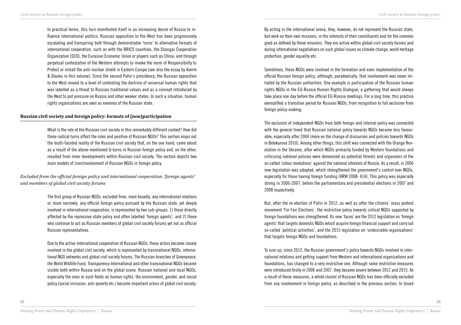In practical terms, this turn manifested itself in an increasing desire of Russia to influence international politics. Russian opposition to the West has been progressively escalating and transpiring both through demonstrable 'turns' to alternative formats of international cooperation, such as with the BRICS countries, the Shangai Cooperation Organization (SCO), the Eurasian Economic Union or players such as China, and through perpetual contestation of the Western attempts to invoke the norm of Responsibility to Protect or install the anti-nuclear shield in Eastern Europe (see also the essay by Averre & Davies in this volume). Since the second Putin's presidency, the Russian opposition to the West moved to a level of contesting the doctrine of universal human rights that was labelled as a threat to Russian traditional values and as a concept introduced by the West to put pressure on Russia and other weaker states. In such a situation, human rights organizations are seen as enemies of the Russian state.

## **Russian civil society and foreign policy: formats of (non)participation**

What is the role of the Russian civil society in this remarkably different context? How did these radical turns affect the roles and position of Russian NGOs? This section maps out the multi-faceted reality of the Russian civil society that, on the one hand, came about as a result of the above-mentioned U-turns in Russian foreign policy and, on the other, resulted from inner developments within Russian civil society. The section depicts two main models of (non)involvement of Russian NGOs in foreign policy.

*Excluded from the official foreign policy and international cooperation: 'foreign agents' and members of global civil society forums*

> The first group of Russian NGOs, excluded from, more broadly, any international relations or, more narrowly, any official foreign policy pursued by the Russian state, yet deeply involved in international cooperation, is represented by two sub-groups: 1) those directly affected by the repressive state policy and often labelled 'foreign agents', and 2) those who continue to act as Russian members of global civil society forums yet not as official Russian representatives.

> Due to the active international cooperation of Russian NGOs, these actors became closely involved in the global civil society, which is represented by transnational NGOs, international NGO networks and global civil society forums. The Russian branches of Greenpeace, the World Wildlife Fund, Transparency International and other transnational NGOs became visible both within Russia and on the global scene. Russian national and local NGOs, especially the ones in such fields as human rights, the environment, gender, and social policy (social inclusion, anti-poverty etc.) became important actors of global civil society.

By acting in the international arena, they, however, do not represent the Russian state, but work on their own missions, in the interests of their constituents and for the common good as defined by those missions. They are active within global civil society forums and during international negotiations on such global issues as climate change, world heritage protection, gender equality etc.

Sometimes, these NGOs were involved in the formation and even implementation of the official Russian foreign policy, although, paradoxically, that involvement was never initiated by the Russian authorities. One example is participation of the Russian human rights NGOs in the EU-Russia Human Rights Dialogue, a gathering that would always take place one day before the official EU-Russia meetings. For a long time, this practice exemplified a transition period for Russian NGOs, from recognition to full exclusion from foreign policy-making.

The exclusion of independent NGOs from both foreign and internal policy was connected with the general trend that Russian national policy towards NGOs became less favourable, especially after 2004 (more on the change of discourses and policies towards NGOs in Belokurova 2010). Among other things, this shift was connected with the Orange Revolution in the Ukraine, after which NGOs primarily funded by Western foundations and criticizing national policies were demonized as potential threats and organizers of the so-called 'colour revolutions' against the national interests of Russia. As a result, in 2006 new legislation was adopted, which strengthened the government's control over NGOs, especially for those having foreign funding (HRW 2008: 414). This policy was especially strong in 2006-2007, before the parliamentary and presidential elections in 2007 and 2008 respectively.

But, after the re-election of Putin in 2012, as well as after the citizens' mass protest movement 'For Fair Elections', the restrictive policy towards critical NGOs supported by foreign foundations was strengthened. Its new 'faces' are the 2012 legislation on 'foreign agents' that targets domestic NGOs which acquire foreign financial support and carry out so-called 'political activities', and the 2015 legislation on 'undesirable organizations' that targets foreign NGOs and foundations.

To sum up, since 2012, the Russian government's policy towards NGOs involved in international relations and getting support from Western and international organizations and foundations, has changed to a very restrictive one. Although some restrictive measures were introduced firstly in 2006 and 2007, they became severe between 2012 and 2015. As a result of these measures, a whole cluster of Russian NGOs has been officially excluded from any involvement in foreign policy, as described in the previous section. In broad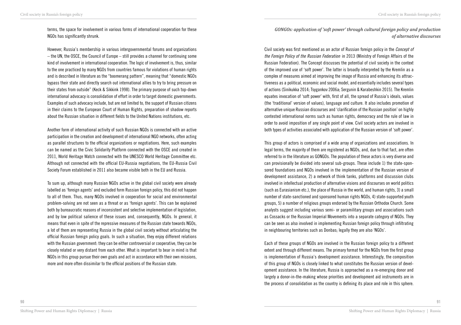terms, the space for involvement in various forms of international cooperation for these NGOs has significantly shrunk.

However, Russia's membership in various intergovernmental forums and organizations – the UN, the OSCE, the Council of Europe – still provides a channel for continuing some kind of involvement in international cooperation. The logic of involvement is, thus, similar to the one practiced by many NGOs from countries famous for violations of human rights and is described in literature as the "boomerang pattern", meaning that "domestic NGOs bypass their state and directly search out international allies to try to bring pressure on their states from outside" (Keck & Sikkink 1998). The primary purpose of such top-down international advocacy is consolidation of effort in order to target domestic governments. Examples of such advocacy include, but are not limited to, the support of Russian citizens in their claims to the European Court of Human Rights, preparation of shadow reports about the Russian situation in different fields to the United Nations institutions, etc.

Another form of international activity of such Russian NGOs is connected with an active participation in the creation and development of international NGO networks, often acting as parallel structures to the official organizations or negotiations. Here, such examples can be named as the Civic Solidarity Platform connected with the OSCE and created in 2011, World Heritage Watch connected with the UNESCO World Heritage Committee etc. Although not connected with the official EU-Russia negotiations, the EU-Russia Civil Society Forum established in 2011 also became visible both in the EU and Russia.

To sum up, although many Russian NGOs active in the global civil society were already labelled as 'foreign agents' and excluded form Russian foreign policy, this did not happen to all of them. Thus, many NGOs involved in cooperation for social and environmental problem-solving are not seen as a threat or as 'foreign agents'. This can be explained both by bureaucratic reasons of inconsistent and selective implementation of legislation, and by low political salience of these issues and, consequently, NGOs. In general, it means that even in spite of the repressive measures of the Russian state towards NGOs, a lot of them are representing Russia in the global civil society without articulating the official Russian foreign policy goals. In such a situation, they enjoy different relations with the Russian government: they can be either controversial or cooperative, they can be closely related or very distant from each other. What is important to bear in mind is that NGOs in this group pursue their own goals and act in accordance with their own missions, more and more often dissimilar to the official positions of the Russian state.

*GONGOs: application of 'soft power' through cultural foreign policy and production of alternative discourses*

Civil society was first mentioned as an actor of Russian foreign policy in the *Concept of the Foreign Policy of the Russian Federation* in 2013 (Ministry of Foreign Affairs of the Russian Federation). The Concept discusses the potential of civil society in the context of the improved use of 'soft power'. The latter is broadly interpreted by the Kremlin as a complex of measures aimed at improving the image of Russia and enhancing its attractiveness as a political, economic and social model, and essentially includes several types of actions (Sinikukka 2014; Tsygankov 2006a; Sergunin & Karabeshkin 2015). The Kremlin equates invocation of 'soft power' with, first of all, the spread of Russia's ideals, values (the 'traditional' version of values), language and culture. It also includes promotion of alternative unique Russian discourses and 'clarification of the Russian position' on highly contested international norms such as human rights, democracy and the rule of law in order to avoid imposition of any single point of view. Civil society actors are involved in both types of activities associated with application of the Russian version of 'soft power'.

This group of actors is comprised of a wide array of organizations and associations. In legal terms, the majority of them are registered as NGOs, and, due to that fact, are often referred to in the literature as GONGOs. The population of these actors is very diverse and can provisionally be divided into several sub-groups. These include 1) the state-sponsored foundations and NGOs involved in the implementation of the Russian version of development assistance, 2) a network of think tanks, platforms and discussion clubs involved in intellectual production of alternative visions and discourses on world politics (such as Eurasianism etc.), the place of Russia in the world, and human rights, 3) a small number of state-sanctioned and sponsored human rights NGOs, 4) state-supported youth groups, 5) a number of religious groups endorsed by the Russian Orthodox Church. Some analysts suggest including various semi- or paramilitary groups and associations such as Cossacks or the Russian Imperial Movements into a separate category of NGOs. They can be seen as also involved in implementing Russian foreign policy through infiltrating in neighbouring territories such as Donbas; legally they are also 'NGOs'.

Each of these groups of NGOs are involved in the Russian foreign policy to a different extent and through different means. The primary format for the NGOs from the first group is implementation of Russia's development assistance. Interestingly, the composition of this group of NGOs is closely linked to what constitutes the Russian version of development assistance. In the literature, Russia is approached as a re-emerging donor and largely a donor-in-the-making whose priorities and development aid instruments are in the process of consolidation as the country is defining its place and role in this sphere.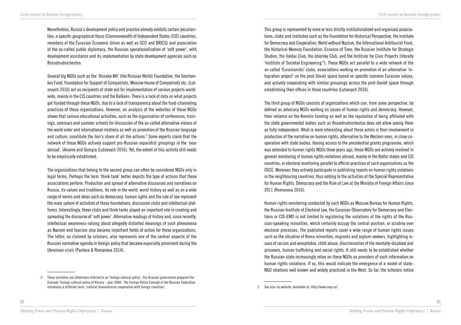Nevertheless, Russia's development policy and practice already exhibits certain peculiarities: a specific geographical focus (Commonwealth of Independent States (CIS) countries, members of the Eurasian Economic Union as well as SCO and BRICS) and association of the so-called public diplomacy, the Russian operationalization of 'soft power', with development assistance and its implementation by state development agencies such as Rossotrudnichestvo.

Several big NGOs such as the '*Russkiy Mir*' (the Russian World) Foundation, the Gorchankov Fund, Foundation for Support of Compatriots, Moscow House of Compatriots etc. (Lutsevych 2016) act as recipients of state aid for implementation of various projects worldwide, mainly in the CIS countries and the Balkans. There is a lack of data on what projects get funded through these NGOs, due to a lack of transparency about the fund-channeling practices of these organizations. However, an analysis of the websites of these NGOs shows that various educational activities, such as the organization of conferences, trainings, seminars and summer schools for discussion of the so-called alternative visions of the world order and international relations as well as promotion of the Russian language and culture, constitute the lion's share of all the actions.<sup>2</sup> Some experts claim that the network of these NGOs actively support pro-Russian separatist groupings in the 'near abroad', Ukraine and Georgia (Lutsevych 2016). Yet, the extent of this activity still needs to be empirically established.

The organizations that belong to the second group can often be considered NGOs only in legal terms. Perhaps the term 'think tank' better depicts the type of actions that these associations perform. Production and spread of alternative discourses and narratives on Russia, its values and traditions, its role in the world, world history as well as on a wide range of norms and ideas such as democracy, human rights and the rule of law represent the main sphere of activities of these foundations, discussion clubs and intellectual platforms. Interestingly, these clubs and think tanks played an important role in creating and spreading the discourse of 'soft power'. Alternative readings of history and, since recently, intellectual awareness-raising about allegedly distorted meanings of such phenomena as Nazism and fascism also became important fields of action for these organizations. The latter, as claimed by scholars, also represents one of the central aspects of the Russian normative agenda in foreign policy that became especially prominent during the Ukrainian crisis (Pavlova & Romanova 2014).

This group is represented by more or less strictly institutionalized and organized associations, clubs and institutes such as the Foundation for Historical Perspective, the Institute for Democracy and Cooperation, World without Nazism, the International Antifascist Front, the Historical Memory Foundation, Essence of Time, the Russian Institute for Strategic Studies, the Valdai Club, the Izborsky Club, and the Institute for Civic Projects (literally 'Institute of Societal Engineering'3 ). These NGOs act parallel to a wide network of the so-called 'Eurasianists' clubs, associations working on promotion of an alternative 'integration project' on the post-Soviet space based on specific common Eurasian values, and actively cooperating with similar groupings across the post-Soviet space through establishing their offices in those countries (Lutsevych 2016).

The third group of NGOs consists of organizations which can, from some perspective, be defined as advocacy NGOs working on issues of human rights and democracy. However, their reliance on the Kremlin funding as well as the reputation of being affiliated with the state governmental bodies such as Rossotrudnichestvo does not allow seeing them as fully independent. What is more interesting about these actors is their involvement in production of the narrative on human rights, alternative to the Western ones, in close cooperation with state bodies. Having access to the presidential grants programme, which was extended to human rights NGOs three years ago, these NGOs are actively involved in general monitoring of human rights violations abroad, mainly in the Baltic states and CIS countries, or electoral monitoring parallel to official practices of such organizations as the OSCE. Moreover, they actively participate in publishing reports on human rights violations in the neighbouring countries, thus adding to the activities of the Special Representative for Human Rights, Democracy and the Rule of Law at the Ministry of Foreign Affairs since 2011 (Romanova 2016).

Human rights monitoring conducted by such NGOs as Moscow Bureau for Human Rights, the Russian Institute of Electoral law, the Eurasian Observatory for Democracy and Elections or CIS-EMO is not limited to registering the violations of the rights of the Russian-speaking minorities, which certainly occupy the central position, or scrutiny over electoral processes. The published reports cover a wide range of human rights issues such as the situation of Roma minorities, migrants and asylum-seekers, highlighting issues of racism and xenophobia, child abuse, discrimination of the mentally-disabled and prisoners, human trafficking and social rights. It still needs to be established whether the Russian state increasingly relies on these NGOs as providers of such information on human rights violations. If so, this would indicate the emergence of a model of state-NGO relations well known and widely practiced in the West. So far, the scholars notice

<sup>2</sup> These activities are oftentimes referred to as 'foreign cultural policy'. The Russian government prepared the Concept 'Foreign cultural policy of Russia – year 2000'. The Foreign Policy Concept of the Russian Federation introduces a different term: 'cultural humanitarian cooperation with foreign countries'.

<sup>3</sup> See also its website. Available at: http://www.inop.ru/.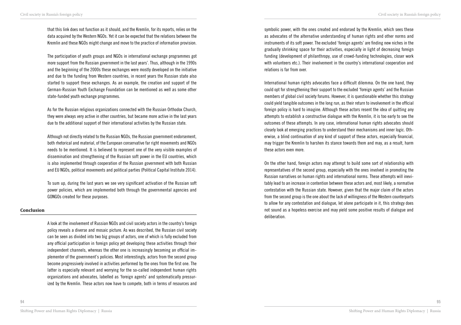that this link does not function as it should, and the Kremlin, for its reports, relies on the data acquired by the Western NGOs. Yet it can be expected that the relations between the Kremlin and these NGOs might change and move to the practice of information provision.

The participation of youth groups and NGOs in international exchange programmes got more support from the Russian government in the last years'. Thus, although in the 1990s and the beginning of the 2000s these exchanges were mostly developed on the initiative and due to the funding from Western countries, in recent years the Russian state also started to support these exchanges. As an example, the creation and support of the German-Russian Youth Exchange Foundation can be mentioned as well as some other state-funded youth exchange programmes.

As for the Russian religious organizations connected with the Russian Orthodox Church, they were always very active in other countries, but became more active in the last years due to the additional support of their international activities by the Russian state.

Although not directly related to the Russian NGOs, the Russian government endorsement, both rhetorical and material, of the European conservative far right movements and NGOs needs to be mentioned. It is believed to represent one of the very visible examples of dissemination and strengthening of the Russian soft power in the EU countries, which is also implemented through cooperation of the Russian government with both Russian and EU NGOs, political movements and political parties (Political Capital Institute 2014).

To sum up, during the last years we see very significant activation of the Russian soft power policies, which are implemented both through the governmental agencies and GONGOs created for these purposes.

### **Conclusion**

A look at the involvement of Russian NGOs and civil society actors in the country's foreign policy reveals a diverse and mosaic picture. As was described, the Russian civil society can be seen as divided into two big groups of actors, one of which is fully excluded from any official participation in foreign policy yet developing these activities through their independent channels, whereas the other one is increasingly becoming an official implementer of the government's policies. Most interestingly, actors from the second group become progressively involved in activities performed by the ones from the first one. The latter is especially relevant and worrying for the so-called independent human rights organizations and advocates, labelled as 'foreign agents' and systematically pressurized by the Kremlin. These actors now have to compete, both in terms of resources and

symbolic power, with the ones created and endorsed by the Kremlin, which sees these as advocates of the alternative understanding of human rights and other norms and instruments of its soft power. The excluded 'foreign agents' are finding new niches in the gradually shrinking space for their activities, especially in light of decreasing foreign funding (development of philanthropy, use of crowd-funding technologies, closer work with volunteers etc.). Their involvement in the country's international cooperation and relations is far from over.

International human rights advocates face a difficult dilemma. On the one hand, they could opt for strengthening their support to the excluded 'foreign agents' and the Russian members of global civil society forums. However, it is questionable whether this strategy could yield tangible outcomes in the long run, as their return to involvement in the official foreign policy is hard to imagine. Although these actors resent the idea of quitting any attempts to establish a constructive dialogue with the Kremlin, it is too early to see the outcomes of these attempts. In any case, international human rights advocates should closely look at emerging practices to understand their mechanisms and inner logic. Otherwise, a blind continuation of any kind of support of these actors, especially financial, may trigger the Kremlin to harshen its stance towards them and may, as a result, harm these actors even more.

On the other hand, foreign actors may attempt to build some sort of relationship with representatives of the second group, especially with the ones involved in promoting the Russian narratives on human rights and international norms. These attempts will inevitably lead to an increase in contention between these actors and, most likely, a normative contestation with the Russian state. However, given that the major claim of the actors from the second group is the one about the lack of willingness of the Western counterparts to allow for any contestation and dialogue, let alone participate in it, this strategy does not sound as a hopeless exercise and may yield some positive results of dialogue and deliberation.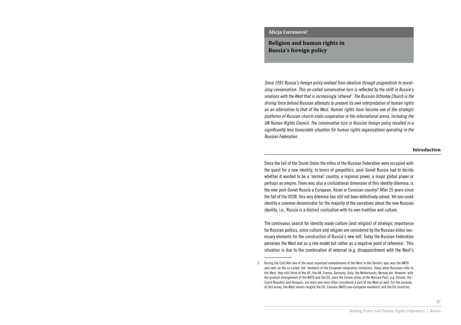## **Alicja Curanović**

**Religion and human rights in Russia's foreign policy** 

*Since 1991 Russia's foreign policy evolved from idealism through pragmatism to moral*izing conservatism. This so-called conservative turn is reflected by the shift in Russia's *relations with the West that is increasingly 'othered'. The Russian Orthodox Church is the driving force behind Russian attempts to present its own interpretation of human rights as an alternative to that of the West. Human rights have become one of the strategic platforms of Russian church-state cooperation in the international arena, including the UN Human Rights Council. The conservative turn in Russian foreign policy resulted in a*  significantly less favourable situation for human rights organizations operating in the *Russian Federation.*

#### **Introduction**

Since the fall of the Soviet Union the elites of the Russian Federation were occupied with the quest for a new identity. In terms of geopolitics, post-Soviet Russia had to decide whether it wanted to be a 'normal' country, a regional power, a major global player or perhaps an empire. There was also a civilizational dimension of this identity dilemma: is the new post-Soviet Russia a European, Asian or Eurasian country? After 25 years since the fall of the USSR, this very dilemma has still not been definitively solved. Yet one could identify a common denominator for the majority of the narratives about the new Russian identity, i.e., Russia is a distinct civilization with its own tradition and culture.

The continuous search for identity made culture (and religion) of strategic importance for Russian politics, since culture and religion are considered by the Russian elites necessary elements for the construction of Russia's new self. Today the Russian Federation perceives the West not as a role model but rather as a negative point of reference.<sup>1</sup> This situation is due to the combination of external (e.g. disappointment with the West's

<sup>1</sup> During the Cold War one of the most important embodiments of the West in the Soviets' eyes was the NATO and later on the so-called 'old' members of the European integration initiatives. Today when Russians refer to the West, they still think of the US, the UK, France, Germany, Italy, the Netherlands, Norway etc. However, with the gradual enlargement of the NATO and the EU, even the former allies of the Warsaw Pact, e.g. Poland, the Czech Republic and Hungary, are more and more often considered a part of the West as well. For the purpose of this essay, the West means roughly the US, Canada (NATO non-European members) and the EU countries.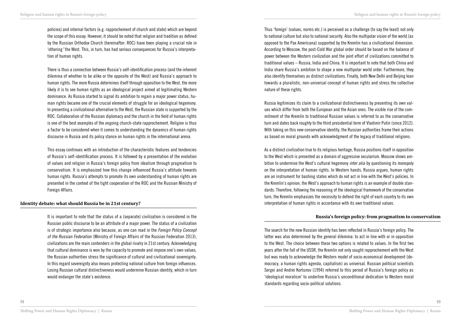policies) and internal factors (e.g. rapprochement of church and state) which are beyond the scope of this essay. However, it should be noted that religion and tradition as defined by the Russian Orthodox Church (hereinafter: ROC) have been playing a crucial role in 'othering*'* the West. This, in turn, has had serious consequences for Russia's interpretation of human rights.

There is thus a connection between Russia's self-identification process (and the inherent dilemma of whether to be alike or the opposite of the West) and Russia's approach to human rights. The more Russia determines itself through opposition to the West, the more likely it is to see human rights as an ideological project aimed at legitimating Western dominance. As Russia started to signal its ambition to regain a major power status, human rights became one of the crucial elements of struggle for an ideological hegemony. In presenting a civilizational alternative to the West, the Russian state is supported by the ROC. Collaboration of the Russian diplomacy and the church in the field of human rights is one of the best examples of the ongoing church-state rapprochement. Religion is thus a factor to be considered when it comes to understanding the dynamics of human rights discourse in Russia and its policy stance on human rights in the international arena.

This essay continues with an introduction of the characteristic features and tendencies of Russia's self-identification process. It is followed by a presentation of the evolution of values and religion in Russia's foreign policy from idealism through pragmatism to conservatism. It is emphasized how this change influenced Russia's attitude towards human rights. Russia's attempts to promote its own understanding of human rights are presented in the context of the tight cooperation of the ROC and the Russian Ministry of Foreign Affairs.

# **Identity debate: what should Russia be in 21st century?**

It is important to note that the status of a (separate) civilization is considered in the Russian public discourse to be an attribute of a major power. The status of a civilization is of strategic importance also because, as one can read in the *Foreign Policy Concept of the Russian Federation* (Ministry of Foreign Affairs of the Russian Federation 2013), civilizations are the main contenders in the global rivalry in 21st century. Acknowledging that cultural dominance is won by the capacity to promote and impose one's own values, the Russian authorities stress the significance of cultural and civilizational sovereignty. In this regard sovereignty also means protecting national culture from foreign influences. Losing Russian cultural distinctiveness would undermine Russian identity, which in turn would endanger the state's existence.

Thus 'foreign' (values, norms etc.) is perceived as a challenge (to say the least) not only to national culture but also to national security. Also the multipolar vision of the world (as opposed to the Pax Americana) supported by the Kremlin has a civilizational dimension. According to Moscow, the post-Cold War global order should be based on the balance of power between the Western civilization and the joint effort of civilizations committed to traditional values – Russia, India and China. It is important to note that both China and India share Russia's ambition to shape a new multipolar world order. Furthermore, they also identify themselves as distinct civilizations. Finally, both New Delhi and Beijing lean towards a pluralistic, non-universal concept of human rights and stress the collective nature of these rights.

Russia legitimizes its claim to a civilizational distinctiveness by presenting its own values which differ from both the European and the Asian ones. The visible rise of the commitment of the Kremlin to traditional Russian values is referred to as the conservative turn and dates back roughly to the third presidential term of Vladimir Putin (since 2012). With taking on this new conservative identity, the Russian authorities frame their actions as based on moral grounds with acknowledgment of the legacy of traditional religions.

As a distinct civilization true to its religious heritage, Russia positions itself in opposition to the West which is presented as a domain of aggressive secularism. Moscow shows ambition to undermine the West's cultural hegemony *inter alia* by questioning its monopoly on the interpretation of human rights. In Western hands, Russia argues, human rights are an instrument for bashing states which do not act in line with the West's policies. In the Kremlin's opinion, the West's approach to human rights is an example of double standards. Therefore, following the reasoning of the ideological framework of the conservative turn, the Kremlin emphasizes the necessity to defend the right of each country to its own interpretation of human rights in accordance with its own traditional values.

# **Russia's foreign policy: from pragmatism to conservatism**

The search for the new Russian identity has been reflected in Russia's foreign policy. The latter was also determined by the general dilemma: to act in line with or in opposition to the West. The choice between these two options is related to values. In the first two years after the fall of the USSR, the Kremlin not only sought rapprochement with the West but was ready to acknowledge the Western model of socio-economical development (democracy, a human rights agenda, capitalism) as universal. Russian political scientists Sergei and Andrei Kortunov (1994) referred to this period of Russia's foreign policy as 'ideological moralism' to underline Russia's unconditional dedication to Western moral standards regarding socio-political solutions.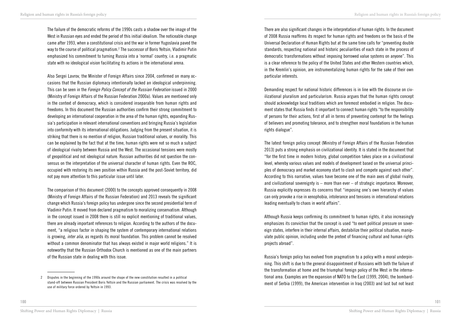The failure of the democratic reforms of the 1990s casts a shadow over the image of the West in Russian eyes and ended the period of this initial idealism. The noticeable change came after 1993, when a constitutional crisis and the war in former Yugoslavia paved the way to the course of political pragmatism.<sup>2</sup> The successor of Boris Yeltsin, Vladimir Putin emphasized his commitment to turning Russia into a 'normal' country, i.e. a pragmatic state with no ideological vision facilitating its actions in the international arena.

Also Sergei Lavrov, the Minister of Foreign Affairs since 2004, confirmed on many occasions that the Russian diplomacy intentionally lacked an ideological underpinning. This can be seen in the *Foreign Policy Concept of the Russian Federation* issued in 2000 (Ministry of Foreign Affairs of the Russian Federation 2000a). Values are mentioned only in the context of democracy, which is considered inseparable from human rights and freedoms. In this document the Russian authorities confirm their strong commitment to developing an international cooperation in the area of the human rights, expanding Russia's participation in relevant international conventions and bringing Russia's legislation into conformity with its international obligations. Judging from the present situation, it is striking that there is no mention of religion, Russian traditional values, or morality. This can be explained by the fact that at the time, human rights were not so much a subject of ideological rivalry between Russia and the West. The occasional tensions were mostly of geopolitical and not ideological nature. Russian authorities did not question the consensus on the interpretation of the universal character of human rights. Even the ROC, occupied with restoring its own position within Russia and the post-Soviet territory, did not pay more attention to this particular issue until later.

The comparison of this document (2000) to the concepts approved consequently in 2008 (Ministry of Foreign Affairs of the Russian Federation) and 2013 reveals the significant change which Russia's foreign policy has undergone since the second presidential term of Vladimir Putin. It moved from declared pragmatism to moralizing conservatism. Although in the concept issued in 2008 there is still no explicit mentioning of traditional values, there are already important references to religion. According to the authors of the document, "a religious factor in shaping the system of contemporary international relations is growing, *inter alia*, as regards its moral foundation. This problem cannot be resolved without a common denominator that has always existed in major world religions." It is noteworthy that the Russian Orthodox Church is mentioned as one of the main partners of the Russian state in dealing with this issue.

There are also significant changes in the interpretation of human rights. In the document of 2008 Russia reaffirms its respect for human rights and freedoms on the basis of the Universal Declaration of Human Rights but at the same time calls for "preventing double standards, respecting national and historic peculiarities of each state in the process of democratic transformations without imposing borrowed value systems on anyone". This is a clear reference to the policy of the United States and other Western countries which, in the Kremlin's opinion, are instrumentalizing human rights for the sake of their own particular interests.

Demanding respect for national historic differences is in line with the discourse on civilizational pluralism and particularism. Russia argues that the human rights concept should acknowledge local traditions which are foremost embodied in religion. The document states that Russia finds it important to connect human rights "to the responsibility of persons for their actions, first of all in terms of preventing contempt for the feelings of believers and promoting tolerance, and to strengthen moral foundations in the human rights dialogue".

The latest foreign policy concept (Ministry of Foreign Affairs of the Russian Federation 2013) puts a strong emphasis on civilizational identity. It is stated in the document that "for the first time in modern history, global competition takes place on a civilizational level, whereby various values and models of development based on the universal principles of democracy and market economy start to clash and compete against each other". According to this narrative, values have become one of the main axes of global rivalry, and civilizational sovereignty is  $-$  more than ever  $-$  of strategic importance. Moreover, Russia explicitly expresses its concerns that "imposing one's own hierarchy of values can only provoke a rise in xenophobia, intolerance and tensions in international relations leading eventually to chaos in world affairs".

Although Russia keeps confirming its commitment to human rights, it also increasingly emphasizes its conviction that the concept is used "to exert political pressure on sovereign states, interfere in their internal affairs, destabilize their political situation, manipulate public opinion, including under the pretext of financing cultural and human rights projects abroad".

Russia's foreign policy has evolved from pragmatism to a policy with a moral underpinning. This shift is due to the general disappointment of Russians with both the failure of the transformation at home and the triumphal foreign policy of the West in the international area. Examples are the expansion of NATO to the East (1999, 2004), the bombardment of Serbia (1999), the American intervention in Iraq (2003) and last but not least

<sup>2</sup> Disputes in the beginning of the 1990s around the shape of the new constitution resulted in a political stand-off between Russian President Boris Yeltsin and the Russian parliament. The crisis was resolved by the use of military force ordered by Yeltsin in 1993.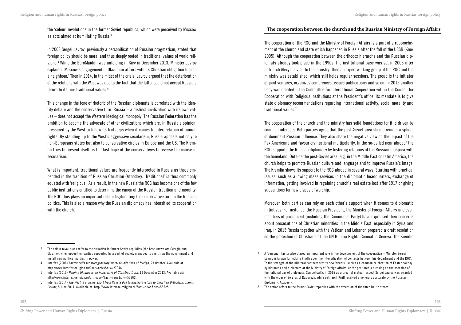the 'colour' revolutions in the former Soviet republics, which were perceived by Moscow as acts aimed at humiliating Russia.3

In 2008 Sergei Lavrov, previously a personification of Russian pragmatism, stated that foreign policy should be moral and thus deeply rooted in traditional values of world religions.4 While the EuroMaidan was unfolding in Kiev in December 2013, Minister Lavrov explained Moscow's engagement in Ukrainian affairs with its Christian obligation to help a neighbour.5 Then in 2014, in the midst of the crisis, Lavrov argued that the deterioration of the relations with the West was due to the fact that the latter could not accept Russia's return to its true traditional values.<sup>6</sup>

This change in the tone of rhetoric of the Russian diplomats is correlated with the identity debate and the conservative turn. Russia – a distinct civilization with its own values – does not accept the Western ideological monopoly. The Russian Federation has the ambition to become the advocate of other civilizations which are, in Russia's opinion, pressured by the West to follow its footsteps when it comes to interpretation of human rights. By standing up to the West's aggressive secularism, Russia appeals not only to non-Europeans states but also to conservative circles in Europe and the US. The Kremlin tries to present itself as the last hope of the conservatives to reverse the course of secularism.

What is important, traditional values are frequently interpreted in Russia as those embedded in the tradition of Russian Christian Orthodoxy. 'Traditional' is thus commonly equated with 'religious'. As a result, in the new Russia the ROC has become one of the few public institutions entitled to determine the canon of the Russian tradition and morality. The ROC thus plays an important role in legitimating the conservative turn in the Russian politics. This is also a reason why the Russian diplomacy has intensified its cooperation with the church.

- 4 Interfax (2008) *Lavrov calls for strengthening moral foundations of foreign*, 23 October. Available at: http://www.interfax-religion.ru/?act=news&div=27046.
- 5 Interfax (2013) *Helping Ukraine is an imperative of Christian Truth*, 19 December 2013. Available at: http://www.interfax-religion.ru/orthodoxy/?act=news&div=53862.
- 6 Interfax (2014) *The West is growing apart from Russia due to Russia's return to Christian Orthodoxy, claims Lavrov*, 5 June 2014. Available at: http://www.interfax-religion.ru/?act=news&div=55525.

The cooperation of the ROC and the Ministry of Foreign Affairs is a part of a rapprochement of the church and state which happened in Russia after the fall of the USSR (Knox 2005). Although the cooperation between the orthodox hierarchs and the Russian diplomats already took place in the 1990s, the institutional base was set in 2003 after patriarch Alexy II's visit to the ministry. Then an expert working group of the ROC and the ministry was established, which still holds regular sessions. The group is the initiator of joint ventures, organizes conferences, issues publications and so on. In 2015 another body was created – the Committee for International Cooperation within the Council for Cooperation with Religious Institutions at the President's office. Its mandate is to give state diplomacy recommendations regarding international activity, social morality and traditional values.7

The cooperation of the church and the ministry has solid foundations for it is driven by common interests. Both parties agree that the post-Soviet area should remain a sphere of dominant Russian influence. They also share the negative view on the impact of the Pax Americana and favour civilizational multipolarity. In the so-called near abroad<sup>8</sup> the ROC supports the Russian diplomacy by fostering relations of the Russian diaspora with the homeland. Outside the post-Soviet area, e.g. in the Middle East or Latin America, the church helps to promote Russian culture and language and to improve Russia's image. The Kremlin shows its support to the ROC abroad in several ways. Starting with practical issues, such as allowing mass services in the diplomatic headquarters, exchange of information, getting involved in regaining church's real estate lost after 1917 or giving subventions for new places of worship.

Moreover, both parties can rely on each other's support when it comes to diplomatic initiatives. For instance, the Russian President, the Minister of Foreign Affairs and even members of parliament (including the Communist Party) have expressed their concerns about prosecutions of Christian minorities in the Middle East, especially in Syria and Iraq. In 2015 Russia together with the Vatican and Lebanon prepared a draft resolution on the protection of Christians at the UN Human Rights Council in Geneva. The Kremlin

<sup>3</sup> The colour revolutions refer to the situation in former Soviet republics (the best known are Georgia and Ukraine), when opposition parties supported by a part of society managed to overthrow the government and install new political parties in power.

<sup>7</sup> A 'personal' factor also played an important role in the development of the cooperation – Minister Sergei Lavrov is known for looking kindly upon the intensification of contacts between his department and the ROC. To the strength of the bilateral contacts testify new 'rituals', such as a common celebration of Easter holiday by hierarchs and diplomats at the Ministry of Foreign Affairs, or the patriarch's blessing on the occasion of the national day of diplomats. Symbolically, in 2015 as a proof of mutual respect Sergei Lavrov was awarded with the order of Sergius of Radonezh, while patriarch Kirill received a honorary doctorate by the Russian Diplomatic Academy.

<sup>8</sup> The notion refers to the former Soviet republics with the exception of the three Baltic states.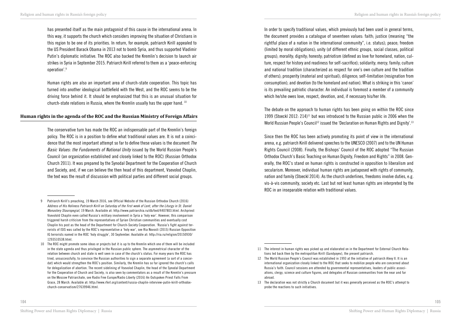has presented itself as the main protagonist of this cause in the international arena. In this way, it supports the church which considers improving the situation of Christians in this region to be one of its priorities. In return, for example, patriarch Kirill appealed to the US President Barack Obama in 2013 not to bomb Syria, and thus supported Vladimir Putin's diplomatic initiative. The ROC also backed the Kremlin's decision to launch air strikes in Syria in September 2015. Patriarch Kirill referred to them as a 'peace-enforcing operation'.9

Human rights are also an important area of church-state cooperation. This topic has turned into another ideological battlefield with the West, and the ROC seems to be the driving force behind it. It should be emphasized that this is an unusual situation for church-state relations in Russia, where the Kremlin usually has the upper hand. <sup>10</sup>

# **Human rights in the agenda of the ROC and the Russian Ministry of Foreign Affairs**

The conservative turn has made the ROC an indispensable part of the Kremlin's foreign policy. The ROC is in a position to define what traditional values are. It is not a coincidence that the most important attempt so far to define these values is the document *The Basic Values: the Fundaments of National Unity* issued by the World Russian People's Council (an organization established and closely linked to the ROC) (Russian Orthodox Church 2011). It was prepared by the Synodal Department for the Cooperation of Church and Society, and, if we can believe the then head of this department, Vsevolod Chaplin, the text was the result of discussion with political parties and different social groups.

In order to specify traditional values, which previously had been used in general terms, the document provides a catalogue of seventeen values: faith; justice (meaning "the rightful place of a nation in the international community", i.e. status); peace; freedom (limited by moral obligations); unity (of different ethnic groups, social classes, political groups); morality; dignity; honesty; patriotism (defined as love for homeland, nation, culture, respect for history and readiness for self-sacrifice); solidarity; mercy; family; culture and national tradition (characterized as respect for one's own culture and the tradition of others); prosperity (material and spiritual); diligence; self-limitation (resignation from consumption); and devotion (to the homeland and nation). What is striking in this 'canon' is its prevailing patriotic character. An individual is foremost a member of a community which he/she owes love, respect, devotion, and, if necessary his/her life.

The debate on the approach to human rights has been going on within the ROC since 1999 (Stoeckl 2012: 214)11 but was introduced to the Russian public in 2006 when the World Russian People's Council<sup>12</sup> issued the 'Declaration on Human Rights and Dignity'.<sup>13</sup>

Since then the ROC has been actively promoting its point of view in the international arena, e.g. patriarch Kirill delivered speeches to the UNESCO (2007) and to the UN Human Rights Council (2008). Finally, the Bishops' Council of the ROC adopted "The Russian Orthodox Church's Basic Teaching on Human Dignity, Freedom and Rights" in 2008. Generally, the ROC's stand on human rights is constructed in opposition to liberalism and secularism. Moreover, individual human rights are juxtaposed with rights of community, nation and family (Stoeckl 2014). As the church underlines, freedoms involve duties, e.g. vis-à-vis community, society etc. Last but not least human rights are interpreted by the ROC in an inseparable relation with traditional values.

<sup>9</sup> Patriarch Kirill's preaching, 19 March 2016, see Official Website of the Russian Orthodox Church (2016) *Address of His Holiness Patriarch Kirill on Saturday of the first week of Lent, after the Liturgy in St. Daniel Monastery Stauropegial*, 19 March. Available at: http://www.patriarchia.ru/db/text/4407803.html. Archpriest Vsevolold Chaplin even called Russia's military involvement in Syria a 'holy war'. However, this comparison triggered harsh criticism from the representatives of Syrian Christian communities and eventually cost Chaplin his post as the head of the Department for Church-Society Cooperation. 'Russia's fight against terrorists of ISIS was called by the ROC's representative a 'holy war', see Ria Novosti (2015) Russian Opposition IG terrorists named in the ROC 'holy struggle', 30 September. Available at: http://ria.ru/religion/20150930/ 1293510538.html.

<sup>10</sup> The ROC might promote some ideas or projects but it is up to the Kremlin which one of them will be included in the state agenda and thus privileged in the Russian public sphere. The asymmetrical character of the relation between church and state is well seen in case of the church's status. For many years the ROC has tried, unsuccessfully, to convince the Russian authorities to sign a separate agreement (a sort of a concordat) which would strengthen the ROC's position. Similarly, the Kremlin has so far ignored the church's calls for delegalization of abortion. The recent sidelining of Vsevolod Chaplin, the head of the Synodal Department for the Cooperation of Church and Society, is also seen by commentators as a result of the Kremlin's pressure on the Moscow Patriarchate, see Radio Free Europe/Radio Liberty (2016) An Outspoken Priest Falls From Grace, 28 March. Available at: http://www.rferl.org/content/russia-chaplin-interview-putin-kirill-orthodoxchurch-conservatism/27639946.html.

<sup>11</sup> The interest in human rights was picked up and elaborated on in the Department for External Church Relations led back then by the metropolitan Kirill (Gundyayev), the present patriarch.

<sup>12</sup> The World Russian People's Council was established in 1993 at the initiative of patriarch Alexy II. It is an international organization closely linked to the ROC that seeks to mobilize people who are concerned about Russia's faith. Council sessions are attended by governmental representatives, leaders of public associations, clergy, science and culture figures, and delegates of Russian communities from the near and far abroad.

<sup>13</sup> The declaration was not strictly a Church document but it was generally perceived as the ROC's attempt to probe the reactions to such initiatives.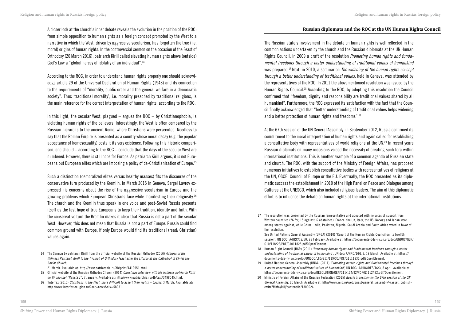A closer look at the church's inner debate reveals the evolution in the position of the ROC: from simple opposition to human rights as a foreign concept promoted by the West to a narrative in which the West, driven by aggressive secularism, has forgotten the true (i.e. moral) origins of human rights. In the controversial sermon on the occasion of the Feast of Orthodoxy (20 March 2016), patriarch Kirill called elevating human rights above (outside) God's Law a "global heresy of idolatry of an individual".14

According to the ROC, in order to understand human rights properly one should acknowledge article 29 of the Universal Declaration of Human Rights (1948) and its connection to the requirements of "morality, public order and the general welfare in a democratic society". Thus 'traditional morality', i.e. morality preached by traditional religions, is the main reference for the correct interpretation of human rights, according to the ROC.

In this light, the secular West, plagued  $-$  argues the ROC  $-$  by Christianophobia, is violating human rights of the believers. Interestingly, the West is often compared by the Russian hierarchs to the ancient Rome, where Christians were persecuted. Needless to say that the Roman Empire is presented as a country whose moral decay (e.g. the popular acceptance of homosexuality) costs it its very existence. Following this historic comparison, one should – according to the ROC – conclude that the days of the secular West are numbered. However, there is still hope for Europe. As patriarch Kirill argues, it is not Europeans but European elites which are imposing a policy of de-Christianisation of Europe.15

Such a distinction (demoralized elites versus healthy masses) fits the discourse of the conservative turn produced by the Kremlin. In March 2015 in Geneva, Sergei Lavrov expressed his concerns about the rise of the aggressive secularism in Europe and the growing problems which European Christians face while manifesting their religiosity.16 The church and the Kremlin thus speak in one voice and post-Soviet Russia presents itself as the last hope of true Europeans to keep their tradition, identity and faith. With the conservative turn the Kremlin makes it clear that Russia is not a part of the secular West. However, this does not mean that Russia is not a part of Europe. Russia could find common ground with Europe, if only Europe would find its traditional (read: Christian) values again.

# **Russian diplomats and the ROC at the UN Human Rights Council**

The Russian state's involvement in the debate on human rights is well reflected in the common actions undertaken by the church and the Russian diplomats at the UN Human Rights Council. In 2009 a draft of the resolution *Promoting human rights and fundamental freedoms through a better understanding of traditional values of humankind* was prepared.17 Next, in 2010, a seminar on *The widening of the human rights concept through a better understanding of traditional values*, held in Geneva, was attended by the representatives of the ROC. In 2011 the abovementioned resolution was issued by the Human Rights Council.18 According to the ROC, by adopting this resolution the Council confirmed that "freedom, dignity and responsibility are traditional values shared by all humankind". Furthermore, the ROC expressed its satisfaction with the fact that the Council finally acknowledged that "better understanding of traditional values helps widening and a better protection of human rights and freedoms".19

At the 67th session of the UN General Assembly, in September 2012, Russia confirmed its commitment to the moral interpretation of human rights and again called for establishing a consultative body with representatives of world religions at the UN.<sup>20</sup> In recent years Russian diplomats on many occasions voiced the necessity of creating such fora within international institutions. This is another example of a common agenda of Russian state and church. The ROC, with the support of the Ministry of Foreign Affairs, has proposed numerous initiatives to establish consultative bodies with representatives of religions at the UN, OSCE, Council of Europe or the EU. Eventually, the ROC presented as its diplomatic success the establishment in 2010 of the High Panel on Peace and Dialogue among Cultures at the UNESCO, which also included religious leaders. The aim of this diplomatic effort is to influence the debate on human rights at the international institutions.

<sup>14</sup> The Sermon by patriarch Kirill from the official website of the Russian Orthodox (2016) *Address of His Holiness Patriarch Kirill to the Triumph of Orthodoxy feast after the Liturgy at the Cathedral of Christ the Savior Church*, 21 March. Available at: http://www.patriarchia.ru/db/print/4410951.html.

<sup>15</sup> Official website of the Russian Orthodox Church (2014) *Christmas interview with his holiness patriarch Kirill on TV channel "Russia 1",* 7 January. Available at: http://www.patriarchia.ru/db/text/3498045.html.

<sup>16</sup> 'Interfax (2015) *Christians in the West, more difficult to assert their rights – Lavrov*, 3 March. Available at: http://www.interfax-religion.ru/?act=news&div=58031.

<sup>17</sup> The resolution was presented by the Russian representative and adopted with no votes of support from Western countries (26 for, 15 against, 6 abstained). France, the UK, Italy, the US, Norway and Japan were among states against, while China, India, Pakistan, Nigeria, Saudi Arabia and South Africa voted in favor of the resolution.

See United Nations General Assembly (UNGA) (2010) 'Report of the Human Rights Council on its twelfth session', UN DOC: A/HRC/12/50, 25 February. Available at: https://documents-dds-ny.un.org/doc/UNDOC/GEN/ G10/118/28/PDF/G1011828.pdf?OpenElement.

<sup>18</sup> Human Right Council (HCR) (2011) *'Promoting human rights and fundamental freedoms through a better understanding of traditional values of humankind',* UN doc: A/HRC/16/L.6, 18 March. Available at: https:// documents-dds-ny.un.org/doc/UNDOC/LTD/G11/119/35/PDF/G1111935.pdf?OpenElement.

<sup>19</sup> United Nations General Assembly (UNGA) (2011) *'Promoting human rights and fundamental freedoms through a better understanding of traditional values of humankind',* UN DOC: A/HRC/RES/16/3, 8 April. Available at: https://documents-dds-ny.un.org/doc/RESOLUTION/GEN/G11/124/92/PDF/G1112492.pdf?OpenElement.

<sup>20</sup> Ministry of Foreign Affairs of the Russian Federation (2015) *Russia's position on the 67th session of the UN General Assembly,* 25 March. Available at: http://www.mid.ru/web/guest/general\_assembly/-/asset\_publisher/lrzZMhfoyRUj/content/id/1309624.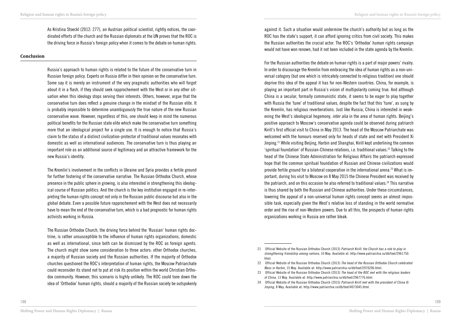As Kristina Stoeckl (2012: 277), an Austrian political scientist, rightly notices, the coordinated efforts of the church and the Russian diplomats at the UN proves that the ROC is the driving force in Russia's foreign policy when it comes to the debate on human rights.

### **Conclusion**

Russia's approach to human rights is related to the future of the conservative turn in Russian foreign policy. Experts on Russia differ in their opinion on the conservative turn. Some say it is merely an instrument of the very pragmatic authorities who will forget about it in a flash, if they should seek rapprochement with the West or in any other situation when this ideology stops serving their interests. Others, however, argue that the conservative turn does reflect a genuine change in the mindset of the Russian elite. It is probably impossible to determine unambiguously the true nature of the new Russian conservative wave. However, regardless of this, one should keep in mind the numerous political benefits for the Russian state elite which make the conservative turn something more that an ideological project for a single use. It is enough to notice that Russia's claim to the status of a distinct civilization-protector of traditional values resonates with domestic as well as international audiences. The conservative turn is thus playing an important role as an additional source of legitimacy and an attractive framework for the new Russia's identity.

The Kremlin's involvement in the conflicts in Ukraine and Syria provides a fertile ground for further fostering of the conservative narrative. The Russian Orthodox Church, whose presence in the public sphere in growing, is also interested in strengthening this ideological course of Russian politics. And the church is the key institution engaged in re-interpreting the human rights concept not only in the Russian public discourse but also in the global debate. Even a possible future rapprochement with the West does not necessarily have to mean the end of the conservative turn, which is a bad prognostic for human rights activists working in Russia.

The Russian Orthodox Church, the driving force behind the 'Russian' human rights doctrine, is rather unsusceptible to the influence of human rights organizations, domestic as well as international, since both can be dismissed by the ROC as foreign agents. The church might show some consideration to three actors: other Orthodox churches, a majority of Russian society and the Russian authorities. If the majority of Orthodox churches questioned the ROC's interpretation of human rights, the Moscow Patriarchate could reconsider its stand not to put at risk its position within the world Christian Orthodox community. However, this scenario is highly unlikely. The ROC could tone down the idea of 'Orthodox' human rights, should a majority of the Russian society be outspokenly

against it. Such a situation would undermine the church's authority but as long as the ROC has the state's support, it can afford ignoring critics from civil society. This makes the Russian authorities the crucial actor. The ROC's 'Orthodox' human rights campaign would not have won renown, had it not been included in the state agenda by the Kremlin.

For the Russian authorities the debate on human rights is a part of major powers' rivalry. In order to discourage the Kremlin from embracing the idea of human rights as a non-universal category (but one which is intricately connected to religious tradition) one should deprive this idea of the appeal it has for non-Western countries. China, for example, is playing an important part in Russia's vision of multipolarity coming true. And although China is a secular, formally communistic state, it seems to be eager to play together with Russia the 'tune' of traditional values, despite the fact that this 'tune', as sung by the Kremlin, has religious reverberations. Just like Russia, China is interested in weakening the West's ideological hegemony, *inter alia* in the area of human rights. Beijing's positive approach to Moscow's conservative agenda could be observed during patriarch Kirill's first official visit to China in May 2013. The head of the Moscow Patriarchate was welcomed with the honours reserved only for heads of state and met with President Xi Jinping.21 While visiting Beijing, Harbin and Shanghai, Kirill kept underlining the common 'spiritual foundation' of Russian-Chinese relations, i.e. traditional values.22 Talking to the head of the Chinese State Administration for Religious Affairs the patriarch expressed hope that the common spiritual foundation of Russian and Chinese civilizations would provide fertile ground for a bilateral cooperation in the international arena.23 What is important, during his visit to Moscow on 8 May 2015 the Chinese President was received by the patriarch, and on this occasion he also referred to traditional values.<sup>24</sup> This narrative is thus shared by both the Russian and Chinese authorities. Under these circumstances, lowering the appeal of a non-universal human rights concept seems an almost impossible task, especially given the West's relative loss of standing in the world normative order and the rise of non-Western powers. Due to all this, the prospects of human rights organizations working in Russia are rather bleak.

<sup>21</sup> Official Website of the Russian Orthodox Church (2013) *Patriarch Kirill: the Church has a role to play in strengthening friendship among nations*, 10 May. Available at: http://www.patriarchia.ru/db/text/2961750. html.

<sup>22</sup> Official Website of the Russian Orthodox Church (2013) *The head of the Russian Orthodox Church celebrated Mass in Harbin*, 15 May. Available at: http://www.patriarchia.ru/db/text/2970296.html.

<sup>23</sup> Official Website of the Russian Orthodox Church (2013) *The head of the ROC met with the religious leaders of China*, 13 May. Available at: http://www.patriarchia.ru/db/text/2967776.html.

<sup>24</sup> Official Website of the Russian Orthodox Church (2015) *Patriarch Kirill met with the president of China Xi Jinping*, 8 May. Available at: http://www.patriarchia.ru/db/text/4073045.html.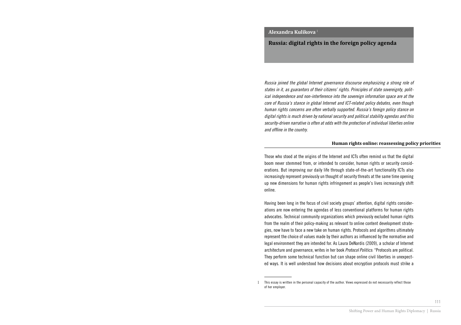### **Russia: digital rights in the foreign policy agenda**

*Russia joined the global Internet governance discourse emphasizing a strong role of states in it, as guarantors of their citizens' rights. Principles of state sovereignty, political independence and non-interference into the sovereign information space are at the core of Russia's stance in global Internet and ICT-related policy debates, even though human rights concerns are often verbally supported. Russia's foreign policy stance on digital rights is much driven by national security and political stability agendas and this security-driven narrative is often at odds with the protection of individual liberties online*  and offline in the country.

#### **Human rights online: reassessing policy priorities**

Those who stood at the origins of the Internet and ICTs often remind us that the digital boom never stemmed from, or intended to consider, human rights or security considerations. But improving our daily life through state-of-the-art functionality ICTs also increasingly represent previously un thought of security threats at the same time opening up new dimensions for human rights infringement as people's lives increasingly shift online.

Having been long in the focus of civil society groups' attention, digital rights considerations are now entering the agendas of less conventional platforms for human rights advocates. Technical community organizations which previously excluded human rights from the realm of their policy-making as relevant to online content development strategies, now have to face a new take on human rights. Protocols and algorithms ultimately represent the choice of values made by their authors as influenced by the normative and legal environment they are intended for. As Laura DeNardis (2009), a scholar of Internet architecture and governance, writes in her book *Protocol Politics*: "Protocols are political. They perform some technical function but can shape online civil liberties in unexpected ways. It is well understood how decisions about encryption protocols must strike a

<sup>1</sup> This essay is written in the personal capacity of the author. Views expressed do not necessarily reflect those of her employer.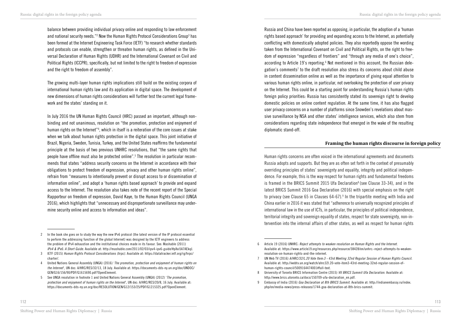balance between providing individual privacy online and responding to law enforcement and national security needs."<sup>2</sup> Now the Human Rights Protocol Considerations Group<sup>3</sup> has been formed at the Internet Engineering Task Force (IETF) "to research whether standards and protocols can enable, strengthen or threaten human rights, as defined in the Universal Declaration of Human Rights (UDHR) and the International Covenant on Civil and Political Rights (ICCPR), specifically, but not limited to the right to freedom of expression and the right to freedom of assembly".

The growing multi-layer human rights implications still build on the existing corpora of international human rights law and its application in digital space. The development of new dimensions of human rights considerations will further test the current legal framework and the states' standing on it.

In July 2016 the UN Human Rights Council (HRC) passed an important, although nonbinding and not unanimous, resolution on "the promotion, protection and enjoyment of human rights on the Internet"4 , which in itself is a reiteration of the core issues at stake when we talk about human rights protection in the digital space. This joint initiative of Brazil, Nigeria, Sweden, Tunisia, Turkey, and the United States reaffirms the fundamental principle at the basis of two previous UNHRC resolutions, that "the same rights that people have offline must also be protected online".<sup>5</sup> The resolution in particular recommends that states "address security concerns on the Internet in accordance with their obligations to protect freedom of expression, privacy and other human rights online", refrain from "measures to intentionally prevent or disrupt access to or dissemination of information online", and adopt a 'human rights based approach' to provide and expand access to the Internet. The resolution also takes note of the recent report of the Special Rapporteur on freedom of expression, David Kaye, to the Human Rights Council (UNGA 2016), which highlights that "unnecessary and disproportionate surveillance may undermine security online and access to information and ideas".

2 In the book she goes on to study the way the new IPv6 protocol (the latest version of the IP protocol essential to perform the addressing function of the global Internet) was designed by the IETF engineers to address the problem of IPv4 exhaustion and the institutional choices made in its favour. See: Mashable (2011) *IPv4 & IPv6: A Short Guide*. Available at: http://mashable.com/2011/02/03/ipv4-ipv6-guide/#pXxi5A7AEkqJ.

- 3 IETF (2015) *Human Rights Protocol Considerations (hrpc).* Available at: https://datatracker.ietf.org/rg/hrpc/ charter/.
- 4 United Nations General Assembly (UNGA) (2016) '*The promotion, protection and enjoyment of human rights on the Internet*', UN doc: A/HRC/RES/32/13, 18 July. Available at: https://documents-dds-ny.un.org/doc/UNDOC/ GEN/G16/156/90/PDF/G1615690.pdf?OpenElement.
- 5 See UNGA resolution in footnote 1 and United Nations General Assembly (UNGA) (2012) '*The promotion, protection and enjoyment of human rights on the Internet*', UN doc: A/HRC/RES/20/8, 16 July. Available at: https://documents-dds-ny.un.org/doc/RESOLUTION/GEN/G12/153/25/PDF/G1215325.pdf?OpenElement.

Russia and China have been reported as opposing, in particular, the adoption of a 'human rights based approach' for providing and expanding access to the Internet, as potentially conflicting with domestically adopted policies. They also reportedly oppose the wording taken from the International Covenant on Civil and Political Rights, on the right to freedom of expression "regardless of frontiers" and "through any media of one's choice", according to Article 19's reporting.<sup>6</sup> Not mentioned in this account, the Russian delegation's comments<sup>7</sup> to the draft resolution also stress its concerns about child abuse in content dissemination online as well as the importance of giving equal attention to various human rights online, in particular, not overlooking the protection of user privacy on the Internet. This could be a starting point for understanding Russia's human rights foreign policy priorities: Russia has consistently stated its sovereign right to develop domestic policies on online content regulation. At the same time, it has also flagged user privacy concerns on a number of platforms since Snowden's revelations about massive surveillance by NSA and other states' intelligence services, which also stem from considerations regarding state independence that emerged in the wake of the resulting diplomatic stand-off.

## **Framing the human rights discourse in foreign policy**

Human rights concerns are often voiced in the international agreements and documents Russia adopts and supports. But they are as often set forth in the context of presumably overriding principles of states' sovereignty and equality, integrity and political independence. For example, this is the way respect for human rights and fundamental freedoms is framed in the BRICS Summit 2015 Ufa Declaration<sup>8</sup> (see Clause 33-34), and in the latest BRICS Summit 2016 Goa Declaration (2016) with special emphasis on the right to privacy (see Clause 65 in Clauses 64-67).<sup>9</sup> In the tripartite meeting with India and China earlier in 2016 it was stated that "adherence to universally recognized principles of international law in the use of ICTs, in particular, the principles of political independence, territorial integrity and sovereign equality of states, respect for state sovereignty, non-intervention into the internal affairs of other states, as well as respect for human rights

<sup>6</sup> Article 19 (2016) UNHRC: *Reject attempts to weaken resolution on Human Rights and the Internet*. Available at: https://www.article19.org/resources.php/resource/38428/en/unhrc:-reject-attempts-to-weakenresolution-on-human-rights-and-the-internet.

<sup>7</sup> UN Web TV (2016) *A/HRC/32/L.20 Vote Item:3 - 43rd Meeting 32nd Regular Session of Human Rights Council.* Available at: http://webtv.un.org/watch/ahrc32l.20-vote-item3-43rd-meeting-32nd-regular-session-ofhuman-rights-council/5009164474001#full-text.

<sup>8</sup> University of Toronto BRICS Information Centre (2015) *VII BRICS Summit Ufa Declaration*. Available at: http://www.brics.utoronto.ca/docs/150709-ufa-declaration\_en.pdf.

<sup>9</sup> Embassy of India (2016) *Goa Declaration at 8th BRICS Summit*. Available at: http://indianembassy.ru/index. php/en/media-news/press-releases/1744-goa-declaration-at-8th-brics-summit.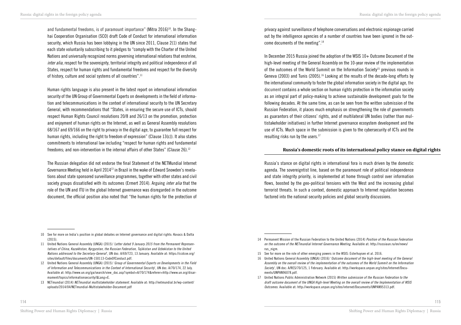and fundamental freedoms, is of paramount importance" (Mitra 2016)<sup>10</sup>. In the Shanghai Cooperation Organisation (SCO) draft Code of Conduct for international information security, which Russia has been lobbying in the UN since 2011, Clause 2(1) states that each state voluntarily subscribing to it pledges to "comply with the Charter of the United Nations and universally recognized norms governing international relations that enshrine, *inter alia*, respect for the sovereignty, territorial integrity and political independence of all States, respect for human rights and fundamental freedoms and respect for the diversity of history, culture and social systems of all countries".11

Human rights language is also present in the latest report on international information security of the UN Group of Governmental Experts on developments in the field of information and telecommunications in the context of international security to the UN Secretary General, with recommendations that "States, in ensuring the secure use of ICTs, should respect Human Rights Council resolutions 20/8 and 26/13 on the promotion, protection and enjoyment of human rights on the Internet, as well as General Assembly resolutions 68/167 and 69/166 on the right to privacy in the digital age, to guarantee full respect for human rights, including the right to freedom of expression" (Clause 13(c)). It also states commitments to international law including "respect for human rights and fundamental freedoms; and non-intervention in the internal affairs of other States" (Clause 26).12

The Russian delegation did not endorse the final Statement of the NETMundial Internet Governance Meeting held in April 201413 in Brazil in the wake of Edward Snowden's revelations about state sponsored surveillance programmes, together with other states and civil society groups dissatisfied with its outcomes (Ermert 2014). Arguing *inter alia* that the role of the UN and ITU in the global Internet governance was disregarded in the outcome document, the official position also noted that "the human rights for the protection of privacy against surveillance of telephone conversations and electronic espionage carried out by the intelligence agencies of a number of countries have been ignored in the outcome documents of the meeting".14

In December 2015 Russia joined the adoption of the WSIS  $10+$  Outcome Document of the high-level meeting of the General Assembly on the 10-year review of the implementation of the outcomes of the World Summit on the Information Society<sup>15</sup> previous rounds in Geneva (2003) and Tunis (2005).16 Looking at the results of the decade-long efforts by the international community to foster the global information society in the digital age, the document contains a whole section on human rights protection in the information society as an integral part of policy-making to achieve sustainable development goals for the following decades. At the same time, as can be seen from the written submission of the Russian Federation, it places much emphasis on strengthening the role of governments as guarantors of their citizens' rights, and of multilateral UN bodies (rather than multistakeholder initiatives) in further Internet governance ecosystem development and the use of ICTs. Much space in the submission is given to the cybersecurity of ICTs and the resulting risks run by the users.<sup>17</sup>

# **Russia's domestic roots of its international policy stance on digital rights**

Russia's stance on digital rights in international fora is much driven by the domestic agenda. The sovereigntist line, based on the paramount role of political independence and state integrity priority, is implemented at home through control over information flows, boosted by the geo-political tensions with the West and the increasing global terrorist threats. In such a context, domestic approach to Internet regulation becomes factored into the national security policies and global security discussions.

- 11 United Nations General Assembly (UNGA) (2015) '*Letter dated 9 January 2015 from the Permanent Representatives of China, Kazakhstan, Kyrgyzstan, the Russian Federation, Tajikistan and Uzbekistan to the United Nations addressed to the Secretary-General*', UN doc: A/69/723, 13 January. Available at: https://ccdcoe.org/ sites/default/files/documents/UN-150113-CodeOfConduct.pdf.
- 12 United Nations General Assembly (UNGA) (2015) '*Group of Governmental Experts on Developments in the Field of Information and Telecommunications in the Context of International Security*', UN doc: A/70/174, 22 July. Available at: http://www.un.org/ga/search/view\_doc.asp?symbol=A/70/174&referer=http://www.un.org/disarmament/topics/informationsecurity/&Lang=E.
- 13 NETmundial (2014) *NETmundial multistakeholder statement*. Available at: http://netmundial.br/wp-content/ uploads/2014/04/NETmundial-Multistakeholder-Document.pdf

<sup>10</sup> See for more on India's position in global debates on Internet governance and digital rights: Kovacs & Datta (2015).

<sup>14</sup> Permanent Mission of the Russian Federation to the United Nations (2014) *Position of the Russian Federation on the outcome of the NETmundial Internet Governance Meeting*. Available at: http://russiaun.ru/en/news/ rus\_nigm.

<sup>15</sup> See for more on the role of other emerging powers in the WSIS: Esterhuysen et al. 2016.

<sup>16</sup> United Nations General Assembly (UNGA) (2016) '*Outcome document of the high-level meeting of the General Assembly on the overall review of the implementation of the outcomes of the World Summit on the Information Society*', UN doc: A/RES/70/125, 1 February. Available at: http://workspace.unpan.org/sites/Internet/Documents/UNPAN96078.pdf.

<sup>17</sup> United Nations Public Administration Network (2015) *Written submission of the Russian Federation to the draft outcome document of the UNGA High-level Meeting on the overall review of the Implementation of WSIS Outcomes*. Available at: http://workspace.unpan.org/sites/internet/Documents/UNPAN95313.pdf.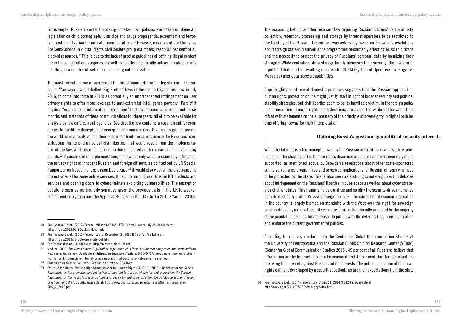For example, Russia's content blocking or take-down policies are based on domestic legislation on child pornography $18$ , suicide and drugs propaganda, extremism and terrorism, and mobilization for unlawful manifestations.<sup>19</sup> However, unsubstantiated bans, as RosComSvoboda, a digital rights civil society group estimates, reach 95 per cent of all blocked resources. 20 This is due to the lack of precise guidelines of defining illegal content under these and other categories, as well as to often technically indiscriminate blocking resulting in a number of web resources being not accessible.

The most recent source of concern is the latest counterterrorism legislation – the socalled 'Yarovaya laws', labelled 'Big Brother' laws in the media (signed into law in July 2016, to come into force in 2018) as potentially an unprecedented infringement on user privacy rights to offer more leverage to anti-extremist intelligence powers.21 Part of it requires "organizers of information distribution" to store communications content for six months and metadata of these communications for three years, all of it to be available for analysis by law enforcement agencies. Besides, the law contains a requirement for companies to facilitate decryption of encrypted communications. Civil rights groups around the world have already voiced their concerns about the consequences for Russians' constitutional rights and universal civil liberties that would result from the implementation of the law, while its efficiency in reaching declared antiterrorism goals leaves many doubts.22 If successful in implementation, the law not only would presumably infringe on the privacy rights of innocent Russian and foreign citizens, as pointed out by UN Special Rapporteur on freedom of expression David Kaye, $^{23}$  it would also weaken the cryptographic protection vital for some online services, thus undermining user trust in ICT products and services and opening doors to cybercriminals exploiting vulnerabilities. The encryption debate is seen as particularly sensitive given the previous calls in the UK to weaken end-to-end encryption and the Apple vs FBI case in the US (Griffin 2015 / Yadron 2016).

- 19 Rossiyskaya Gazeta (2013) Federal Law of December 28, 2013 N 398-FZ. Available at: https://rg.ru/2013/12/30/extrem-site-dok.html
- 20 See Rublacklist.net. Available at: http://reestr.rublacklist.net/.
- 21 Meduza (2016) *The Duma's new 'Big-Brother' legislation kills Russia's Internet companies and hurts ordinary Web users. Here's how*. Available at: https://meduza.io/en/feature/2016/06/27/the-duma-s-new-big-brotherlegislation-kills-russia-s-internet-companies-and-hurts-ordinary-web-users-here-s-how.
- 22 Campaign against surveillance. Available at: http://1984.live/.
- 23 Office of the United Nations High Commissioner for Human Rights (OHCHR) (2016) '*Mandates of the Special Rapporteur on the promotion and protection of the right to freedom of opinion and expression; the Special Rapporteur on the rights to freedom of peaceful assembly and of association; Special Rapporteur on freedom of religion or belief*', 28 July. Available at: http://www.ohchr.org/Documents/Issues/Opinion/Legislation/ RUS\_7\_2016.pdf.

The reasoning behind another resonant law requiring Russian citizens' personal data collection, retention, processing and storage by Internet operators to be restricted to the territory of the Russian Federation, was ostensibly based on Snowden's revelations about foreign state-run surveillance programmes presumably affecting Russian citizens and the necessity to protect the privacy of Russians' personal data by localizing their storage.24 While centralized data storage hardly increases their security, the law stirred a public debate on the resulting increase for SORM (System of Operative-Investigative Measures) user data access capabilities.

A quick glimpse at recent domestic practices suggests that the Russian approach to human rights protection online might justify itself in light of broader security and political stability strategies, but civil liberties seem to be its inevitable victim. In the foreign policy in the meantime, human rights considerations are supported while at the same time offset with statements on the supremacy of the principle of sovereignty in digital policies thus offering leeway for their interpretation.

## **Defining Russia's position: geopolitical security interests**

While the Internet is often conceptualized by the Russian authorities as a hazardous phenomenon, the shaping of the human rights discourse around it has been seemingly much supported, as mentioned above, by Snowden's revelations about other state-sponsored online surveillance programmes and perceived implications for Russian citizens who need to be protected by the state. This is also seen as a strong counterargument in debates about infringement on the Russians' liberties in cyberspace as well as about cyber strategies of other states. This framing helps construe and solidify the security-driven narrative both domestically and in Russia's foreign policies. The current hard economic situation in the country is largely blamed on standoffs with the West over the right for sovereign policies driven by national security concerns. This is traditionally accepted by the majority of the population as a legitimate reason to put up with the deteriorating internal situation and endorse the current governmental policies.

According to a survey conducted by the Center for Global Communication Studies at the University of Pennsylvania and the Russian Public Opinion Research Center (VCIOM) (Center for Global Communication Studies 2015), 49 per cent of all Russians believe that information on the Internet needs to be censored and 42 per cent that foreign countries are using the Internet against Russia and its interests. The public perception of their own rights online looks shaped by a securitist outlook, as are their expectations from the state

<sup>18</sup> Rossiyskaya Gazeta (2012) Federal release №5845 (172) Federal Law of July 28. Available at: https://rg.ru/2012/07/30/zakon-dok.html.

<sup>24</sup> Rossiyskaya Gazeta (2014) Federal Law of July 21, 2014 N 242-FZ. Available at: http://www.rg.ru/2014/07/23/persdannye-dok.html.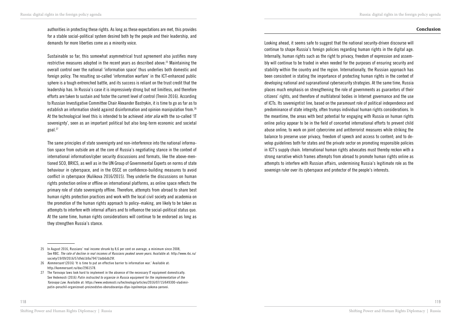**Conclusion**

authorities in protecting these rights. As long as these expectations are met, this provides for a stable social-political system desired both by the people and their leadership, and demands for more liberties come as a minority voice.

Sustainable so far, this somewhat asymmetrical trust agreement also justifies many restrictive measures adopted in the recent years as described above.25 Maintaining the overall control over the national 'information space' thus underlies both domestic and foreign policy. The resulting so-called 'information warfare' in the ICT-enhanced public sphere is a tough entrenched battle, and its success is reliant on the trust credit that the leadership has. In Russia's case it is impressively strong but not limitless, and therefore efforts are taken to sustain and foster the current level of control (Trenin 2016). According to Russian Investigative Committee Chair Alexander Bastrykin, it is time to go as far as to establish an information shield against disinformation and opinion manipulation from.26 At the technological level this is intended to be achieved *inter alia* with the so-called 'IT sovereignty', seen as an important political but also long-term economic and societal  $g$ oal. $27$ 

The same principles of state sovereignty and non-interference into the national information space from outside are at the core of Russia's negotiating stance in the context of international information/cyber security discussions and formats, like the above-mentioned SCO, BRICS, as well as in the UN Group of Governmental Experts on norms of state behaviour in cyberspace, and in the OSCE on confidence-building measures to avoid conflict in cyberspace (Kulikova 2016/2015). They underlie the discussions on human rights protection online or offline on international platforms, as online space reflects the primary role of state sovereignty offline. Therefore, attempts from abroad to share best human rights protection practices and work with the local civil society and academia on the promotion of the human rights approach to policy–making, are likely to be taken as attempts to interfere with internal affairs and to influence the social-political status quo. At the same time, human rights considerations will continue to be endorsed as long as they strengthen Russia's stance.

Looking ahead, it seems safe to suggest that the national security-driven discourse will continue to shape Russia's foreign policies regarding human rights in the digital age. Internally, human rights such as the right to privacy, freedom of expression and assembly will continue to be traded in when needed for the purposes of ensuring security and stability within the country and the region. Internationally, the Russian approach has been consistent in stating the importance of protecting human rights in the context of developing national and supranational cybersecurity strategies. At the same time, Russia places much emphasis on strengthening the role of governments as guarantors of their citizens' rights, and therefore of multilateral bodies in Internet governance and the use of ICTs. Its sovereigntist line, based on the paramount role of political independence and predominance of state integrity, often trumps individual human rights considerations. In the meantime, the areas with best potential for engaging with Russia on human rights online policy appear to be in the field of concerted international efforts to prevent child abuse online; to work on joint cybercrime and antiterrorist measures while striking the balance to preserve user privacy, freedom of speech and access to content; and to develop guidelines both for states and the private sector on promoting responsible policies in ICT's supply chain. International human rights advocates must thereby reckon with a strong narrative which frames attempts from abroad to promote human rights online as attempts to interfere with Russian affairs, undermining Russia's legitimate role as the sovereign ruler over its cyberspace and protector of the people's interests.

<sup>25</sup> In August 2016, Russians' real income shrunk by 8,6 per cent on average, a minimum since 2008, See RBC. *The rate of decline in real incomes of Russians peaked seven years*. Available at: http://www.rbc.ru/ society/19/09/2016/57dfeb1b9a79471bdb6db29f.

<sup>26</sup> *Kommersant* (2016) 'It is time to put an effective barrier to information war.' Available at: http://kommersant.ru/doc/2961578.

<sup>27</sup> The Yarovaya laws look hard to implement in the absence of the necessary IT equipment domestically. See Vedemosti (2016) *Putin instructed to organize in Russia equipment for the implementation of the Yarovaya Law*. Available at: https://www.vedomosti.ru/technology/articles/2016/07/15/649300-vladimirputin-poruchil-organizovat-proizvodstvo-oborudovaniya-dlya-ispolneniya-zakona-yarovoi.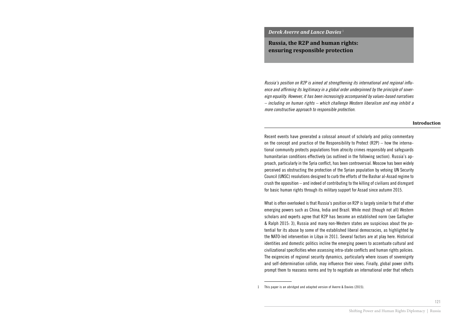*Derek Averre and Lance Davies* <sup>1</sup>

**Russia, the R2P and human rights: ensuring responsible protection**

Russia's position on R2P is aimed at strengthening its international and regional influence and affirming its legitimacy in a global order underpinned by the principle of sover*eign equality. However, it has been increasingly accompanied by values-based narratives – including on human rights – which challenge Western liberalism and may inhibit a more constructive approach to responsible protection.*

#### **Introduction**

Recent events have generated a colossal amount of scholarly and policy commentary on the concept and practice of the Responsibility to Protect (R2P) – how the international community protects populations from atrocity crimes responsibly and safeguards humanitarian conditions effectively (as outlined in the following section). Russia's approach, particularly in the Syria conflict, has been controversial. Moscow has been widely perceived as obstructing the protection of the Syrian population by vetoing UN Security Council (UNSC) resolutions designed to curb the efforts of the Bashar al-Assad regime to crush the opposition – and indeed of contributing to the killing of civilians and disregard for basic human rights through its military support for Assad since autumn 2015.

What is often overlooked is that Russia's position on R2P is largely similar to that of other emerging powers such as China, India and Brazil. While most (though not all) Western scholars and experts agree that R2P has become an established norm (see Gallagher & Ralph 2015: 3), Russia and many non-Western states are suspicious about the potential for its abuse by some of the established liberal democracies, as highlighted by the NATO-led intervention in Libya in 2011. Several factors are at play here. Historical identities and domestic politics incline the emerging powers to accentuate cultural and civilizational specificities when assessing intra-state conflicts and human rights policies. The exigencies of regional security dynamics, particularly where issues of sovereignty and self-determination collide, may influence their views. Finally, global power shifts prompt them to reassess norms and try to negotiate an international order that reflects

<sup>1</sup> This paper is an abridged and adapted version of Averre & Davies (2015).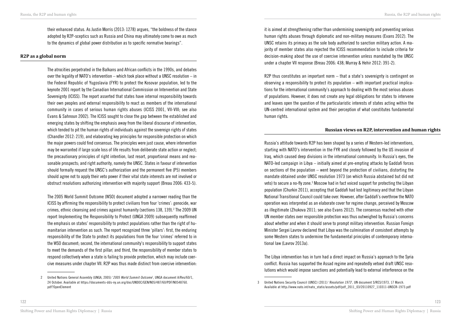their enhanced status. As Justin Morris (2013: 1278) argues, "the boldness of the stance adopted by R2P-sceptics such as Russia and China may ultimately come to owe as much to the dynamics of global power distribution as to specific normative bearings".

### **R2P as a global norm**

The atrocities perpetrated in the Balkans and African conflicts in the 1990s, and debates over the legality of NATO's intervention – which took place without a UNSC resolution – in the Federal Republic of Yugoslavia (FYR) to protect the Kosovar population, led to the keynote 2001 report by the Canadian International Commission on Intervention and State Sovereignty (ICISS). The report asserted that states have internal responsibility towards their own peoples and external responsibility to react as members of the international community in cases of serious human rights abuses (ICISS 2001, VII-VIII; see also Evans & Sahnoun 2002). The ICISS sought to close the gap between the established and emerging states by shifting the emphasis away from the liberal discourse of intervention, which tended to pit the human rights of individuals against the sovereign rights of states (Chandler 2012: 219), and elaborating key principles for responsible protection on which the major powers could find consensus. The principles were just cause, where intervention may be warranted if large scale loss of life results from deliberate state action or neglect; the precautionary principles of right intention, last resort, proportional means and reasonable prospects; and right authority, namely the UNSC. States in favour of intervention should formally request the UNSC's authorization and the permanent five (P5) members should agree not to apply their veto power if their vital state interests are not involved or obstruct resolutions authorizing intervention with majority support (Breau 2006: 433-5).

The 2005 World Summit Outcome (WSO) document adopted a narrower reading than the ICISS by affirming the responsibility to protect civilians from four 'crimes': genocide, war crimes, ethnic cleansing and crimes against humanity (sections 138, 139).<sup>2</sup> The 2009 UN report Implementing the Responsibility to Protect (UNGA 2009) subsequently reaffirmed the emphasis on states' responsibility to protect populations rather than the right of humanitarian intervention as such. The report recognized three 'pillars': first, the enduring responsibility of the State to protect its populations from the four 'crimes' referred to in the WSO document; second, the international community's responsibility to support states to meet the demands of the first pillar; and third, the responsibility of member states to respond collectively when a state is failing to provide protection, which may include coercive measures under chapter VII. R2P was thus made distinct from coercive intervention:

it is aimed at strengthening rather than undermining sovereignty and preventing serious human rights abuses through diplomatic and non-military measures (Evans 2012). The UNSC retains its primacy as the sole body authorized to sanction military action. A majority of member states also rejected the ICISS recommendation to include criteria for decision-making about the use of coercive intervention unless mandated by the UNSC under a chapter VII response (Breau 2006: 438; Murray & Hehir 2012: 391-2).

R2P thus constitutes an important norm – that a state's sovereignty is contingent on observing a responsibility to protect its population – with important practical implications for the international community's approach to dealing with the most serious abuses of populations. However, it does not create any legal obligations for states to intervene and leaves open the question of the particularistic interests of states acting within the UN-centred international system and their perception of what constitutes fundamental human rights.

#### **Russian views on R2P, intervention and human rights**

Russia's attitude towards R2P has been shaped by a series of Western-led interventions, starting with NATO's intervention in the FYR and closely followed by the US invasion of Iraq, which caused deep divisions in the international community. In Russia's eyes, the NATO-led campaign in Libya – initially aimed at pre-empting attacks by Gaddafi forces on sections of the population – went beyond the protection of civilians, distorting the mandate obtained under UNSC resolution 1973 (on which Russia abstained but did not veto) to secure a no-fly zone.<sup>3</sup> Moscow had in fact voiced support for protecting the Libyan population (Churkin 2011), accepting that Gaddafi had lost legitimacy and that the Libyan National Transitional Council could take over. However, after Gaddafi's overthrow the NATO operation was interpreted as an elaborate cover for regime change, perceived by Moscow as illegitimate (Zhukova 2011; see also Evans 2012). The consensus reached with other UN member states over responsible protection was thus outweighed by Russia's concerns about whether and when it should serve to prompt military intervention. Russian Foreign Minister Sergei Lavrov declared that Libya was the culmination of consistent attempts by some Western states to undermine the fundamental principles of contemporary international law (Lavrov 2013a).

The Libya intervention has in turn had a direct impact on Russia's approach to the Syria conflict. Russia has supported the Assad regime and repeatedly vetoed draft UNSC resolutions which would impose sanctions and potentially lead to external interference on the

<sup>2</sup> United Nations General Assembly (UNGA, 2005) '*2005 World Summit Outcome*', UNGA document A/Res/60/1, 24 October. Available at https://documents-dds-ny.un.org/doc/UNDOC/GEN/N05/487/60/PDF/N0548760. pdf?OpenElement

<sup>3</sup> United Nations Security Council (UNSC) (2011) '*Resolution 1973*', UN document S/RES/1973, 17 March. Available at http://www.nato.int/nato\_static/assets/pdf/pdf\_2011\_03/20110927\_110311-UNSCR-1973.pdf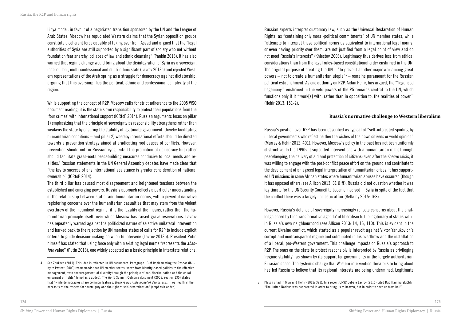Libya model, in favour of a negotiated transition sponsored by the UN and the League of Arab States. Moscow has repudiated Western claims that the Syrian opposition groups constitute a coherent force capable of taking over from Assad and argued that the "legal authorities of Syria are still supported by a significant part of society who not without foundation fear anarchy, collapse of law and ethnic cleansing" (Pankin 2013). It has also warned that regime change would bring about the disintegration of Syria as a sovereign, independent, multi-confessional and multi-ethnic state (Lavrov 2013c) and rejected Western representations of the Arab spring as a struggle for democracy against dictatorship, arguing that this oversimplifies the political, ethnic and confessional complexity of the region.

While supporting the concept of R2P, Moscow calls for strict adherence to the 2005 WSO document reading: it is the state's own responsibility to protect their populations from the 'four crimes' with international support (ICRtoP 2014). Russian arguments focus on pillar 1) emphasizing that the principle of sovereignty as responsibility strengthens rather than weakens the state by ensuring the stability of legitimate government, thereby facilitating humanitarian conditions – and pillar 2) whereby international efforts should be directed towards a prevention strategy aimed at eradicating root causes of conflicts. However, prevention should not, in Russian eyes, entail the promotion of democracy but rather should facilitate grass-roots peacebuilding measures conducive to local needs and realities.4 Russian statements in the UN General Assembly debates have made clear that "the key to success of any international assistance is greater consideration of national ownership" (ICRtoP 2014).

The third pillar has caused most disagreement and heightened tensions between the established and emerging powers. Russia's approach reflects a particular understanding of the relationship between statist and humanitarian norms, with a powerful narrative registering concerns over the humanitarian casualties that may stem from the violent overthrow of the incumbent regime: it is the legality of the means, rather than the humanitarian principle itself, over which Moscow has raised grave reservations. Lavrov has repeatedly warned against the politicized nature of selective unilateral intervention and harked back to the rejection by UN member states of calls for R2P to include explicit criteria to guide decision-making on when to intervene (Lavrov 2013b). President Putin himself has stated that using force only within existing legal norms "represents the *absolute* value" (Putin 2013), one widely accepted as a basic principle in interstate relations.

Russian experts interpret customary law, such as the Universal Declaration of Human Rights, as "containing only moral-political commitments" of UN member states, while "attempts to interpret these political norms as equivalent to international legal norms, or even having priority over them, are not justified from a legal point of view and do not meet Russia's interests" (Khlestov 2003). Legitimacy thus derives less from ethical considerations than from the legal rules-based constitutional order enshrined in the UN. The original purpose of creating the  $UN - "to$  prevent another major war among great powers – not to create a humanitarian utopia"<sup>5</sup> – remains paramount for the Russian political establishment. As one authority on R2P, Aidan Hehir, has argued, the "'legalised hegemony'" enshrined in the veto powers of the P5 remains central to the UN, which functions only if it "'work[s] with, rather than in opposition to, the realities of power'" (Hehir 2013: 151-2).

## **Russia's normative challenge to Western liberalism**

Russia's position over R2P has been described as typical of "self-interested spoiling by illiberal governments who reflect neither the wishes of their own citizens or world opinion" (Murray & Hehir 2012: 401). However, Moscow's policy in the past has not been uniformly obstructive. In the 1990s it supported interventions with a humanitarian remit through peacekeeping, the delivery of aid and protection of citizens; even after the Kosovo crisis, it was willing to engage with the post-conflict peace effort on the ground and contribute to the development of an agreed legal interpretation of humanitarian crises. It has supported UN missions in some African states where humanitarian abuses have occurred (though it has opposed others; see Allison 2013: 61 & ff). Russia did not question whether it was legitimate for the UN Security Council to become involved in Syria in spite of the fact that the conflict there was a largely domestic affair (Bellamy 2015: 168).

However, Russia's defence of sovereignty increasingly reflects concerns about the challenge posed by the 'transformative agenda' of liberalism to the legitimacy of states within Russia's own neighbourhood (see Allison 2013: 14, 16, 110). This is evident in the current Ukraine conflict, which started as a popular revolt against Viktor Yanukovich's corrupt and nontransparent regime and culminated in his overthrow and the installation of a liberal, pro-Western government. This challenge impacts on Russia's approach to R2P. The onus on the state to protect responsibly is interpreted by Russia as privileging 'regime stability', as shown by its support for governments in the largely authoritarian Eurasian space. The systemic change that Western intervention threatens to bring about has led Russia to believe that its regional interests are being undermined. Legitimate

See Zhukova (2011). This idea is reflected in UN documents. Paragraph 13 of Implementing the Responsibility to Protect (2009) recommends that UN member states "move from identity-based politics to the effective management, even encouragement, of diversity through the principle of non-discrimination and the equal enjoyment of rights" (emphasis added). The World Summit Outcome document (2005, section 135) states that "while democracies share common features, *there is no single model of democracy…* [we] reaffirm the necessity of the respect for sovereignty and the right of self-determination" (emphasis added).

<sup>5</sup> Plesch cited in Murray & Hehir (2012: 393). In a recent UNSC debate Lavrov (2015) cited Dag Hammarskjöld: "The United Nations was not created in order to bring us to heaven, but in order to save us from hell".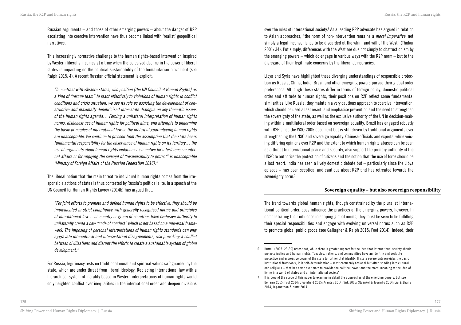Russian arguments – and those of other emerging powers – about the danger of R2P escalating into coercive intervention have thus become linked with 'realist' geopolitical narratives.

This increasingly normative challenge to the human rights-based intervention inspired by Western liberalism comes at a time when the perceived decline in the power of liberal states is impacting on the political sustainability of the humanitarian movement (see Ralph 2015: 4). A recent Russian official statement is explicit:

*"In contrast with Western states, who position [the UN Council of Human Rights] as*  a kind of "rescue team" to react effectively to violations of human rights in conflict *conditions and crisis situation, we see its role as assisting the development of constructive and maximally depoliticised inter-state dialogue on key thematic issues of the human rights agenda… Forcing a unilateral interpretation of human rights norms, dishonest use of human rights for political aims, and attempts to undermine the basic principles of international law on the pretext of guaranteeing human rights are unacceptable. We continue to proceed from the assumption that the state bears fundamental responsibility for the observance of human rights on its territory… the use of arguments about human rights violations as a motive for interference in internal affairs or for applying the concept of "responsibility to protect" is unacceptable (Ministry of Foreign Affairs of the Russian Federation 2016)."*

The liberal notion that the main threat to individual human rights comes from the irresponsible actions of states is thus contested by Russia's political elite. In a speech at the UN Council for Human Rights Lavrov (2014b) has argued that:

*"For joint efforts to promote and defend human rights to be effective, they should be implemented in strict compliance with generally recognised norms and principles of international law… no country or group of countries have exclusive authority to unilaterally create a new "code of conduct" which is not based on a universal framework. The imposing of personal interpretations of human rights standards can only*  aggravate intercultural and intersectarian disagreements, risk provoking a conflict *between civilisations and disrupt the efforts to create a sustainable system of global development."*

For Russia, legitimacy rests on traditional moral and spiritual values safeguarded by the state, which are under threat from liberal ideology. Replacing international law with a hierarchical system of morality based in Western interpretations of human rights would only heighten conflict over inequalities in the international order and deepen divisions

over the rules of international society.<sup>6</sup> As a leading R2P advocate has argued in relation to Asian approaches, "the norm of non-intervention remains a *moral imperative*, not simply a legal inconvenience to be discarded at the whim and will of the West" (Thakur 2001: 34). Put simply, differences with the West are due not simply to obstructionism by the emerging powers – which do engage in various ways with the R2P norm – but to the disregard of their legitimate concerns by the liberal democracies.

Libya and Syria have highlighted these diverging understandings of responsible protection as Russia, China, India, Brazil and other emerging powers pursue their global order preferences. Although these states differ in terms of foreign policy, domestic political order and attitude to human rights, their positions on R2P reflect some fundamental similarities. Like Russia, they maintain a very cautious approach to coercive intervention, which should be used a last resort, and emphasise prevention and the need to strengthen the sovereignty of the state, as well as the exclusive authority of the UN in decision-making within a multilateral order based on sovereign equality. Brazil has engaged robustly with R2P since the WSO 2005 document but is still driven by traditional arguments over strengthening the UNSC and sovereign equality. Chinese officials and experts, while voicing differing opinions over R2P and the extent to which human rights abuses can be seen as a threat to international peace and security, also support the primary authority of the UNSC to authorize the protection of citizens and the notion that the use of force should be a last resort. India has seen a lively domestic debate but  $-$  particularly since the Libya episode – has been sceptical and cautious about R2P and has retreated towards the sovereignty norm.<sup>7</sup>

### **Sovereign equality – but also sovereign responsibility**

The trend towards global human rights, though constrained by the pluralist international political order, does influence the practices of the emerging powers, however. In demonstrating their influence in shaping global norms, they must be seen to be fulfilling their special responsibilities and engage with evolving universal norms such as R2P to promote global public goods (see Gallagher & Ralph 2015; Foot 2014). Indeed, their

<sup>6</sup> Hurrell (2003: 29-30) notes that, while there is greater support for the idea that international society should promote justice and human rights, "peoples, nations, and communities have an identity and seek the protective and expressive power of the state to further that identity. If state sovereignty provides the basic institutional framework, it is self-determination – most commonly national but often shading into cultural and religious – that has come ever more to provide the political power and the moral meaning to the idea of living in a world of states and an international society".

It is beyond the scope of this paper to examine in detail the approaches of the emerging powers, but see Bellamy 2015; Foot 2014; Bloomfield 2015; Arantes 2014; Virk 2015; Stuenkel & Tourinho 2014; Liu & Zhang 2014; Jaganathan & Kurtz 2014.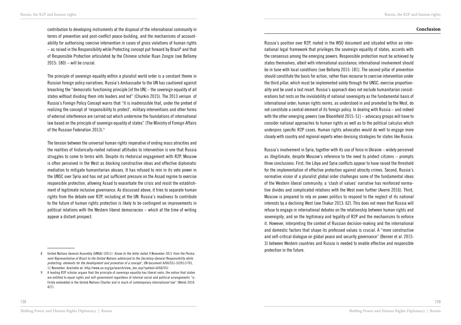**Conclusion**

contribution to developing instruments at the disposal of the international community in terms of prevention and post-conflict peace-building, and the mechanisms of accountability for authorising coercive intervention in cases of gross violations of human rights  $-$  as raised in the Responsibility while Protecting concept put forward by Brazil $^{\rm 8}$  and that of Responsible Protection articulated by the Chinese scholar Ruan Zongze (see Bellamy 2015: 180) – will be crucial.

The principle of sovereign equality within a pluralist world order is a constant theme in Russian foreign policy narratives. Russia's Ambassador to the UN has cautioned against breaching the "democratic functioning principle [of the UN] – the sovereign equality of all states without dividing them into leaders and led" (Churkin 2015). The 2013 verison of Russia's Foreign Policy Concept warns that "it is inadmissible that, under the pretext of realizing the concept of 'responsibility to protect', military interventions and other forms of external interference are carried out which undermine the foundations of international law based on the principle of sovereign equality of states" (The Ministry of Foreign Affairs of the Russian Federation 2013).9

The tension between the universal human rights imperative of ending mass atrocities and the realities of historically-rooted national attitudes to intervention is one that Russia struggles to come to terms with. Despite its rhetorical engagement with R2P, Moscow is often perceived in the West as blocking constructive ideas and effective diplomatic mediation to mitigate humanitarian abuses. It has refused to rein in its veto power in the UNSC over Syria and has not put sufficient pressure on the Assad regime to exercise responsible protection, allowing Assad to exacerbate the crisis and resist the establishment of legitimate inclusive governance. As discussed above, it tries to separate human rights from the debate over R2P, including at the UN. Russia's readiness to contribute to the future of human rights protection is likely to be contingent on improvements in political relations with the Western liberal democracies – which at the time of writing appear a distant prospect.

Russia's position over R2P, rooted in the WSO document and situated within an international legal framework that privileges the sovereign equality of states, accords with the consensus among the emerging powers. Responsible protection must be achieved by states themselves, albeit with international assistance; international involvement should be in tune with local conditions (see Bellamy 2015: 181). The second pillar of prevention should constitute the basis for action, rather than recourse to coercive intervention under the third pillar, which must be implemented solely through the UNSC, exercise proportionality and be used a last resort. Russia's approach does not exclude humanitarian considerations but rests on the inviolability of national sovereignty as the fundamental basis of international order; human rights norms, as understood in and promoted by the West, do not constitute a central element of its foreign policy. In dealing with Russia – and indeed with the other emerging powers (see Bloomfield 2015: 51) – advocacy groups will have to consider national approaches to human rights as well as to the political calculus which underpins specific R2P cases. Human rights advocates would do well to engage more closely with country and regional experts when devising strategies for states like Russia.

Russia's involvement in Syria, together with its use of force in Ukraine – widely perceived as illegitimate, despite Moscow's reference to the need to protect citizens – prompts three conclusions. First, the Libya and Syria conflicts appear to have raised the threshold for the implementation of effective protection against atrocity crimes. Second, Russia's normative vision of a pluralist global order challenges some of the fundamental ideas of the Western liberal community; a 'clash of values' narrative has reinforced normative divides and complicated relations with the West even further (Averre 2016). Third, Moscow is prepared to rely on power politics to respond to the neglect of its national interests by a declining West (see Thakur 2013: 62). This does not mean that Russia will refuse to engage in international debates on the relationship between human rights and sovereignty, and on the legitimacy and legality of R2P and the mechanisms to enforce it. However, interpreting the context of Russian decision-making and the international and domestic factors that shape its professed values is crucial. A "more constructive and self-critical dialogue on global peace and security governance" (Benner et al. 2015: 3) between Western countries and Russia is needed to enable effective and responsible protection in the future.

<sup>8</sup> United Nations General Assembly (UNGA) (2011) '*Annex to the letter dated 9 November 2011 from the Permanent Representative of Brazil to the United Nations addressed to the Secretary-General Responsibility while protecting: elements for the development and promotion of a concept*', UN document A/66/551-S/2011/701, 11 November. Available at: http://www.un.org/ga/search/view\_doc.asp?symbol=A/66/551

<sup>9</sup> A leading R2P scholar argues that the principle of sovereign equality has liberal roots; the notion that states are entitled to equal rights and self-government regardless of internal social and political arrangements "is firmly embedded in the United Nations Charter and in much of contemporary international law" (Welsh 2010: 427).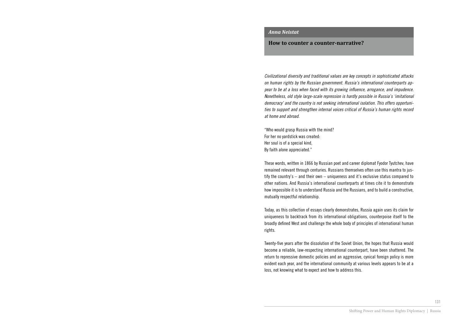**How to counter a counter-narrative?** 

*Civilizational diversity and traditional values are key concepts in sophisticated attacks on human rights by the Russian government. Russia's international counterparts ap*pear to be at a loss when faced with its growing influence, arrogance, and impudence. *Nonetheless, old style large-scale repression is hardly possible in Russia's 'imitational democracy' and the country is not seeking international isolation. This offers opportunities to support and strengthen internal voices critical of Russia's human rights record at home and abroad.*

"Who would grasp Russia with the mind? For her no yardstick was created: Her soul is of a special kind, By faith alone appreciated."

These words, written in 1866 by Russian poet and career diplomat Fyodor Tyutchev, have remained relevant through centuries. Russians themselves often use this mantra to justify the country's – and their own – uniqueness and it's exclusive status compared to other nations. And Russia's international counterparts at times cite it to demonstrate how impossible it is to understand Russia and the Russians, and to build a constructive, mutually respectful relationship.

Today, as this collection of essays clearly demonstrates, Russia again uses its claim for uniqueness to backtrack from its international obligations, counterpoise itself to the broadly defined West and challenge the whole body of principles of international human rights.

Twenty-five years after the dissolution of the Soviet Union, the hopes that Russia would become a reliable, law-respecting international counterpart, have been shattered. The return to repressive domestic policies and an aggressive, cynical foreign policy is more evident each year, and the international community at various levels appears to be at a loss, not knowing what to expect and how to address this.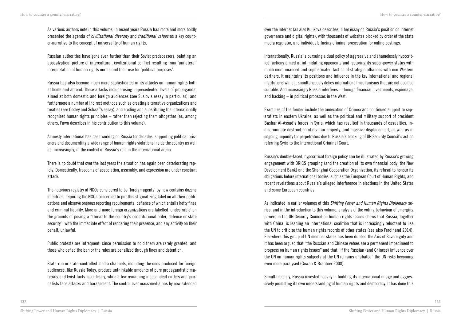As various authors note in this volume, in recent years Russia has more and more boldly presented the agenda of *civilizational diversity* and *traditional values* as a key counter-narrative to the concept of universality of human rights.

Russian authorities have gone even further than their Soviet predecessors, painting an apocalyptical picture of intercultural, civilizational conflict resulting from 'unilateral' interpretation of human rights norms and their use for 'political purposes'.

Russia has also become much more sophisticated in its attacks on human rights both at home and abroad. These attacks include using unprecedented levels of propaganda, aimed at both domestic and foreign audiences (see Suslov's essay in particular), and furthermore a number of indirect methods such as creating alternative organizations and treaties (see Cooley and Schaaf's essay), and eroding and substituting the internationally recognized human rights principles – rather than rejecting them altogether (as, among others, Fawn describes in his contribution to this volume).

Amnesty International has been working on Russia for decades, supporting political prisoners and documenting a wide range of human rights violations inside the country as well as, increasingly, in the context of Russia's role in the international arena.

There is no doubt that over the last years the situation has again been deteriorating rapidly. Domestically, freedoms of association, assembly, and expression are under constant attack.

The notorious registry of NGOs considered to be 'foreign agents' by now contains dozens of entries, requiring the NGOs concerned to put this stigmatizing label on all their publications and observe onerous reporting requirements, defiance of which entails hefty fines and criminal liability. More and more foreign organizations are labelled 'undesirable' on the grounds of posing a "threat to the country's constitutional order, defence or state security", with the immediate effect of rendering their presence, and any activity on their behalf, unlawful.

Public protests are infrequent, since permission to hold them are rarely granted, and those who defied the ban or the rules are penalized through fines and detention.

State-run or state-controlled media channels, including the ones produced for foreign audiences, like Russia Today, produce unthinkable amounts of pure propagandistic materials and twist facts mercilessly, while a few remaining independent outlets and journalists face attacks and harassment. The control over mass media has by now extended over the Internet (as also Kulikova describes in her essay on Russia's position on Internet governance and digital rights), with thousands of websites blocked by order of the state media regulator, and individuals facing criminal prosecution for online postings.

Internationally, Russia is pursuing a dual policy of aggressive and shamelessly hypocritical actions aimed at intimidating opponents and restoring its super-power status with much more nuanced and sophisticated tactics of strategic alliances with non-Western partners. It maintains its positions and influence in the key international and regional institutions while it simultaneously defies international mechanisms that are not deemed suitable. And increasingly Russia interferes – through financial investments, espionage, and hacking – in political processes in the West.

Examples of the former include the annexation of Crimea and continued support to separatists in eastern Ukraine, as well as the political and military support of president Bashar Al-Assad's forces in Syria, which has resulted in thousands of casualties, indiscriminate destruction of civilian property, and massive displacement, as well as in ongoing impunity for perpetrators due to Russia's blocking of UN Security Council's action referring Syria to the International Criminal Court.

Russia's double-faced, hypocritical foreign policy can be illustrated by Russia's growing engagement with BRICS grouping (and the creation of its own financial body, the New Development Bank) and the Shanghai Cooperation Organization, its refusal to honour its obligations before international bodies, such as the European Court of Human Rights, and recent revelations about Russia's alleged interference in elections in the United States and some European countries.

As indicated in earlier volumes of this *Shifting Power and Human Rights Diplomacy* series, and in the introduction to this volume, analysis of the voting behaviour of emerging powers in the UN Security Council on human rights issues shows that Russia, together with China, is leading an international coalition that is increasingly reluctant to use the UN to criticize the human rights records of other states (see also Ferdinand 2014). Elsewhere this group of UN member states has been dubbed the Axis of Sovereignty and it has been argued that "the Russian and Chinese vetoes are a permanent impediment to progress on human rights issues" and that "if the Russian (and Chinese) influence over the UN on human rights subjects at the UN remains unabated" the UN risks becoming even more paralysed (Gowan & Brantner 2008).

Simultaneously, Russia invested heavily in building its international image and aggressively promoting its own understanding of human rights and democracy. It has done this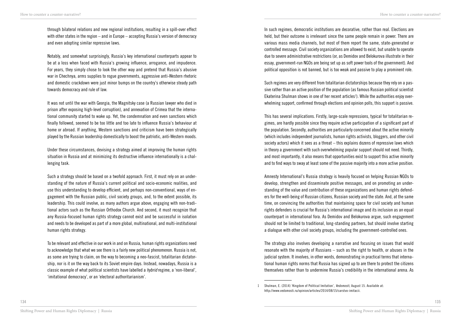through bilateral relations and new regional institutions, resulting in a spill-over effect with other states in the region – and in Europe – accepting Russia's version of democracy and even adopting similar repressive laws.

Notably, and somewhat surprisingly, Russia's key international counterparts appear to be at a loss when faced with Russia's growing influence, arrogance, and impudence. For years, they simply chose to look the other way and pretend that Russia's abusive war in Chechnya, arms supplies to rogue governments, aggressive anti-Western rhetoric and domestic crackdown were just minor bumps on the country's otherwise steady path towards democracy and rule of law.

It was not until the war with Georgia, the Magnitsky case (a Russian lawyer who died in prison after exposing high-level corruption), and annexation of Crimea that the international community started to wake up. Yet, the condemnation and even sanctions which finally followed, seemed to be too little and too late to influence Russia's behaviour at home or abroad. If anything, Western sanctions and criticism have been strategically played by the Russian leadership domestically to boost the patriotic, anti-Western moods.

Under these circumstances, devising a strategy aimed at improving the human rights situation in Russia and at minimizing its destructive influence internationally is a challenging task.

Such a strategy should be based on a twofold approach. First, it must rely on an understanding of the nature of Russia's current political and socio-economic realities, and use this understanding to develop efficient, and perhaps non-conventional, ways of engagement with the Russian public, civil society groups, and, to the extent possible, its leadership. This could involve, as many authors argue above, engaging with non-traditional actors such as the Russian Orthodox Church. And second, it must recognize that any Russia-focused human rights strategy cannot exist and be successful in isolation and needs to be developed as part of a more global, multinational, and multi-institutional human rights strategy.

To be relevant and effective in our work in and on Russia, human rights organizations need to acknowledge that what we see there is a fairly new political phenomenon. Russia is not, as some are trying to claim, on the way to becoming a neo-fascist, totalitarian dictatorship, nor is it on the way back to its Soviet empire days. Instead, nowadays, Russia is a classic example of what political scientists have labelled a *hybrid* regime, a 'non-liberal', 'imitational democracy', or an 'electoral authoritarianism'.

In such regimes, democratic institutions are decorative, rather than real. Elections are held, but their outcome is irrelevant since the same people remain in power. There are various mass media channels, but most of them report the same, state-generated or controlled message. Civil society organizations are allowed to exist, but unable to operate due to severe administrative restrictions (or, as Demidov and Belokurova illustrate in their essay, government-run NGOs are being set up as soft power tools of the government). And political opposition is not banned, but is too weak and passive to play a prominent role.

Such regimes are very different from totalitarian dictatorships because they rely on a passive rather than an active position of the population (as famous Russian political scientist Ekaterina Shulman shows in one of her recent articles<sup>1</sup>). While the authorities enjoy overwhelming support, confirmed through elections and opinion polls, this support is passive.

This has several implications. Firstly, large-scale repressions, typical for totalitarian regimes, are hardly possible since they require active participation of a significant part of the population. Secondly, authorities are particularly concerned about the active minority (which includes independent journalists, human rights activists, bloggers, and other civil society actors) which it sees as a threat – this explains dozens of repressive laws which in theory a government with such overwhelming popular support should not need. Thirdly, and most importantly, it also means that opportunities exist to support this active minority and to find ways to sway at least some of the passive majority into a more active position.

Amnesty International's Russia strategy is heavily focused on helping Russian NGOs to develop, strengthen and disseminate positive messages, and on promoting an understanding of the value and contribution of these organizations and human rights defenders for the well-being of Russian citizens, Russian society and the state. And, at the same time, on convincing the authorities that maintaining space for civil society and human rights defenders is crucial for Russia's international image and its inclusion as an equal counterpart in international fora. As Demidov and Belokurova argue, such engagement should not be limited to traditional, long-standing partners, but should involve starting a dialogue with other civil society groups, including the government-controlled ones.

The strategy also involves developing a narrative and focusing on issues that would resonate with the majority of Russians – such as the right to health, or abuses in the judicial system. It involves, in other words, demonstrating in practical terms that international human rights norms that Russia has signed up to are there to protect the citizens themselves rather than to undermine Russia's credibility in the international arena. As

<sup>1</sup> Shulman, E. (2014) 'Kingdom of Political Imitation', *Vedomosti*, August 15. Available at: http://www.vedomosti.ru/opinion/articles/2014/08/15/carstvo-imitacii.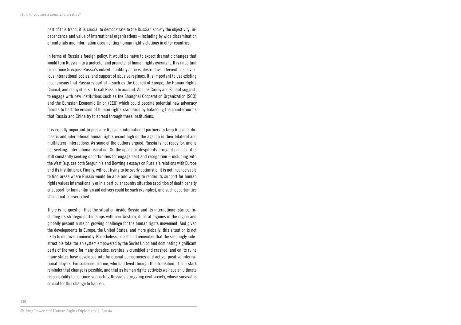part of this trend, it is crucial to demonstrate to the Russian society the objectivity, independence and value of international organizations – including by wide dissemination of materials and information documenting human right violations in other countries.

In terms of Russia's foreign policy, it would be naïve to expect dramatic changes that would turn Russia into a protector and promoter of human rights overnight. It is important to continue to expose Russia's unlawful military actions, destructive interventions in various international bodies, and support of abusive regimes. It is important to use existing mechanisms that Russia is part of – such as the Council of Europe, the Human Rights Council, and many others – to call Russia to account. And, as Cooley and Schaaf suggest, to engage with new institutions such as the Shanghai Cooperation Organization (SCO) and the Eurasian Economic Union (EEU) which could become potential new advocacy forums to halt the erosion of human rights standards by balancing the counter norms that Russia and China try to spread through these institutions.

It is equally important to pressure Russia's international partners to keep Russia's domestic and international human rights record high on the agenda in their bilateral and multilateral interactions. As some of the authors argued, Russia is not ready for, and is not seeking, international isolation. On the opposite, despite its arrogant policies, it is still constantly seeking opportunities for engagement and recognition – including with the West (e.g. see both Sergunin's and Bowring's essays on Russia's relations with Europe and its institutions). Finally, without trying to be overly optimistic, it is not inconceivable to find areas where Russia would be able and willing to render its support for human rights values internationally or in a particular country situation (abolition of death penalty or support for humanitarian aid delivery could be such examples), and such opportunities should not be overlooked.

There is no question that the situation inside Russia and its international stance, including its strategic partnerships with non-Western, illiberal regimes in the region and globally present a major, growing challenge for the human rights movement. And given the developments in Europe, the United States, and more globally, this situation is not likely to improve imminently. Nonetheless, one should remember that the seemingly indestructible totalitarian system empowered by the Soviet Union and dominating significant parts of the world for many decades, eventually crumbled and crashed, and on its ruins many states have developed into functional democracies and active, positive international players. For someone like me, who had lived through this transition, it is a stark reminder that change is possible, and that as human rights activists we have an ultimate responsibility to continue supporting Russia's struggling civil society, whose survival is crucial for this change to happen.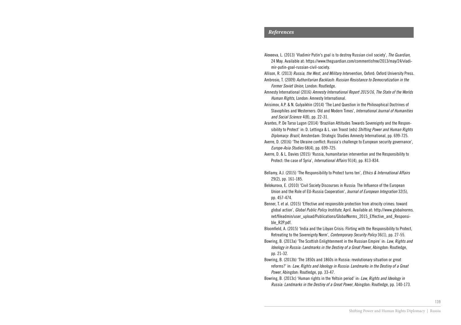### *References*

Alexeeva, L. (2013) 'Vladimir Putin's goal is to destroy Russian civil society', *The Guardian*, 24 May. Available at: https://www.theguardian.com/commentisfree/2013/may/24/vladimir-putin-goal-russian-civil-society.

Allison, R. (2013) *Russia, the West, and Military Intervention,* Oxford: Oxford University Press. Ambrosio, T. (2009) *Authoritarian Backlash: Russian Resistance to Democratization in the Former Soviet Union*, London: Routledge.

Amnesty International (2016) *Amnesty International Report 2015/16, The State of the Worlds Human Rights*, London: Amnesty International.

- Anisimov, A.P. & N. Gulyaikhin (2014) 'The Land Question in the Philosophical Doctrines of Slavophiles and Westerners: Old and Modern Times', *International Journal of Humanities and Social Science* 4(8), pp. 22-31.
- Arantes, P. De Tarso Lugon (2014) 'Brazilian Attitudes Towards Sovereignty and the Responsibility to Protect' in: D. Lettinga & L. van Troost (eds) *Shifting Power and Human Rights Diplomacy: Brazil*, Amsterdam: Strategic Studies Amnesty International, pp. 699-725.
- Averre, D. (2016) 'The Ukraine conflict: Russia's challenge to European security governance', *Europe-Asia Studies* 68(4), pp. 699-725.
- Averre, D. & L. Davies (2015) 'Russia, humanitarian intervention and the Responsibility to Protect: the case of Syria', *International Affairs* 91(4), pp. 813-834.
- Bellamy, A.J. (2015) 'The Responsibility to Protect turns ten', *Ethics & International Affairs* 29(2), pp. 161-185.
- Belokurova, E. (2010) 'Civil Society Discourses in Russia: The Influence of the European Union and the Role of EU-Russia Cooperation', *Journal of European Integration* 32(5), pp. 457-474.
- Benner, T. et al. (2015) 'Effective and responsible protection from atrocity crimes: toward global action', *Global Public Policy Institute*, April. Available at: http://www.globalnorms. net/fileadmin/user\_upload/Publications/GlobalNorms\_2015\_Effective\_and\_Responsible\_R2P.pdf.
- Bloomfield, A. (2015) 'India and the Libyan Crisis: Flirting with the Responsibility to Protect, Retreating to the Sovereignty Norm', *Contemporary Security Policy* 36(1), pp. 27-55.
- Bowring, B. (2013a) 'The Scottish Enlightenment in the Russian Empire' in: *Law, Rights and Ideology in Russia: Landmarks in the Destiny of a Great Power*, Abingdon: Routledge, pp. 21-32.
- Bowring, B. (2013b) 'The 1850s and 1860s in Russia: revolutionary situation or great reforms?' in: *Law, Rights and Ideology in Russia: Landmarks in the Destiny of a Great Power*, Abingdon: Routledge, pp. 33-47.
- Bowring, B. (2013c) 'Human rights in the Yeltsin period' in: *Law, Rights and Ideology in Russia: Landmarks in the Destiny of a Great Power*, Abingdon: Routledge, pp. 140-173.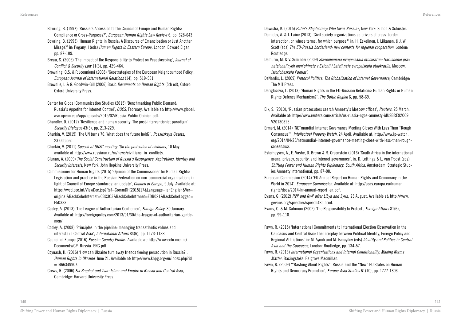- Bowring, B. (1997) 'Russia's Accession to the Council of Europe and Human Rights:
- Compliance or Cross-Purposes?', *European Human Rights Law Review* 6, pp. 628-643. Bowring, B. (1995) 'Human Rights in Russia: A Discourse of Emancipation or Just Another
- Mirage?' in: Pogany, I (eds) *Human Rights in Eastern Europe,* London: Edward Elgar, pp. 87-109.
- Breau, S. (2006) 'The Impact of the Responsibility to Protect on Peacekeeping', *Journal of*  Conflict & Security Law 11(3), pp. 429-464.
- Browning, C.S. & P. Joenniemi (2008) 'Geostrategies of the European Neighbourhood Policy', *European Journal of International Relations* (14), pp. 519-551.
- Brownlie, I. & G. Goodwin-Gill (2006) Basic *Documents on Human Rights* (5th ed), Oxford: Oxford University Press.
- Center for Global Communication Studies (2015) 'Benchmarking Public Demand: Russia's Appetite for Internet Control', *CGCS*, February. Available at: http://www.global. asc.upenn.edu/app/uploads/2015/02/Russia-Public-Opinion.pdf.
- Chandler, D. (2012) 'Resilience and human security: The post-interventionist paradigm', *Security Dialogue* 43(3), pp. 213-229.
- Churkin, V. (2015) 'The UN turns 70. What does the future hold?', *Rossiiskaya Gazeta*, 23 October.
- Churkin, V. (2011) *Speech at UNSC meeting 'On the protection of civilians*, 10 May, available at http://www.russiaun.ru/ru/news/civillians\_in\_conflicts.
- Clunan, A. (2009) *The Social Construction of Russia's Resurgence; Aspirations, Identity and Security Interests*, New York: John Hopkins University Press.
- Commissioner for Human Rights (2015) 'Opinion of the Commissioner for Human Rights: Legislation and practice in the Russian Federation on non-commercial organisations in light of Council of Europe standards: an update', *Council of Europe,* 9 July. Available at: https://wcd.coe.int/ViewDoc.jsp?Ref=CommDH(2015)17&Language=lanEnglish&Ver= original&BackColorInternet=C3C3C3&BackColorIntranet=EDB021&BackColorLogged= F5D383.
- Cooley, A. (2013) 'The League of Authoritarian Gentlemen', *Foreign Policy*, 30 January. Available at: http://foreignpolicy.com/2013/01/30/the-league-of-authoritarian-gentlemen/.
- Cooley, A. (2008) 'Principles in the pipeline: managing transatlantic values and interests in Central Asia', *International Affairs* 84(6), pp. 1173-1188.
- Council of Europe (2016) Russia: Country Profile*.* Available at: http://www.echr.coe.int/ Documents/CP\_Russia\_ENG.pdf.
- Coynash, H. (2016) 'How can Ukraine turn away friends fleeing persecution in Russia?', *Human Rights in Ukraine*, June 21. Available at: http://www.khpg.org/en/index.php?id  $=1466349907.$
- Crews, R. (2006) *For Prophet and Tsar: Islam and Empire in Russia and Central Asia,* Cambridge: Harvard University Press.
- Dawisha, K. (2015) *Putin's Kleptocracy: Who Owns Russia?*, New York: Simon & Schuster.
- Demidov, A. & J. Laine (2013) 'Civil society organizations as drivers of cross-border interaction: on whose terms, for which purpose?' in: H. Eskelinen, I. Liikanen, & J. W. Scott (eds) *The EU-Russia borderland: new contexts for regional cooperation*, London:
	- Routledge.
- Demurin, M. & V. Simindei (2009) *Sovremennaia evropeiskaia etnokratiia: Narushenie prav natsional'nykh men'shinstv v Estonii i Latvii naia evropeiskaia etnokratiia*, Moscow: *Istoricheskaia Pamiat'*.
- DeNardis, L. (2009) *Protocol Politics: The Globalization of Internet Governance*, Cambridge: The MIT Press.
- Deriglazova, L. (2013) 'Human Rights in the EU-Russian Relations: Human Rights or Human Rights Defence Mechanism?', *The Baltic Region* 6, pp. 58-69.
- Elk, S. (2013), 'Russian prosecutors search Amnesty's Moscow offices', *Reuters*, 25 March. Available at: http://www.reuters.com/article/us-russia-ngos-amnesty-idUSBRE92O09 V20130325.
- Ermert, M. (2014) 'NETmundial Internet Governance Meeting Closes With Less Than "Rough Consensus"', *Intellectual Property Watch*, 24 April. Available at: http://www.ip-watch. org/2014/04/25/netmundial-internet-governance-meeting-cloes-with-less-than-roughconsensus/.
- Esterhuysen, A., E. Vushe, D. Brown & R. Greenstein (2016) 'South Africa in the international arena: privacy, security, and Internet governance', in: D. Lettinga & L. van Troost (eds) *Shifting Power and Human Rights Diplomacy: South Africa*, Amsterdam: Strategic Studies Amnesty International, pp. 87-98.
- European Commission (2014) 'EU Annual Report on Human Rights and Democracy in the World in 2014', *European Commission*. Available at: http://eeas.europa.eu/human\_ rights/docs/2014-hr-annual-report\_en.pdf.
- Evans, G. (2012) *R2P and RwP after Libya and Syria,* 23 August. Available at: http://www. gevans.org/speeches/speech485.html.
- Evans, G. & M. Sahnoun (2002) 'The Responsibility to Protect', *Foreign Affairs* 81(6), pp. 99-110.
- Fawn, R. (2015) 'International Commitments to International Election Observation in the Caucasus and Central Asia: The Interplay between Political Identity, Foreign Policy and Regional Affiliations' in: M. Ayoob and M. Ismayilov (eds) *Identity and Politics in Central Asia and the Caucasus*, London: Routledge, pp. 134-57.
- Fawn, R. (2013) *International Organizations and Internal Conditionality: Making Norms Matter*, Basingstoke: Palgrave Macmillan.
- Fawn, R. (2009) '"Bashing About Rights": Russia and the "New" EU States on Human Rights and Democracy Promotion', *Europe-Asia Studies* 61(10), pp. 1777-1803.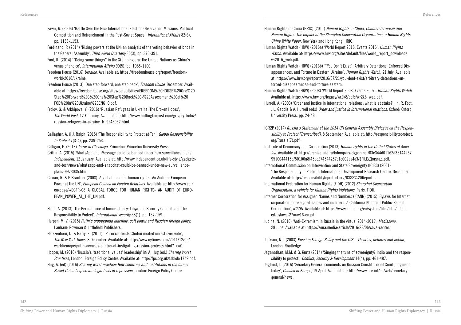- Fawn, R. (2006) 'Battle Over the Box: International Election Observation Missions, Political Competition and Retrenchment in the Post-Soviet Space', *International Affairs* 82(6), pp. 1133-1153.
- Ferdinand, P. (2014) 'Rising powers at the UN: an analysis of the voting behavior of brics in the General Assembly', *Third World Quarterly* 35(3), pp. 376-391.
- Foot, R. (2014) '"Doing some things" in the Xi Jinping era: the United Nations as China's venue of choice', *International Affairs* 90(5), pp. 1085-1100.
- Freedom House (2016) *Ukraine*. Available at: https://freedomhouse.org/report/freedomworld/2016/ukraine.
- Freedom House (2013) 'One step forward, one step back', *Freedom House*, December. Available at: https://freedomhouse.org/sites/default/files/FREEDOM%20HOUSE%20One%20 Step%20Forward%2C%20One%20Step%20Back%20-%20Assessment%20of%20 FOE%20in%20Ukraine%20ENG\_0.pdf.
- Frolov, G. & Arkhipova, Y. (2016) 'Russian Refugees in Ukraine: The Broken Hopes', *The World Post*, 17 February. Available at: http://www.huffingtonpost.com/grigory-frolov/ russian-refugees-in-ukraine\_b\_9243032.html.
- Gallagher, A. & J. Ralph (2015) 'The Responsibility to Protect at Ten', *Global Responsibility to Protect* 7(3-4), pp. 239-253.
- Gilligan, E. (2013) *Terror in Chechnya*, Princeton: Princeton University Press.
- Griffin, A. (2015) 'WhatsApp and iMessage could be banned under new surveillance plans', *Independent*, 12 January. Available at: http://www.independent.co.uk/life-style/gadgetsand-tech/news/whatsapp-and-snapchat-could-be-banned-under-new-surveillanceplans-9973035.html.
- Gowan, R. & F. Brantner (2008) 'A global force for human rights- An Audit of European Power at the UN', *European Council on Foreign Relations*. Available at: http://www.ecfr. eu/page/-/ECFR-08\_A\_GLOBAL\_FORCE\_FOR\_HUMAN\_RIGHTS-\_AN\_AUDIT\_OF\_EURO-PEAN\_POWER\_AT\_THE\_UN.pdf.
- Hehir, A. (2013) 'The Permanence of Inconsistency: Libya, the Security Council, and the Responsibility to Protect', *International security* 38(1), pp. 137-159.
- Herpen, M. V. (2015) *Putin's propaganda machine: soft power and Russian foreign policy*, Lanham: Rowman & Littlefield Publishers.
- Herszenhorn, D. & Barry, E. (2011), 'Putin contends Clinton incited unrest over vote', *The New York Times*, 8 December. Available at: http://www.nytimes.com/2011/12/09/ world/europe/putin-accuses-clinton-of-instigating-russian-protests.html? r=0.
- Hooper, M. (2016) 'Russia's 'traditional values' leadership' in: A. Hug (ed.) *Sharing Worst Practices*, London: Foreign Policy Centre. Available at: http://fpc.org.uk/fsblob/1749.pdf.
- Hug, A. (ed) (2016) *Sharing worst practice: How countries and institutions in the former Soviet Union help create legal tools of repression*, London: Foreign Policy Centre.
- Human Rights in China (HRIC) (2011) *Human Rights in China, Counter-Terrorism and Human Rights: The Impact of the Shanghai Cooperation Organization, a Human Rights China White Paper*, New York and Hong Kong: HRIC.
- Human Rights Watch (HRW) (2016a) 'World Report 2016, Events 2015', *Human Rights Watch*. Available at: https://www.hrw.org/sites/default/files/world\_report\_download/ wr2016\_web.pdf.
- Human Rights Watch (HRW) (2016b) '"You Don't Exist". Arbitrary Detentions, Enforced Disappearances, and Torture in Eastern Ukraine', *Human Rights Watch,* 21 July. Available at: https://www.hrw.org/report/2016/07/21/you-dont-exist/arbitrary-detentions-enforced-disappearances-and-torture-eastern.
- Human Rights Watch (HRW) (2008) 'World Report 2008, Events 2007', *Human Rights Watch*. Available at: https://www.hrw.org/legacy/wr2k8/pdfs/wr2k8\_web.pdf.
- Hurrell, A. (2003) 'Order and justice in international relations: what is at stake?', in: R. Foot, J.L. Gaddis & A. Hurrell (eds) *Order and justice in international relations,* Oxford: Oxford University Press, pp. 24-48.
- ICR2P (2014) *Russia's Statement at the 2014 UN General Assembly Dialogue on the Responsibility to Protect [Transcribed]*, 8 September. Available at: http://responsibilitytoprotect. org/Russia(7).pdf.
- Institute of Democracy and Cooperation (2013) *Human rights in the United States of America*. Available at: http://archive.mid.ru/bdomp/ns-dgpch.nsf/03c344d01162d35144257 9510044415b/50100a8f45bc274544257c1c002ae4e3/\$FILE/Доклад.pdf.
- International Commission on Intervention and State Sovereignty (ICISS) (2001) 'The Responsibility to Protect', International Development Research Centre, December. Available at: http://responsibilitytoprotect.org/ICISS%20Report.pdf.
- International Federation for Human Rights (FIDH) (2012) *Shanghai Cooperation Organisation: a vehicle for Human Rights Violations*, Paris: FIDH.
- Internet Corporation for Assigned Names and Numbers (ICANN) (2015) 'Bylaws for Internet corporation for assigned names and numbers. A California Nonprofit Public-Benefit Corporation', *ICANN*. Available at: https://www.icann.org/en/system/files/files/adopted-bylaws-27may16-en.pdf.
- Iudina, N. (2016) 'Anti-Extremism in Russia in the virtual 2014-2015', *Mediazona*, 28 June. Available at: https://zona.media/article/2016/28/06/sova-center.
- Jackson, N.J. (2003) *Russian Foreign Policy and the CIS Theories, debates and action*, London: Routledge.
- Jaganathan, M.M. & G. Kurtz (2014) 'Singing the tune of sovereignty? India and the responsibility to protect', *Conflict, Security & Development* 14(4), pp. 461-487.
- Jagland, T. (2016) 'Secretary General comments on Russian Constitutional Court judgment today', *Council of Europe*, 19 April. Available at: http://www.coe.int/en/web/secretarygeneral/news.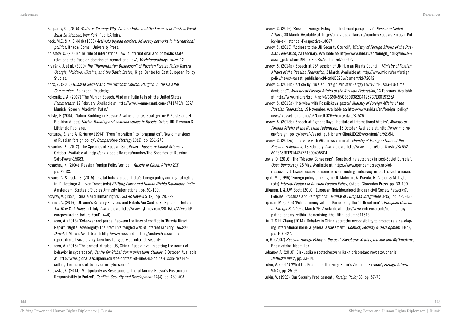- Kasparov, G. (2015) *Winter is Coming: Why Vladimir Putin and the Enemies of the Free World Must be Stopped*, New York: PublicAffairs.
- Keck, M.E. & K. Sikkink (1998) *Activists beyond borders. Advocacy networks in international politics*, Ithaca: Cornell University Press.
- Khlestov, O. (2003) 'The rule of international law in international and domestic state relations: the Russian doctrine of international law', *Mezhdunarodnaya zhizn'* 12.
- Kivirähk, J. et al. (2009) *The "Humanitarian Dimension" of Russian Foreign Policy Toward Georgia, Moldova, Ukraine, and the Baltic States,* Riga: Centre for East European Policy Studies.
- Knox, Z. (2005) *Russian Society and the Orthodox Church: Religion in Russia after Communism*, Abingdon: Routledge.
- Kolesnikov, A. (2007) 'The Munich Speech: Vladimir Putin tells off the United States' *Kommersant*, 12 February. Available at: http://www.kommersant.com/p741749/r\_527/ Munich\_Speech\_Vladimir\_Putin/.
- Kolstø, P. (2004) 'Nation-Building in Russia: A value-oriented strategy' in: P. Kolstø and H. Blakkisrud (eds) *Nation-Building and common values in Russia*, Oxford UK: Rowman & Littlefield Publisher.
- Kortunov, S. and A. Kortunov (1994) 'From "moralism" to "pragmatics": New dimensions of Russian foreign policy', *Comparative Strategy* 13(3), pp. 261-276.
- Kosachev, K. (2012) 'The Specifics of Russian Soft Power', *Russia in Global Affairs*, 7 October. Available at: http://eng.globalaffairs.ru/number/The-Specifics-of-Russian-Soft-Power-15683.
- Kosachev, K. (2004) 'Russian Foreign Policy Vertical', *Russia in Global Affairs* 2(3), pp. 29-38.
- Kovacs, A. & Datta, S. (2015) 'Digital India abroad: India's foreign policy and digital rights', in: D. Lettinga & L. van Troost (eds) *Shifting Power and Human Rights Diplomacy: India*, Amsterdam: Strategic Studies Amnesty International, pp. 91-100.
- Kozyrev, V. (1992) 'Russia and Human rights', *Slavic Review* 51(2), pp. 287-293.
- Kramer, A. (2016) 'Ukraine's Security Services and Rebels Are Said to Be Equals in Torture', *The New York Times*, 21 July. Available at: http://www.nytimes.com/2016/07/22/world/ europe/ukraine-torture.html? r=0).
- Kulikova, A. (2016) 'Cyberwar and peace: Between the lines of conflict in 'Russia Direct Report: 'Digital sovereignty: The Kremlin's tangled web of Internet security', *Russia Direct*, 1 March. Available at: http://www.russia-direct.org/archive/russia-directreport-digital-sovereignty-kremlins-tangled-web-internet-security.
- Kulikova, A. (2015) 'The contest of rules: US, China, Russia rival in setting the norms of behavior in cyberspace', *Centre for Global Communications Studies*, 8 October. Available at: http://www.global.asc.upenn.edu/the-contest-of-rules-us-china-russia-rival-insetting-the-norms-of-behavior-in-cyberspace/.
- Kurowska, X. (2014) 'Multipolarity as Resistance to liberal Norms: Russia's Position on Responsibility to Protect', Conflict, Security and Development 14(4), pp. 489-508.
- Lavrov, S. (2016) 'Russia's Foreign Policy in a historical perspective', *Russia in Global Affairs*, 30 March. Available at: http://eng.globalaffairs.ru/number/Russias-Foreign-Policy-in-a-Historical-Perspective-18067.
- Lavrov, S. (2015) 'Address to the UN Security Council', *Ministry of Foreign Affairs of the Russian Federation*, 23 February. Available at: http://www.mid.ru/en/foreign\_policy/news/-/ asset\_publisher/cKNonkJE02Bw/content/id/959527.
- Lavrov, S. (2014a) 'Speech at 25<sup>th</sup> session of UN Human Rights Council', *Ministry of Foreign Affairs of the Russian Federation*, 3 March. Available at: http://www.mid.ru/en/foreign\_ policy/news/-/asset\_publisher/cKNonkJE02Bw/content/id/72642.
- Lavrov, S. (2014b) 'Article by Russian Foreign Minister Sergey Lavrov, "Russia-EU: time decisions"', *Ministry of Foreign Affairs of the Russian Federation*, 13 February. Available at: http://www.mid.ru/brp\_4.nsf/0/C690455C28DD382D44257C7E0019325A.
- Lavrov, S. (2013a) 'Interview with Rossiiskaya gazeta' *Ministry of Foreign Affairs of the Russian Federation*, 19 November. Available at: http://www.mid.ru/en/foreign\_policy/ news/-/asset\_publisher/cKNonkJE02Bw/content/id/87526.
- Lavrov, S. (2013b) 'Speech at Egmont Royal Institute of International Affairs', *Ministry of Foreign Affairs of the Russian Federation,* 15 October. Available at: http://www.mid.ru/ en/foreign\_policy/news/-/asset\_publisher/cKNonkJE02Bw/content/id/92354.
- Lavrov, S. (2013c) 'Interview with ARD news channel', *Ministry of Foreign Affairs of the Russian Federation,* 13 February. Available at: http://www.mid.ru/brp\_4.nsf/0/87652 ACE6A5BEE9144257B13004058C4.
- Lewis, D. (2016) 'The "Moscow Consensus": Constructing autocracy in post-Soviet Eurasia', *Open Democracy*, 25 May. Available at: https://www.opendemocracy.net/odrussia/david-lewis/moscow-consensus-constructing-autocracy-in-post-soviet-eurasia.
- Light, M. (1996) 'Foreign policy thinking' in: N. Malcolm, A. Pravda, R. Allsion & M. Light (eds) *Internal Factors in Russian Foreign Policy,* Oxford: Clarendon Press, pp. 33-100.
- Liikanen, I. & J.W. Scott (2010) 'European Neighbourhood through civil Society Networks?:
- Policies, Practices and Perceptions', *Journal of European Integration* 32(5), pp. 423-438.
- Lipman, M. (2015) 'Putin's enemy within: Demonising the "fifth column"', *European Council of Foreign Relations*, March 26. Available at: http://www.ecfr.eu/article/commentary\_ putins enemy within demonising the fifth column311513.
- Liu, T. & H. Zhang (2014) 'Debates in China about the responsibility to protect as a developing international norm: a general assessment', Conflict, Security & Development 14(4), pp. 403-427.
- Lo, B. (2002) *Russian Foreign Policy in the post-Soviet era: Reality, Illusion and Mythmaking,* Basingstoke: Macmillan.
- Lobanov, A. (2010) 'Diskussiia o sootechestvennikakh priobretaet novoe zvuchanie', *Baltiiskii mir* 2, pp. 33-34.
- Lukin, A. (2014) 'What the Kremlin Is Thinking: Putin's Vision for Eurasia', *Foreign Affairs* 93(4), pp. 85-93.
- Lukin, V. (1992) 'Our Security Predicament', *Foreign Policy* 88, pp. 57-75.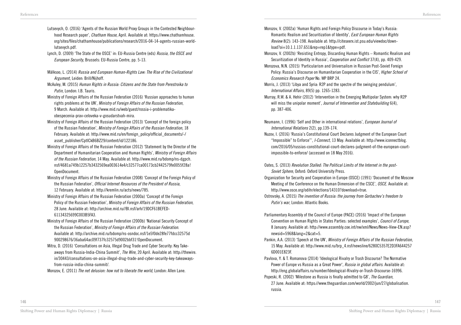- Lutsevych, O. (2016) 'Agents of the Russian World Proxy Groups in the Contested Neighbourhood Research paper', *Chatham House*, April. Available at: https://www.chathamhouse. org/sites/files/chathamhouse/publications/research/2016-04-14-agents-russian-worldlutsevych.pdf.
- Lynch, D. (2009) 'The State of the OSCE' in: EU-Russia Centre (eds) *Russia, the OSCE and European Security*, Brussels: EU-Russia Centre, pp. 5-13.
- Mälksoo, L. (2014) *Russia and European Human-Rights Law: The Rise of the Civilizational Argument*, Leiden: Brill/Nijhoff.
- McAuley, M. (2015) *Human Rights in Russia: Citizens and the State from Perestroika to Putin*, London: I.B. Tauris.
- Ministry of Foreign Affairs of the Russian Federation (2016) 'Russian approaches to human rights problems at the UN', *Ministry of Foreign Affairs of the Russian Federation*, 9 March. Available at: http://www.mid.ru/web/guest/rossia-i-problematikaobespecenia-prav-celoveka-v-gosudarstvah-mira.
- Ministry of Foreign Affairs of the Russian Federation (2013) 'Concept of the foreign policy of the Russian Federation', *Ministry of Foreign Affairs of the Russian Federation*, 18 February. Available at: http://www.mid.ru/en/foreign\_policy/official\_documents/-/ asset\_publisher/CptICkB6BZ29/content/id/122186.
- Ministry of Foreign Affairs of the Russian Federation (2012) 'Statement by the Director of the Department of Humanitarian Cooperation and Human Rights', *Ministry of Foreign Affairs of the Russian Federation*, 14 May. Available at: http://www.mid.ru/bdomp/ns-dgpch. nsf/4681a749b12257b3432569ea003614e4/c32577ca00173cb2442579fe0055f28a! OpenDocument.
- Ministry of Foreign Affairs of the Russian Federation (2008) 'Concept of the Foreign Policy of the Russian Federation', Official Internet Resources of the President of Russia, 12 February. Available at: http://kremlin.ru/acts/news/785.
- Ministry of Foreign Affairs of the Russian Federation (2000a) 'Concept of the Foreign Policy of the Russian Federation', *Ministry of Foreign Affairs of the Russian Federation*, 28 June. Available at: http://archive.mid.ru//Bl.nsf/arh/19DCF61BEFED-61134325699C003B5FA3.
- Ministry of Foreign Affairs of the Russian Federation (2000b) 'National Security Concept of the Russian Federation', *Ministry of Foreign Affairs of the Russian Federation*. Available at: http://archive.mid.ru/bdomp/ns-osndoc.nsf/1e5f0de28fe77fdcc32575d 900298676/36aba64ac09f737fc32575d9002bbf31!OpenDocument.
- Mitra, D. (2016) 'Consultations on Asia, Illegal Drug Trade and Cyber Security: Key Takeaways from Russia-India-China Summit', *The Wire*, 20 April. Available at: http://thewire. in/30443/consultations-on-asia-illegal-drug-trade-and-cyber-security-key-takeawaysfrom-russia-india-china-summit/.
- Morozov, E. (2011) *The net delusion: how not to liberate the world*, London: Allen Lane.
- Morozov, V. (2002a) 'Human Rights and Foreign Policy Discourse in Today's Russia: Romantic Realism and Securitization of Identity', *East European Human Rights Review* 8(2): 143-198. Available at: http://citeseerx.ist.psu.edu/viewdoc/download?oi=10.1.1.137.651&rep=rep1&type=pdf.
- Morozov, V. (2002b) 'Resisting Entropy, Discarding Human Rights Romantic Realism and Securitization of Identity in Russia', *Cooperation and Conflict* 37(4), pp. 409-429.
- Morozova, N.N. (2015) 'Particularism and Universalism in Russian Post-Soviet Foreign Policy: Russia's Discourse on Humanitarian Cooperation in the CIS', *Higher School of Economics Research Paper* No. WP BRP 24.
- Morris, J. (2013) 'Libya and Syria: R2P and the spectre of the swinging pendulum', *International Affairs*, 89(5) pp. 1265-1283.
- Murray, R.W. & A. Hehir (2012) 'Intervention in the Emerging Multipolar System: why R2P will miss the unipolar moment', *Journal of Intervention and Statebuilding* 6(4), pp. 387-406.
- Neumann, I. (1996) 'Self and Other in international relations', *European Journal of International Relations* 2(2), pp.139-174.
- Nuzov, I. (2016) 'Russia's Constitutional Court Declares Judgment of the European Court "Impossible" to Enforce"', *I-Connect,* 13 May. Available at: http://www.iconnectblog. com/2016/05/russias-constitutional-court-declares-judgment-of-the-european-courtimpossible-to-enforce/ (accessed on 18 May 2016).
- Oates, S. (2013) *Revolution Stalled: The Political Limits of the Internet in the post-Soviet Sphere*, Oxford: Oxford University Press.
- Organization for Security and Cooperation in Europe (OSCE) (1991) 'Document of the Moscow Meeting of the Conference on the Human Dimension of the CSCE', *OSCE*. Available at: http://www.osce.org/odihr/elections/14310?download=true.
- Ostrovsky, A. (2015) *The invention of Russia: the journey from Gorbachev's freedom to Putin's war*, London: Atlantic Books.
- Parliamentary Assembly of the Council of Europe (PACE) (2016) 'Impact of the European Convention on Human Rights in States Parties: selected examples', *Council of Europe*, 8 January. Available at: http://www.assembly.coe.int/nw/xml/News/News-View-EN.asp? newsid=5968&lang=2&cat=5.
- Pankin, A.A. (2013) 'Speech at the UN', *Ministry of Foreign Affairs of the Russian Federation*, 15 May. Available at: http://www.mid.ru/brp\_4.nsf/newsline/6280C5357E2D3FA644257 6D001E823F.
- Pavlova, Y. & T. Romanova (2014) 'Ideological Rivalry or Trash Discourse? The Normative Power of Europe vs Russia as a Great Power', *Russia in global affairs*. Available at: http://eng.globalaffairs.ru/number/Ideological-Rivalry-or-Trash-Discourse-16996. Popeski, R. (2002) 'Milestone as Russia is finally admitted to G8', *The Guardian*,
- 27 June. Available at: https://www.theguardian.com/world/2002/jun/27/globalisation. russia.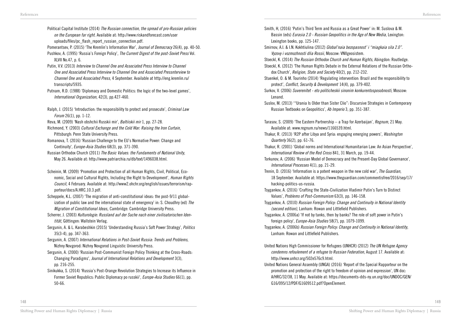- Political Capital Institute (2014) *The Russian connection, the spread of pro-Russian policies on the European far right*. Available at: http://www.riskandforecast.com/user uploads/files/pc\_flash\_report\_russian\_connection.pdf.
- Pomerantsev, P. (2015) 'The Kremlin's Information War', *Journal of Democracy* 26(4), pp. 40-50.
- Pushkov, A. (1995) 'Russia's Foreign Policy', *The Current Digest of the post-Soviet Press* Vol. XLVII No.47, p. 6.
- Putin, V.V. (2013) Interview to Channel One and Associated Press Interview to Channel One and Associated Press Interview to Channel One and Associated Pressnterview to *Channel One and Associated Press*, 4 September. Available at http://eng.kremlin.ru/ transcripts/5935.
- Putnam, R.D. (1988) 'Diplomacy and Domestic Politics: the logic of the two-level games', *International Organization*, 42(3), pp.427-460.
- Ralph, J. (2015) 'Introduction: the responsibility to protect and prosecute', *Criminal Law Forum* 26(1), pp. 1-12.
- Reva, M. (2009) 'Nash obshchii Russkii mir', *Baltiiskii mir* 1, pp. 27-28.
- Richmond, Y. (2003) *Cultural Exchange and the Cold War: Raising the Iron Curtain*, Pittsburgh: Penn State University Press.
- Romanova, T. (2016) 'Russian Challenge to the EU's Normative Power: Change and Continuity', *Europe-Asia Studies* 68(3), pp. 371-390.
- Russian Orthodox Church (2011) *The Basic Values: the Fundaments of National Unity*, May 26. Available at: http://www.patriarchia.ru/db/text/1496038.html.
- Scheinin, M. (2009) 'Promotion and Protection of all Human Rights, Civil, Political, Economic, Social and Cultural Rights, Including the Right to Development', *Human Rights Council*, 4 February. Available at: http://www2.ohchr.org/english/issues/terrorism/rapporteur/docs/A.HRC.10.3.pdf.
- Scheppele, K.L. (2007) 'The migration of anti-constitutional ideas: the post-9/11 globalization of public law and the international state of emergency' in: S. Choudhry (ed) *The Migration of Constitutional Ideas,* Cambridge: Cambridge University Press.
- Scherrer, J. (2003) *Kulturologie: Russland auf der Suche nach einer zivilisatorischen Identität*, Göttingen: Wallstein Verlag.
- Sergunin, A. & L. Karabeshkin (2015) 'Understanding Russia's Soft Power Strategy', *Politics* 35(3-4), pp. 347-363.
- Sergunin, A. (2007) *International Relations in Post-Soviet Russia: Trends and Problems*, Nizhny Novgorod: Nizhny Novgorod Linguistic University Press.
- Sergunin, A. (2000) 'Russian Post-Communist Foreign Policy Thinking at the Cross-Roads: Changing Paradigms', *Journal of International Relations and Development* 3(3), pp. 216-255.
- Sinikukka, S. (2014) 'Russia's Post-Orange Revolution Strategies to Increase its Influence in Former Soviet Republics: Public Diplomacy po russkii', *Europe-Asia Studies* 66(1), pp. 50-66.
- Smith, H, (2016) 'Putin's Third Term and Russia as a Great Power' in: M. Suslova & M. Bassin (eds) *Eurasia 2.0 - Russian Geopolitics in the Age of New Media*, Lexington: Lexington books, pp. 125-147.
- Smirnov, A.I. & I.N. Kokhtiulina (2012) *Global'naia bezopasnost' i "miagkaia sila 2.0". Vyzovy i vozmozhnosti dlia Rossii*, Moscow: VNIIgeosistem.
- Stoeckl, K. (2014) *The Russian Orthodox Church and Human Rights*, Abingdon: Routledge.
- Stoeckl, K. (2012) 'The Human Rights Debate in the External Relations of the Russian Orthodox Church', *Religion, State and Society* 40(2), pp. 212-232.
- Stuenkel, O. & M. Tourinho (2014) 'Regulating intervention: Brazil and the responsibility to protect', Conflict, Security & Development 14(4), pp. 379-402.
- Surkov, V. (2006) *Suverenitet eto politicheskii sinonim konkurentosposobnosti*, Moscow: Lenand.
- Suslov, M. (2013) '"Urania Is Older than Sister Clio": Discursive Strategies in Contemporary Russian Textbooks on Geopolitics', *Ab Imperio* 3, pp. 351-387.
- Tarasov, S. (2009) 'The Eastern Partnership a Trap for Azerbaijan', *Regnum*, 21 May. Available at: www.regnum.ru/news/1166539.html.
- Thakur, R. (2013) 'R2P after Libya and Syria: engaging emerging powers', *Washington Quarterly* 36(2), pp. 61-76.

Thakur, R. (2001) 'Global norms and International Humanitarian Law: An Asian Perspective', *International Review of the Red Cross* 841, 31 March, pp. 19-44.

- Torkunov, A. (2006) 'Russian Model of Democracy and the Present-Day Global Governance', *International Processes* 4(1), pp. 21-29.
- Trenin, D. (2016) 'Information is a potent weapon in the new cold war', *The Guardian*, 18 September. Available at: https://www.theguardian.com/commentisfree/2016/sep/17/ hacking-politics-us-russia.
- Tsygankov, A. (2016) 'Crafting the State-Civilization Vladimir Putin's Turn to Distinct Values', *Problems of Post-Communism* 63(3), pp. 146-158.
- Tsygankov, A. (2010) *Russian Foreign Policy: Change and Continuity in National Identity (second edition)*, Lanham: Rowan and Littlefield Publishers.
- Tsygankov, A. (2006a) 'If not by tanks, then by banks? The role of soft power in Putin's foreign policy', *Europe-Asia Studies* 58(7), pp. 1079-1099.
- Tsygankov, A. (2006b) *Russian Foreign Policy: Change and Continuity in National Identity*, Lanham: Rowan and Littlefield Publishers.
- United Nations High Commissioner for Refugees (UNHCR) (2012) *The UN Refugee Agency condemns refoulement of a refugee to Russian Federation*, August 17. Available at: http://www.unhcr.org/502e576c9.html.
- United Nations General Assembly (UNGA) (2016) 'Report of the Special Rapporteur on the promotion and protection of the right to freedom of opinion and expression', UN doc: A/HRC/32/38, 11 May. Available at: https://documents-dds-ny.un.org/doc/UNDOC/GEN/ G16/095/12/PDF/G1609512.pdf?OpenElement.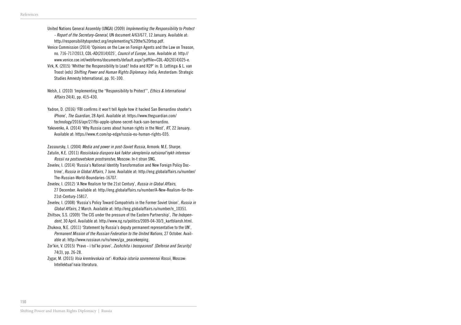- United Nations General Assembly (UNGA) (2009) *Implementing the Responsibility to Protect - Report of the Secretary-General*, UN document A/63/677, 12 January. Available at: http://responsibilitytoprotect.org/implementing%20the%20rtop.pdf. Venice Commission (2014) 'Opinions on the Law on Foreign Agents and the Law on Treason, no. 716-717/2013, CDL-AD(2014)025', *Council of Europe*, June. Available at: http:// www.venice.coe.int/webforms/documents/default.aspx?pdffile=CDL-AD(2014)025-e.
- Virk, K. (2015) 'Whither the Responsibility to Lead? India and R2P' in: D. Lettinga & L. van Troost (eds) *Shifting Power and Human Rights Diplomacy: India*, Amsterdam: Strategic Studies Amnesty International, pp. 91-100.
- Welsh, J. (2010) 'Implementing the "Responsibility to Protect"', *Ethics & International Affairs* 24(4), pp. 415-430.

Yadron, D. (2016) 'FBI confirms it won't tell Apple how it hacked San Bernardino shooter's iPhone', *The Guardian*, 28 April. Available at: https://www.theguardian.com/ technology/2016/apr/27/fbi-apple-iphone-secret-hack-san-bernardino. Yakovenko, A. (2014) 'Why Russia cares about human rights in the West', *RT*, 22 January. Available at: https://www.rt.com/op-edge/russia-eu-human-rights-035.

Zassoursky, I. (2004) *Media and power in post-Soviet Russia,* Armonk: M.E. Sharpe. Zatulin, K.E. (2011) *Rossiiskaia diaspora kak faktor ukrepleniia natsional'nykh interesov Rossii na postsovetskom prostranstve*, Moscow: In-t stran SNG.

- Zevelev, I. (2014) 'Russia's National Identity Transformation and New Foreign Policy Doctrine', *Russia in Global Affairs*, 7 June. Available at: http://eng.globalaffairs.ru/number/ The-Russian-World-Boundaries-16707.
- Zevelev, I. (2012) 'A New Realism for the 21st Century', *Russia in Global Affairs*, 27 December. Available at: http://eng.globalaffairs.ru/number/A-New-Realism-for-the-21st-Century-15817.
- Zevelev, I. (2008) 'Russia's Policy Toward Compatriots in the Former Soviet Union', *Russia in Global Affairs*, 2 March. Available at: http://eng.globalaffairs.ru/number/n\_10351.
- Zhiltsov, S.S. (2009) 'The CIS under the pressure of the Eastern Partnership', *The Independent*, 30 April. Available at: http://www.ng.ru/politics/2009-04-30/3\_kartblansh.html.
- Zhukova, N.E. (2011) 'Statement by Russia's deputy permanent representative to the UN', *Permanent Mission of the Russian Federation to the United Nations*, 27 October. Available at: http://www.russiaun.ru/ru/news/ga\_peacekeeping.
- Zor'kin, V. (2015) 'Pravo i tol'ko pravo', *Zashchita i bezopasnost*' *[Defense and Security]*  74(3), pp. 26-28.
- Zygar, M. (2015) *Vsia kremlevskaia rat': Kratkaia istoriia sovremennoi Rossii*, Moscow: Intellektual'naia literatura.